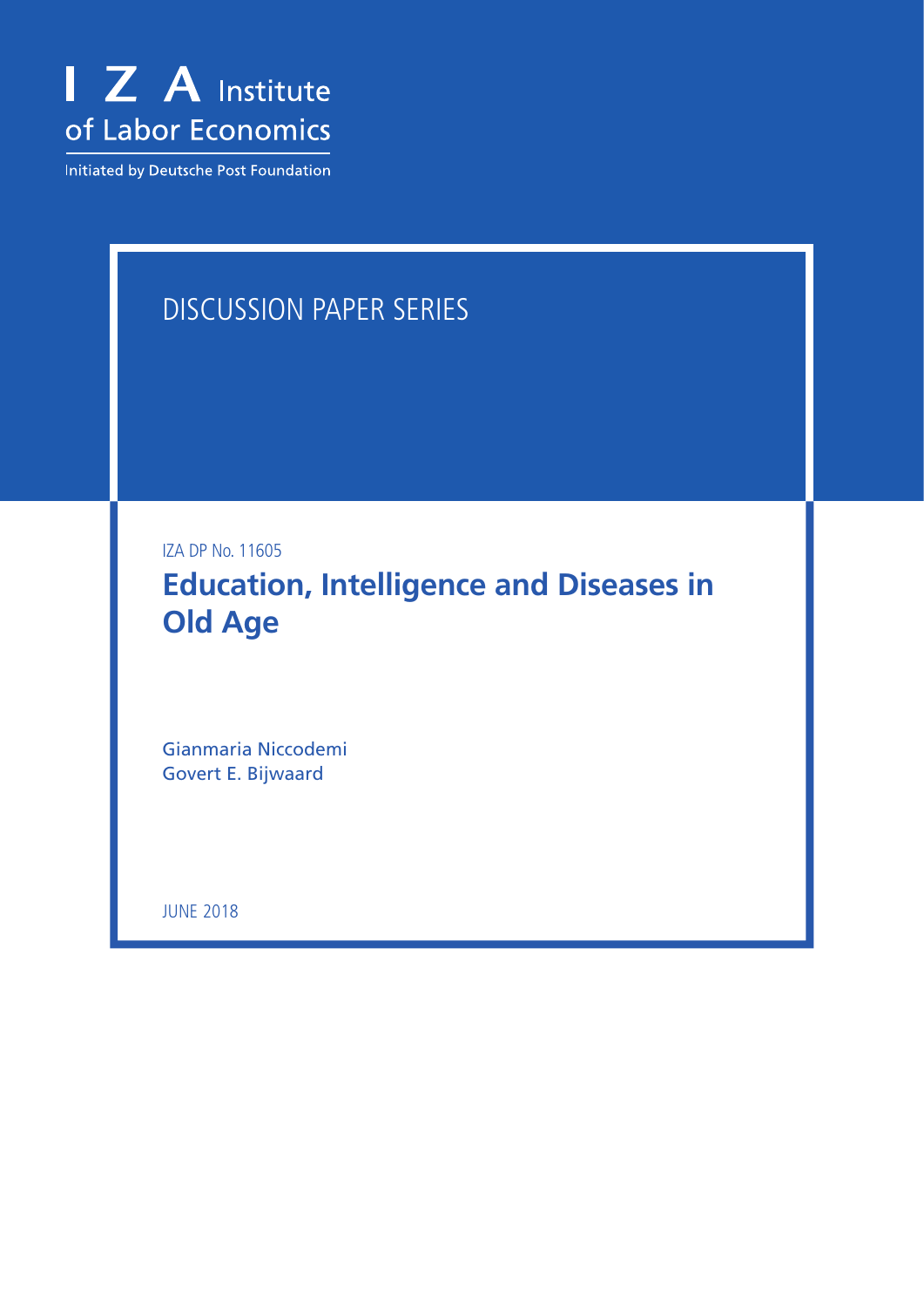

Initiated by Deutsche Post Foundation

# DISCUSSION PAPER SERIES

IZA DP No. 11605

**Education, Intelligence and Diseases in Old Age**

Gianmaria Niccodemi Govert E. Bijwaard

JUNE 2018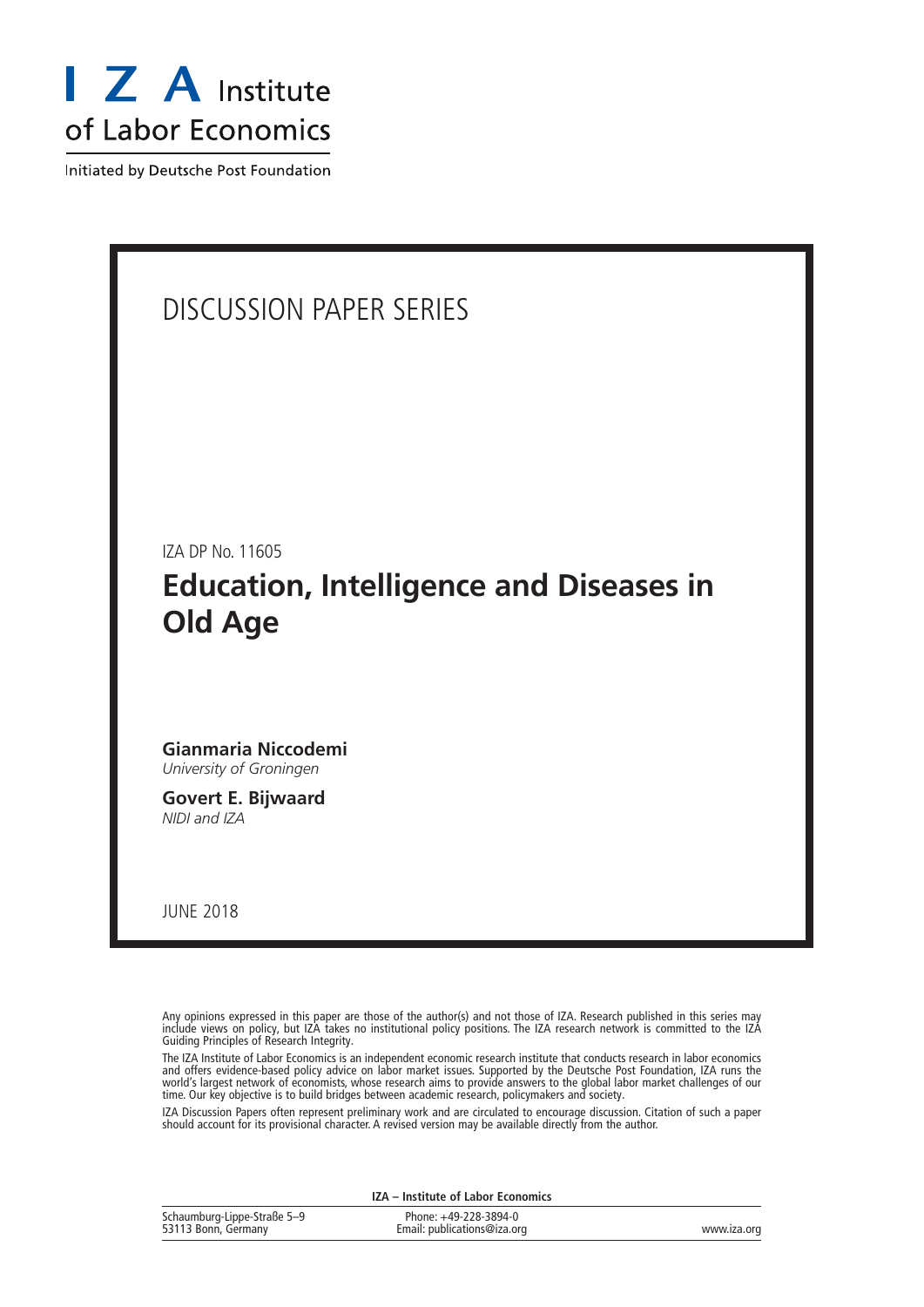

Initiated by Deutsche Post Foundation

### DISCUSSION PAPER SERIES

IZA DP No. 11605

### **Education, Intelligence and Diseases in Old Age**

**Gianmaria Niccodemi** *University of Groningen*

**Govert E. Bijwaard** *NIDI and IZA*

JUNE 2018

Any opinions expressed in this paper are those of the author(s) and not those of IZA. Research published in this series may include views on policy, but IZA takes no institutional policy positions. The IZA research network is committed to the IZA Guiding Principles of Research Integrity.

The IZA Institute of Labor Economics is an independent economic research institute that conducts research in labor economics and offers evidence-based policy advice on labor market issues. Supported by the Deutsche Post Foundation, IZA runs the world's largest network of economists, whose research aims to provide answers to the global labor market challenges of our time. Our key objective is to build bridges between academic research, policymakers and society.

IZA Discussion Papers often represent preliminary work and are circulated to encourage discussion. Citation of such a paper should account for its provisional character. A revised version may be available directly from the author.

|                                                    | IZA - Institute of Labor Economics                   |             |
|----------------------------------------------------|------------------------------------------------------|-------------|
| Schaumburg-Lippe-Straße 5–9<br>53113 Bonn, Germany | Phone: +49-228-3894-0<br>Email: publications@iza.org | www.iza.org |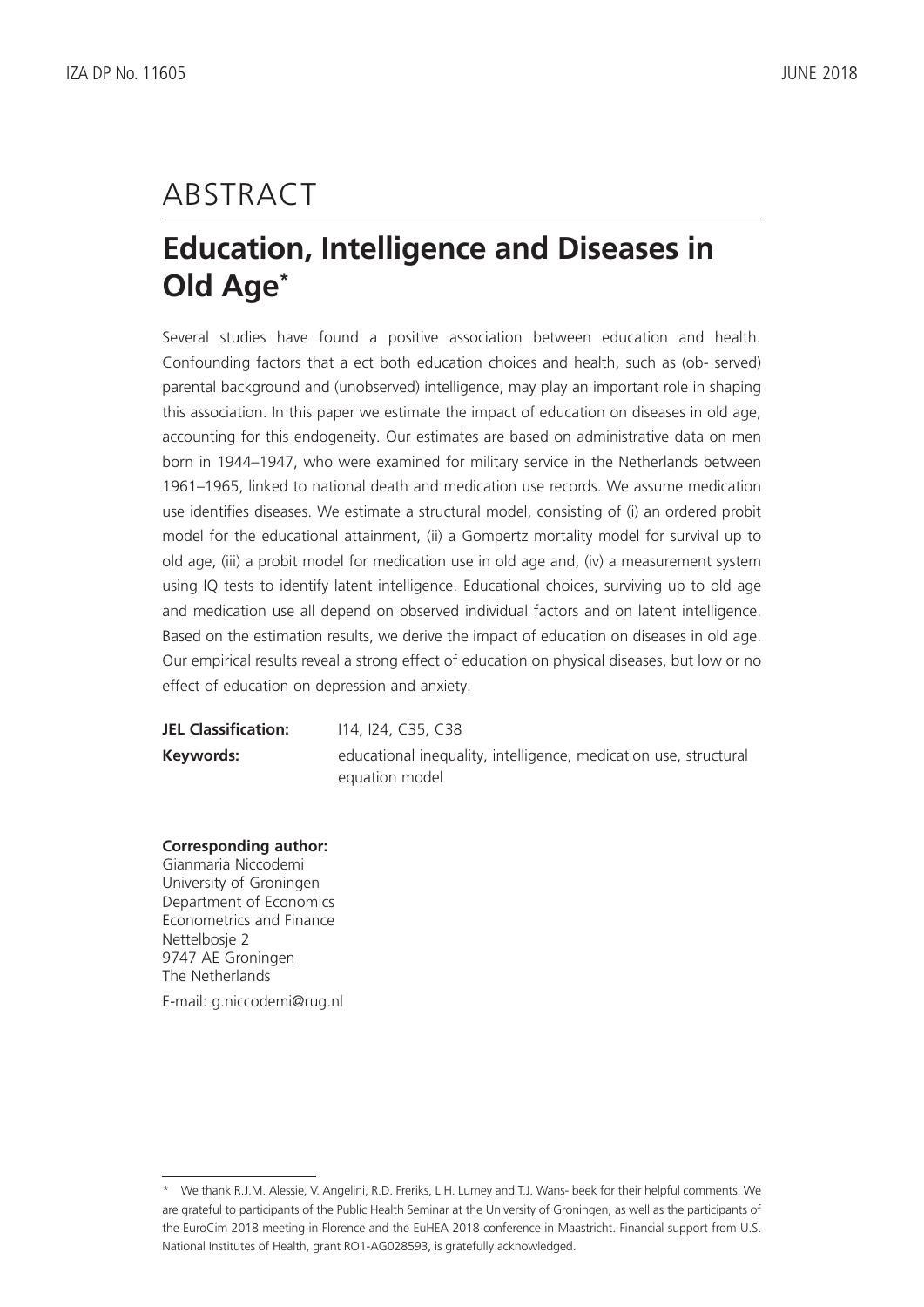# ABSTRACT

# **Education, Intelligence and Diseases in Old Age\***

Several studies have found a positive association between education and health. Confounding factors that a ect both education choices and health, such as (ob- served) parental background and (unobserved) intelligence, may play an important role in shaping this association. In this paper we estimate the impact of education on diseases in old age, accounting for this endogeneity. Our estimates are based on administrative data on men born in 1944–1947, who were examined for military service in the Netherlands between 1961–1965, linked to national death and medication use records. We assume medication use identifies diseases. We estimate a structural model, consisting of (i) an ordered probit model for the educational attainment, (ii) a Gompertz mortality model for survival up to old age, (iii) a probit model for medication use in old age and, (iv) a measurement system using IQ tests to identify latent intelligence. Educational choices, surviving up to old age and medication use all depend on observed individual factors and on latent intelligence. Based on the estimation results, we derive the impact of education on diseases in old age. Our empirical results reveal a strong effect of education on physical diseases, but low or no effect of education on depression and anxiety.

**JEL Classification:** I14, I24, C35, C38 **Keywords:** educational inequality, intelligence, medication use, structural equation model

#### **Corresponding author:**

Gianmaria Niccodemi University of Groningen Department of Economics Econometrics and Finance Nettelbosje 2 9747 AE Groningen The Netherlands E-mail: g.niccodemi@rug.nl

<sup>\*</sup> We thank R.J.M. Alessie, V. Angelini, R.D. Freriks, L.H. Lumey and T.J. Wans- beek for their helpful comments. We are grateful to participants of the Public Health Seminar at the University of Groningen, as well as the participants of the EuroCim 2018 meeting in Florence and the EuHEA 2018 conference in Maastricht. Financial support from U.S. National Institutes of Health, grant RO1-AG028593, is gratefully acknowledged.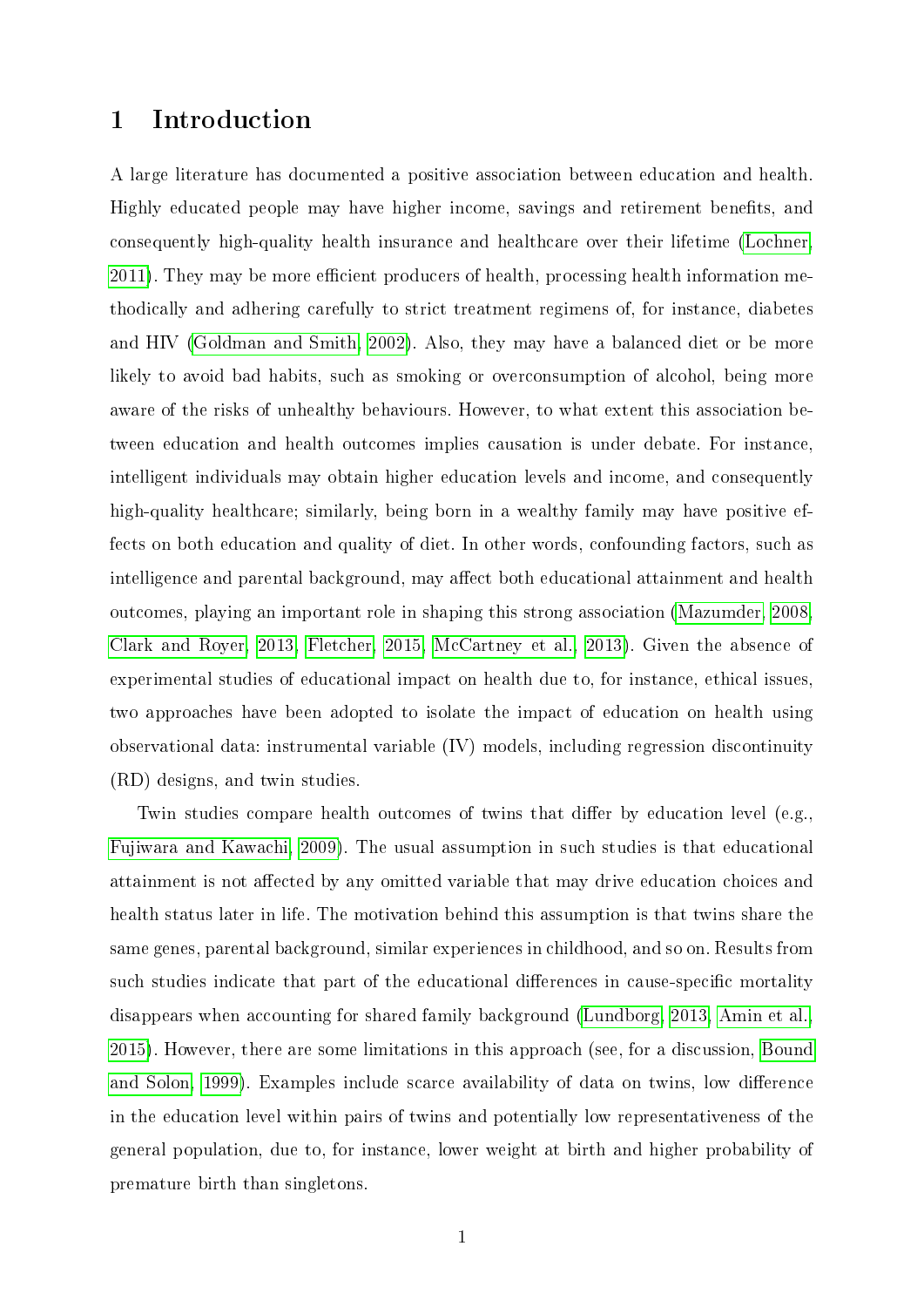#### 1 Introduction

A large literature has documented a positive association between education and health. Highly educated people may have higher income, savings and retirement benets, and consequently high-quality health insurance and healthcare over their lifetime [\(Lochner,](#page-20-0) [2011\)](#page-20-0). They may be more efficient producers of health, processing health information methodically and adhering carefully to strict treatment regimens of, for instance, diabetes and HIV [\(Goldman and Smith, 2002\)](#page-19-0). Also, they may have a balanced diet or be more likely to avoid bad habits, such as smoking or overconsumption of alcohol, being more aware of the risks of unhealthy behaviours. However, to what extent this association between education and health outcomes implies causation is under debate. For instance, intelligent individuals may obtain higher education levels and income, and consequently high-quality healthcare; similarly, being born in a wealthy family may have positive effects on both education and quality of diet. In other words, confounding factors, such as intelligence and parental background, may affect both educational attainment and health outcomes, playing an important role in shaping this strong association [\(Mazumder, 2008,](#page-20-1) [Clark and Royer, 2013,](#page-18-0) [Fletcher, 2015,](#page-19-1) [McCartney et al., 2013\)](#page-20-2). Given the absence of experimental studies of educational impact on health due to, for instance, ethical issues, two approaches have been adopted to isolate the impact of education on health using observational data: instrumental variable (IV) models, including regression discontinuity (RD) designs, and twin studies.

Twin studies compare health outcomes of twins that differ by education level (e.g., [Fujiwara and Kawachi, 2009\)](#page-19-2). The usual assumption in such studies is that educational attainment is not affected by any omitted variable that may drive education choices and health status later in life. The motivation behind this assumption is that twins share the same genes, parental background, similar experiences in childhood, and so on. Results from such studies indicate that part of the educational differences in cause-specific mortality disappears when accounting for shared family background [\(Lundborg, 2013,](#page-20-3) [Amin et al.,](#page-18-1) [2015\)](#page-18-1). However, there are some limitations in this approach (see, for a discussion, [Bound](#page-18-2) [and Solon, 1999\)](#page-18-2). Examples include scarce availability of data on twins, low difference in the education level within pairs of twins and potentially low representativeness of the general population, due to, for instance, lower weight at birth and higher probability of premature birth than singletons.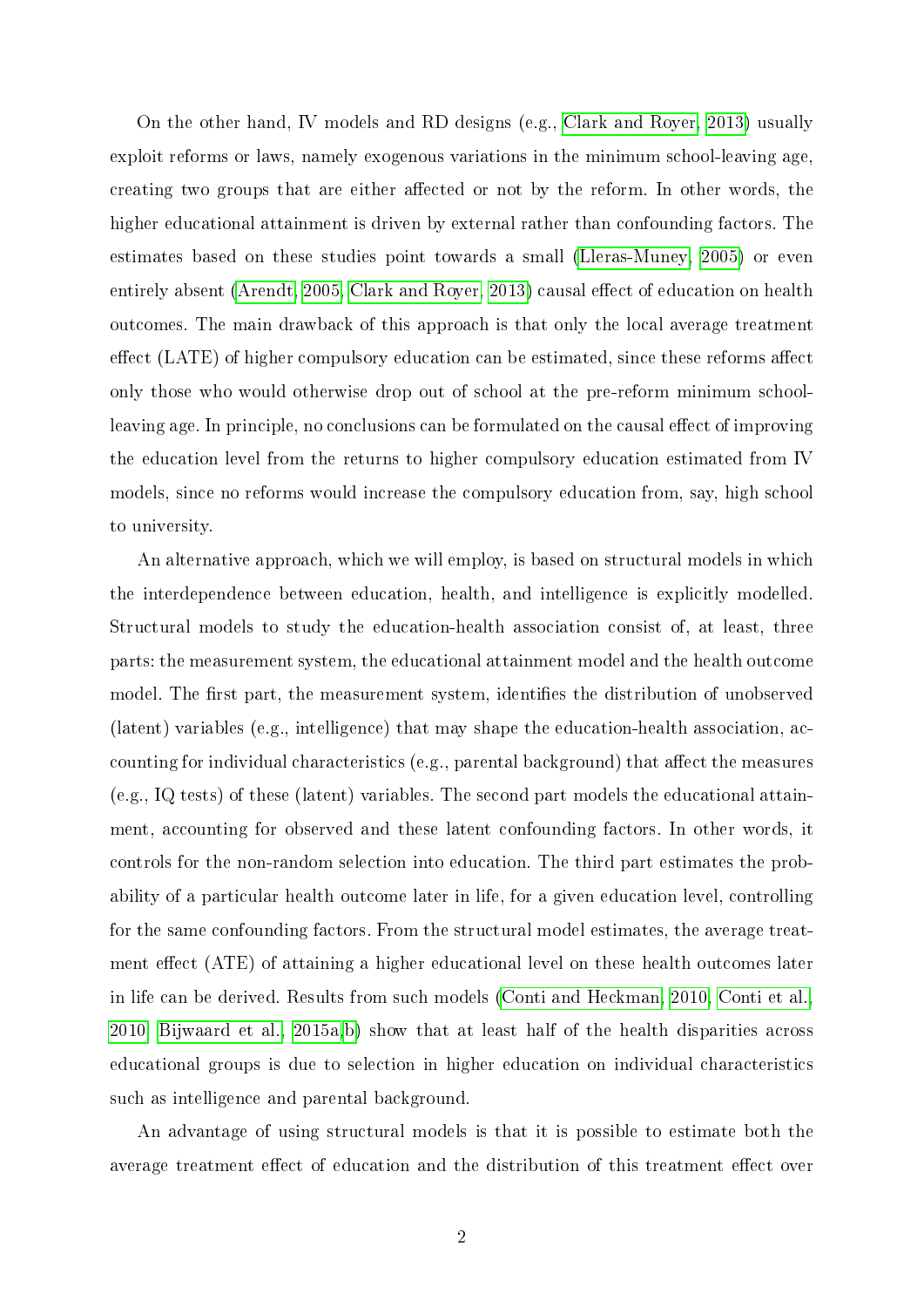On the other hand, IV models and RD designs (e.g., [Clark and Royer, 2013\)](#page-18-0) usually exploit reforms or laws, namely exogenous variations in the minimum school-leaving age, creating two groups that are either affected or not by the reform. In other words, the higher educational attainment is driven by external rather than confounding factors. The estimates based on these studies point towards a small [\(Lleras-Muney, 2005\)](#page-20-4) or even entirely absent [\(Arendt, 2005,](#page-18-3) [Clark and Royer, 2013\)](#page-18-0) causal effect of education on health outcomes. The main drawback of this approach is that only the local average treatment  $\chi$  effect (LATE) of higher compulsory education can be estimated, since these reforms affect only those who would otherwise drop out of school at the pre-reform minimum schoolleaving age. In principle, no conclusions can be formulated on the causal effect of improving the education level from the returns to higher compulsory education estimated from IV models, since no reforms would increase the compulsory education from, say, high school to university.

An alternative approach, which we will employ, is based on structural models in which the interdependence between education, health, and intelligence is explicitly modelled. Structural models to study the education-health association consist of, at least, three parts: the measurement system, the educational attainment model and the health outcome model. The first part, the measurement system, identifies the distribution of unobserved (latent) variables (e.g., intelligence) that may shape the education-health association, accounting for individual characteristics (e.g., parental background) that affect the measures (e.g., IQ tests) of these (latent) variables. The second part models the educational attainment, accounting for observed and these latent confounding factors. In other words, it controls for the non-random selection into education. The third part estimates the probability of a particular health outcome later in life, for a given education level, controlling for the same confounding factors. From the structural model estimates, the average treatment effect (ATE) of attaining a higher educational level on these health outcomes later in life can be derived. Results from such models [\(Conti and Heckman, 2010,](#page-18-4) [Conti et al.,](#page-18-5) [2010,](#page-18-5) [Bijwaard et al., 2015a,](#page-18-6)[b\)](#page-18-7) show that at least half of the health disparities across educational groups is due to selection in higher education on individual characteristics such as intelligence and parental background.

An advantage of using structural models is that it is possible to estimate both the average treatment effect of education and the distribution of this treatment effect over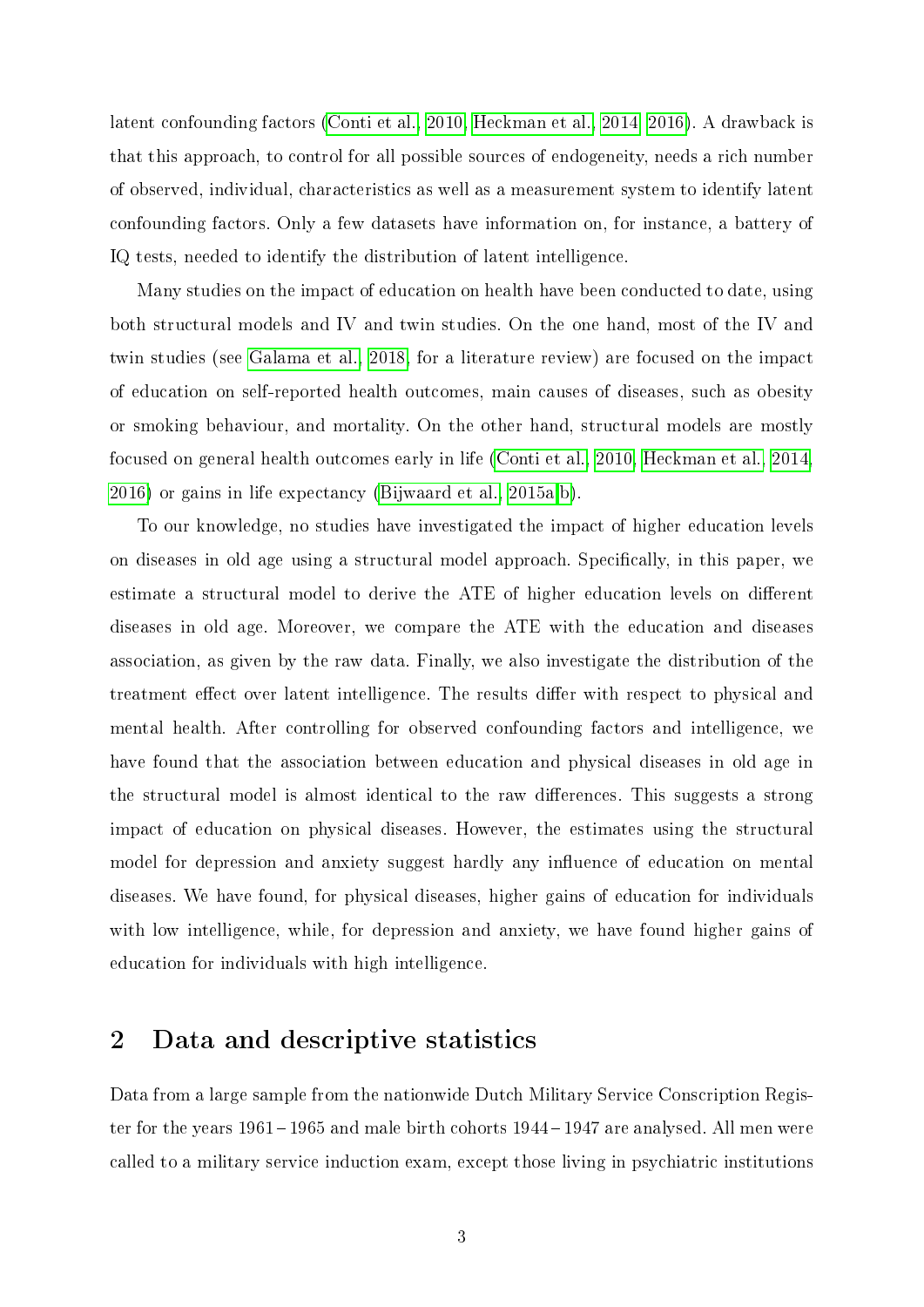latent confounding factors [\(Conti et al., 2010,](#page-18-5) [Heckman et al., 2014,](#page-19-3) [2016\)](#page-19-4). A drawback is that this approach, to control for all possible sources of endogeneity, needs a rich number of observed, individual, characteristics as well as a measurement system to identify latent confounding factors. Only a few datasets have information on, for instance, a battery of IQ tests, needed to identify the distribution of latent intelligence.

Many studies on the impact of education on health have been conducted to date, using both structural models and IV and twin studies. On the one hand, most of the IV and twin studies (see [Galama et al., 2018,](#page-19-5) for a literature review) are focused on the impact of education on self-reported health outcomes, main causes of diseases, such as obesity or smoking behaviour, and mortality. On the other hand, structural models are mostly focused on general health outcomes early in life [\(Conti et al., 2010,](#page-18-5) [Heckman et al., 2014,](#page-19-3) [2016\)](#page-19-4) or gains in life expectancy [\(Bijwaard et al., 2015a](#page-18-6)[,b\)](#page-18-7).

To our knowledge, no studies have investigated the impact of higher education levels on diseases in old age using a structural model approach. Specifically, in this paper, we estimate a structural model to derive the ATE of higher education levels on different diseases in old age. Moreover, we compare the ATE with the education and diseases association, as given by the raw data. Finally, we also investigate the distribution of the treatment effect over latent intelligence. The results differ with respect to physical and mental health. After controlling for observed confounding factors and intelligence, we have found that the association between education and physical diseases in old age in the structural model is almost identical to the raw differences. This suggests a strong impact of education on physical diseases. However, the estimates using the structural model for depression and anxiety suggest hardly any influence of education on mental diseases. We have found, for physical diseases, higher gains of education for individuals with low intelligence, while, for depression and anxiety, we have found higher gains of education for individuals with high intelligence.

#### <span id="page-5-0"></span>2 Data and descriptive statistics

Data from a large sample from the nationwide Dutch Military Service Conscription Register for the years 1961 – 1965 and male birth cohorts 1944 – 1947 are analysed. All men were called to a military service induction exam, except those living in psychiatric institutions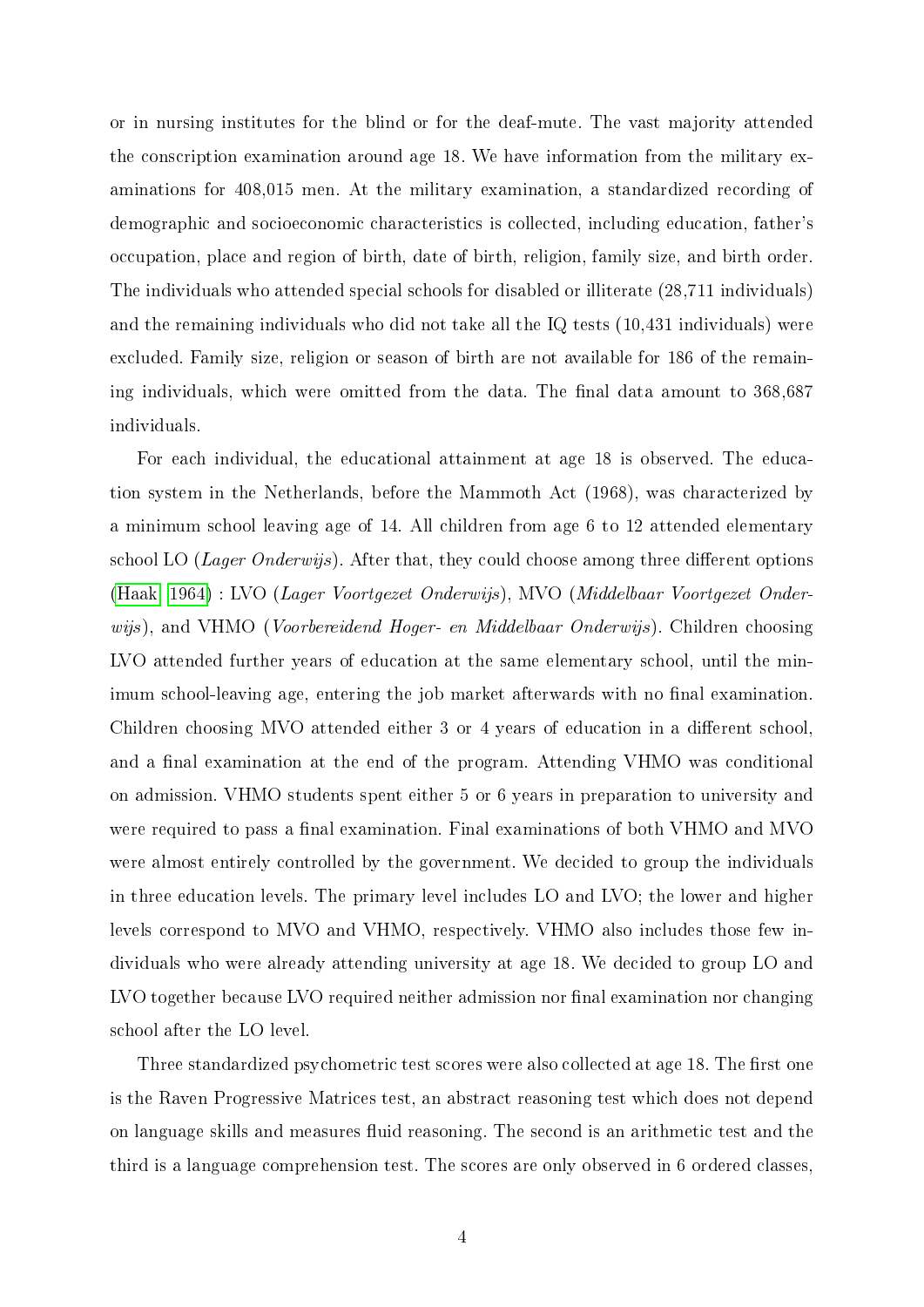or in nursing institutes for the blind or for the deaf-mute. The vast majority attended the conscription examination around age 18. We have information from the military examinations for 408,015 men. At the military examination, a standardized recording of demographic and socioeconomic characteristics is collected, including education, father's occupation, place and region of birth, date of birth, religion, family size, and birth order. The individuals who attended special schools for disabled or illiterate (28,711 individuals) and the remaining individuals who did not take all the IQ tests (10,431 individuals) were excluded. Family size, religion or season of birth are not available for 186 of the remaining individuals, which were omitted from the data. The final data amount to 368,687 individuals.

For each individual, the educational attainment at age 18 is observed. The education system in the Netherlands, before the Mammoth Act (1968), was characterized by a minimum school leaving age of 14. All children from age 6 to 12 attended elementary school LO (*Lager Onderwijs*). After that, they could choose among three different options [\(Haak, 1964\)](#page-19-6) : LVO (Lager Voortgezet Onderwijs), MVO (Middelbaar Voortgezet Onderwijs), and VHMO (*Voorbereidend Hoger- en Middelbaar Onderwijs*). Children choosing LVO attended further years of education at the same elementary school, until the minimum school-leaving age, entering the job market afterwards with no final examination. Children choosing MVO attended either 3 or 4 years of education in a different school, and a final examination at the end of the program. Attending VHMO was conditional on admission. VHMO students spent either 5 or 6 years in preparation to university and were required to pass a final examination. Final examinations of both VHMO and MVO were almost entirely controlled by the government. We decided to group the individuals in three education levels. The primary level includes LO and LVO; the lower and higher levels correspond to MVO and VHMO, respectively. VHMO also includes those few individuals who were already attending university at age 18. We decided to group LO and LVO together because LVO required neither admission nor final examination nor changing school after the LO level.

Three standardized psychometric test scores were also collected at age 18. The first one is the Raven Progressive Matrices test, an abstract reasoning test which does not depend on language skills and measures fluid reasoning. The second is an arithmetic test and the third is a language comprehension test. The scores are only observed in 6 ordered classes,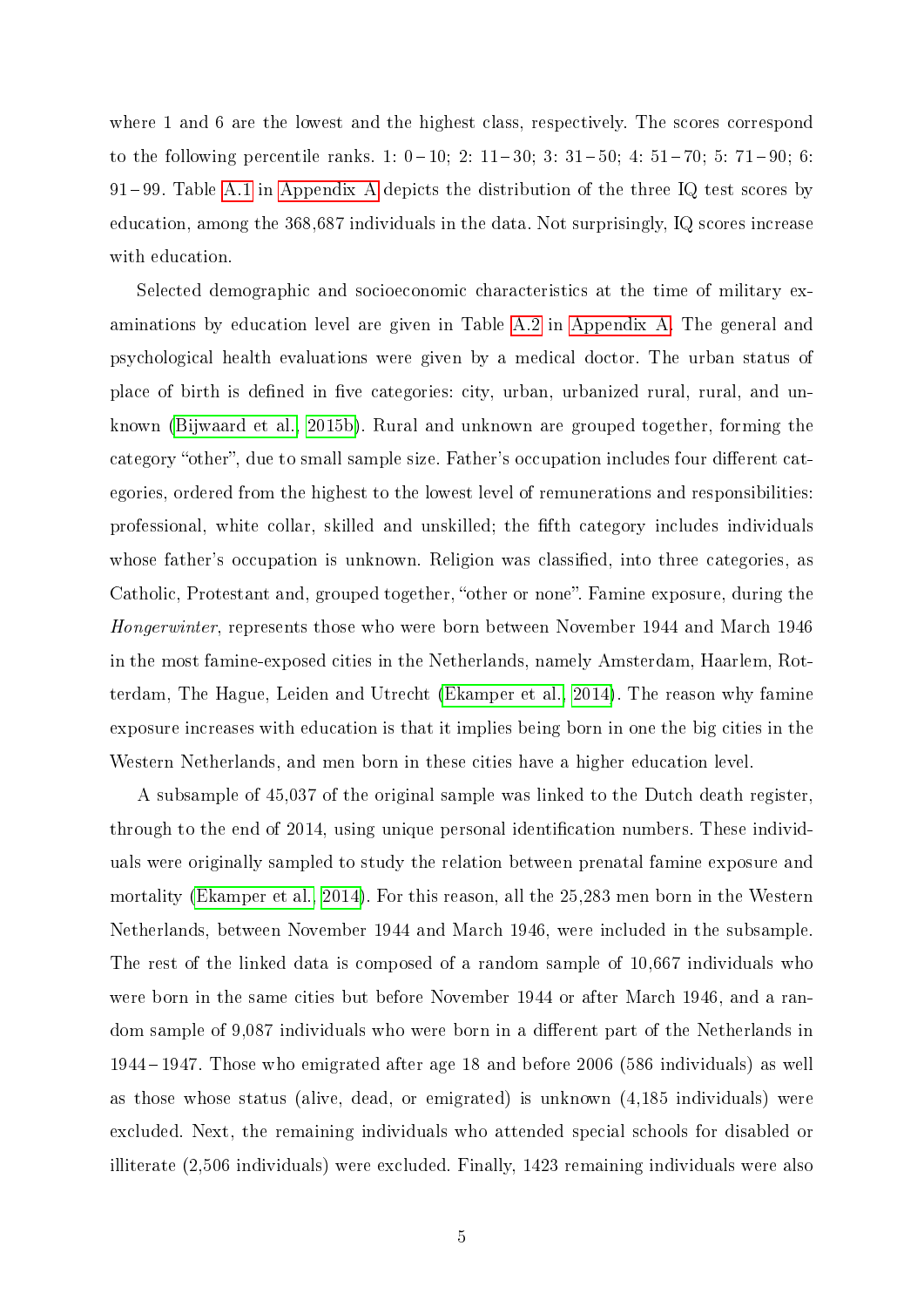where 1 and 6 are the lowest and the highest class, respectively. The scores correspond to the following percentile ranks.  $1: 0-10; 2: 11-30; 3: 31-50; 4: 51-70; 5: 71-90; 6:$  $91-99$ . Table [A.1](#page-8-0) in [Appendix A](#page-21-0) depicts the distribution of the three IQ test scores by education, among the 368,687 individuals in the data. Not surprisingly, IQ scores increase with education.

Selected demographic and socioeconomic characteristics at the time of military examinations by education level are given in Table [A.2](#page-14-0) in [Appendix A.](#page-21-0) The general and psychological health evaluations were given by a medical doctor. The urban status of place of birth is defined in five categories: city, urban, urbanized rural, rural, and unknown [\(Bijwaard et al., 2015b\)](#page-18-7). Rural and unknown are grouped together, forming the category "other", due to small sample size. Father's occupation includes four different categories, ordered from the highest to the lowest level of remunerations and responsibilities: professional, white collar, skilled and unskilled; the fth category includes individuals whose father's occupation is unknown. Religion was classified, into three categories, as Catholic, Protestant and, grouped together, "other or none". Famine exposure, during the Hongerwinter, represents those who were born between November 1944 and March 1946 in the most famine-exposed cities in the Netherlands, namely Amsterdam, Haarlem, Rotterdam, The Hague, Leiden and Utrecht [\(Ekamper et al., 2014\)](#page-19-7). The reason why famine exposure increases with education is that it implies being born in one the big cities in the Western Netherlands, and men born in these cities have a higher education level.

A subsample of 45,037 of the original sample was linked to the Dutch death register, through to the end of 2014, using unique personal identification numbers. These individuals were originally sampled to study the relation between prenatal famine exposure and mortality [\(Ekamper et al., 2014\)](#page-19-7). For this reason, all the 25,283 men born in the Western Netherlands, between November 1944 and March 1946, were included in the subsample. The rest of the linked data is composed of a random sample of 10,667 individuals who were born in the same cities but before November 1944 or after March 1946, and a random sample of 9,087 individuals who were born in a different part of the Netherlands in 1944 1947. Those who emigrated after age 18 and before 2006 (586 individuals) as well as those whose status (alive, dead, or emigrated) is unknown (4,185 individuals) were excluded. Next, the remaining individuals who attended special schools for disabled or illiterate (2,506 individuals) were excluded. Finally, 1423 remaining individuals were also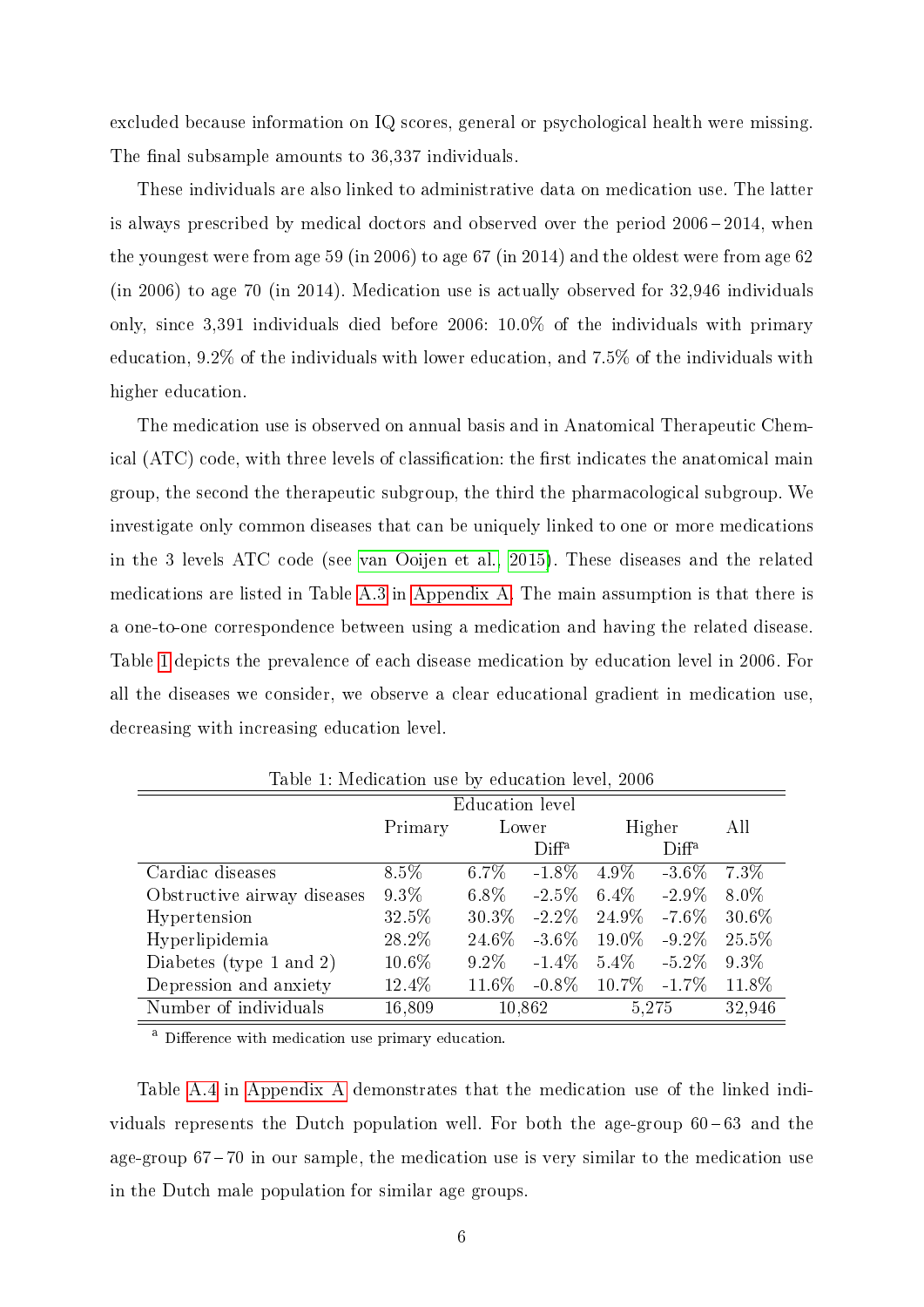excluded because information on IQ scores, general or psychological health were missing. The final subsample amounts to 36,337 individuals.

These individuals are also linked to administrative data on medication use. The latter is always prescribed by medical doctors and observed over the period  $2006 - 2014$ , when the youngest were from age 59 (in 2006) to age 67 (in 2014) and the oldest were from age 62 (in 2006) to age 70 (in 2014). Medication use is actually observed for 32,946 individuals only, since 3,391 individuals died before 2006: 10.0% of the individuals with primary education, 9.2% of the individuals with lower education, and 7.5% of the individuals with higher education.

The medication use is observed on annual basis and in Anatomical Therapeutic Chemical (ATC) code, with three levels of classification: the first indicates the anatomical main group, the second the therapeutic subgroup, the third the pharmacological subgroup. We investigate only common diseases that can be uniquely linked to one or more medications in the 3 levels ATC code (see [van Ooijen et al., 2015\)](#page-20-5). These diseases and the related medications are listed in Table [A.3](#page-23-0) in [Appendix A.](#page-21-0) The main assumption is that there is a one-to-one correspondence between using a medication and having the related disease. Table [1](#page-8-0) depicts the prevalence of each disease medication by education level in 2006. For all the diseases we consider, we observe a clear educational gradient in medication use, decreasing with increasing education level.

|                             | <b>Education</b> level |          |                   |                  |                   |         |
|-----------------------------|------------------------|----------|-------------------|------------------|-------------------|---------|
|                             | Primary                | Lower    |                   | Higher           |                   | All     |
|                             |                        |          | Diff <sup>a</sup> |                  | Diff <sup>a</sup> |         |
| Cardiac diseases            | $8.5\%$                | $6.7\%$  | $-1.8\%$          | $4.9\%$          | $-3.6\%$          | $7.3\%$ |
| Obstructive airway diseases | $9.3\%$                | $6.8\%$  | $-2.5\%$          | $6.4\%$          | $-2.9\%$          | $8.0\%$ |
| Hypertension                | 32.5%                  | $30.3\%$ | $-2.2\%$          | 24.9%            | $-7.6\%$          | 30.6%   |
| Hyperlipidemia              | 28.2%                  | 24.6\%   | $-3.6\%$          | $19.0\%$         | $-9.2\%$          | 25.5%   |
| Diabetes (type 1 and 2)     | $10.6\%$               | $9.2\%$  | $-1.4\%$          | $5.4\%$          | $-5.2\%$          | $9.3\%$ |
| Depression and anxiety      | 12.4%                  | $11.6\%$ | $-0.8\%$          | $10.7\% - 1.7\%$ |                   | 11.8%   |
| Number of individuals       | 16,809                 |          | 10,862            | 5,275            |                   | 32,946  |

<span id="page-8-0"></span>Table 1: Medication use by education level, 2006

<sup>a</sup> Difference with medication use primary education.

Table [A.4](#page-23-1) in [Appendix A](#page-21-0) demonstrates that the medication use of the linked individuals represents the Dutch population well. For both the age-group  $60 - 63$  and the age-group  $67 - 70$  in our sample, the medication use is very similar to the medication use in the Dutch male population for similar age groups.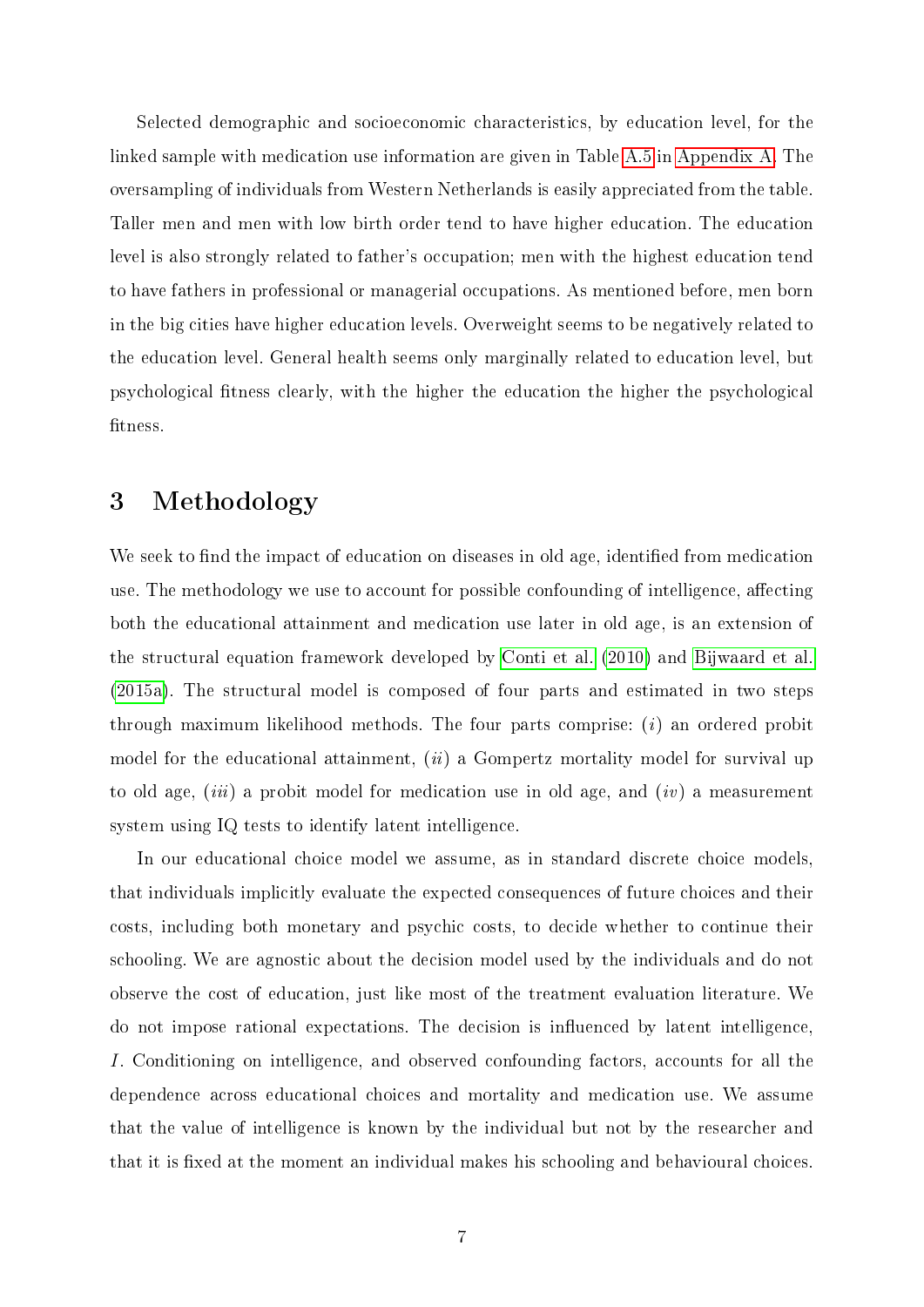Selected demographic and socioeconomic characteristics, by education level, for the linked sample with medication use information are given in Table [A.5](#page-24-0) in [Appendix A.](#page-21-0) The oversampling of individuals from Western Netherlands is easily appreciated from the table. Taller men and men with low birth order tend to have higher education. The education level is also strongly related to father's occupation; men with the highest education tend to have fathers in professional or managerial occupations. As mentioned before, men born in the big cities have higher education levels. Overweight seems to be negatively related to the education level. General health seems only marginally related to education level, but psychological tness clearly, with the higher the education the higher the psychological fitness.

### 3 Methodology

We seek to find the impact of education on diseases in old age, identified from medication use. The methodology we use to account for possible confounding of intelligence, affecting both the educational attainment and medication use later in old age, is an extension of the structural equation framework developed by [Conti et al.](#page-18-5) [\(2010\)](#page-18-5) and [Bijwaard et al.](#page-18-6) [\(2015a\)](#page-18-6). The structural model is composed of four parts and estimated in two steps through maximum likelihood methods. The four parts comprise:  $(i)$  an ordered probit model for the educational attainment,  $(ii)$  a Gompertz mortality model for survival up to old age, (iii) a probit model for medication use in old age, and (iv) a measurement system using IQ tests to identify latent intelligence.

In our educational choice model we assume, as in standard discrete choice models, that individuals implicitly evaluate the expected consequences of future choices and their costs, including both monetary and psychic costs, to decide whether to continue their schooling. We are agnostic about the decision model used by the individuals and do not observe the cost of education, just like most of the treatment evaluation literature. We do not impose rational expectations. The decision is influenced by latent intelligence, I. Conditioning on intelligence, and observed confounding factors, accounts for all the dependence across educational choices and mortality and medication use. We assume that the value of intelligence is known by the individual but not by the researcher and that it is fixed at the moment an individual makes his schooling and behavioural choices.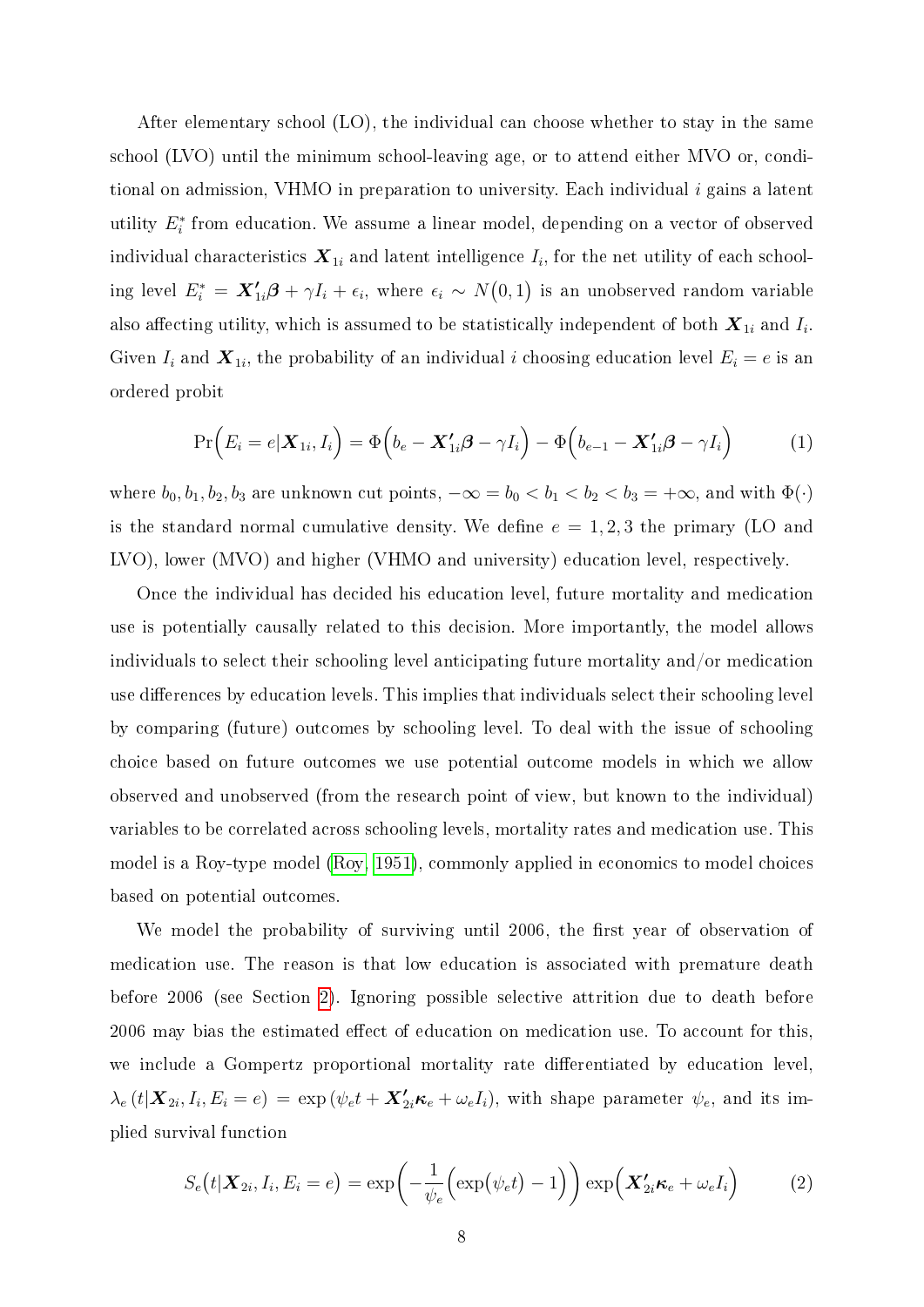After elementary school (LO), the individual can choose whether to stay in the same school (LVO) until the minimum school-leaving age, or to attend either MVO or, conditional on admission, VHMO in preparation to university. Each individual i gains a latent utility  $E_i^*$  from education. We assume a linear model, depending on a vector of observed individual characteristics  $\boldsymbol{X}_{1i}$  and latent intelligence  $I_i,$  for the net utility of each schooling level  $E_i^* = \bm{X}_{1i}'\bm{\beta} + \gamma I_i + \epsilon_i$ , where  $\epsilon_i \sim N(0,1)$  is an unobserved random variable also affecting utility, which is assumed to be statistically independent of both  $\boldsymbol{X}_{1i}$  and  $I_i.$ Given  $I_i$  and  $\boldsymbol{X}_{1i}$ , the probability of an individual i choosing education level  $E_i = e$  is an ordered probit

$$
\Pr(E_i = e | \mathbf{X}_{1i}, I_i) = \Phi(b_e - \mathbf{X}_{1i}'\boldsymbol{\beta} - \gamma I_i) - \Phi(b_{e-1} - \mathbf{X}_{1i}'\boldsymbol{\beta} - \gamma I_i)
$$
(1)

where  $b_0, b_1, b_2, b_3$  are unknown cut points,  $-\infty = b_0 < b_1 < b_2 < b_3 = +\infty$ , and with  $\Phi(\cdot)$ is the standard normal cumulative density. We define  $e = 1, 2, 3$  the primary (LO and LVO), lower (MVO) and higher (VHMO and university) education level, respectively.

Once the individual has decided his education level, future mortality and medication use is potentially causally related to this decision. More importantly, the model allows individuals to select their schooling level anticipating future mortality and/or medication use differences by education levels. This implies that individuals select their schooling level by comparing (future) outcomes by schooling level. To deal with the issue of schooling choice based on future outcomes we use potential outcome models in which we allow observed and unobserved (from the research point of view, but known to the individual) variables to be correlated across schooling levels, mortality rates and medication use. This model is a Roy-type model [\(Roy, 1951\)](#page-20-6), commonly applied in economics to model choices based on potential outcomes.

We model the probability of surviving until 2006, the first year of observation of medication use. The reason is that low education is associated with premature death before 2006 (see Section [2\)](#page-5-0). Ignoring possible selective attrition due to death before 2006 may bias the estimated effect of education on medication use. To account for this, we include a Gompertz proportional mortality rate differentiated by education level,  $\lambda_e(t|\boldsymbol{X}_{2i}, I_i, E_i = e) = \exp(\psi_e t + \boldsymbol{X}_{2i}'\boldsymbol{\kappa}_e + \omega_e I_i),$  with shape parameter  $\psi_e$ , and its implied survival function

$$
S_e(t|\boldsymbol{X}_{2i}, I_i, E_i = e) = \exp\left(-\frac{1}{\psi_e} \Big(\exp\left(\psi_e t\right) - 1\Big)\right) \exp\left(\boldsymbol{X}_{2i} \boldsymbol{\kappa}_e + \omega_e I_i\right) \tag{2}
$$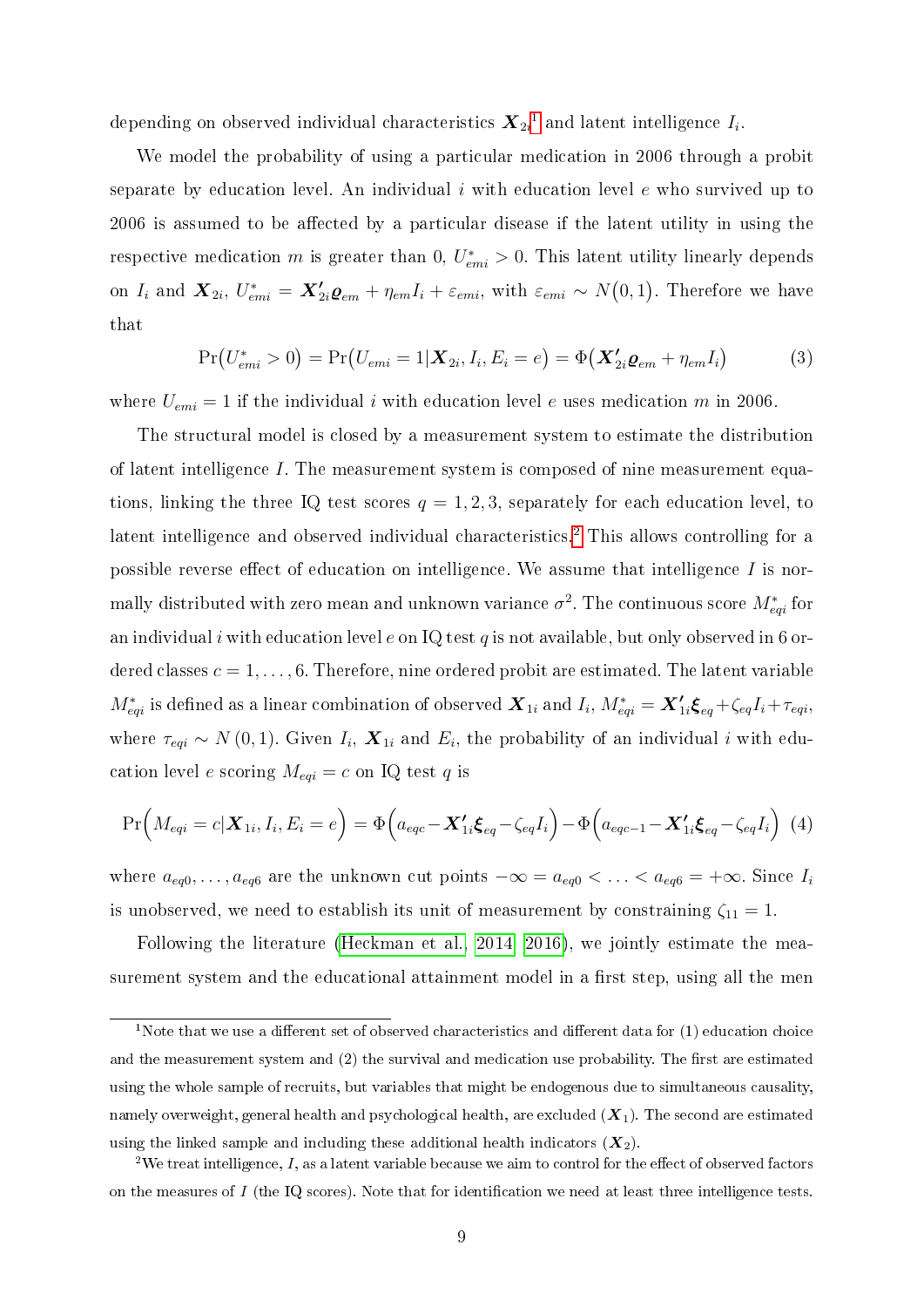depending on observed individual characteristics  $\boldsymbol{X}_{2i}{}^1$  $\boldsymbol{X}_{2i}{}^1$  and latent intelligence  $I_i.$ 

We model the probability of using a particular medication in 2006 through a probit separate by education level. An individual i with education level  $e$  who survived up to 2006 is assumed to be affected by a particular disease if the latent utility in using the respective medication m is greater than 0,  $U_{emi}^* > 0$ . This latent utility linearly depends on  $I_i$  and  $\bm{X}_{2i}$ ,  $U^*_{emi} = \bm{X}_{2i}^{\prime}\bm{\varrho}_{em} + \eta_{em}I_i + \varepsilon_{emi}$ , with  $\varepsilon_{emi} \sim N(0,1)$ . Therefore we have that

$$
Pr(U_{emi}^* > 0) = Pr(U_{emi} = 1 | \mathbf{X}_{2i}, I_i, E_i = e) = \Phi(\mathbf{X}_{2i}' \mathbf{Q}_{em} + \eta_{em} I_i)
$$
(3)

where  $U_{emi} = 1$  if the individual i with education level e uses medication m in 2006.

The structural model is closed by a measurement system to estimate the distribution of latent intelligence I. The measurement system is composed of nine measurement equations, linking the three IQ test scores  $q = 1, 2, 3$ , separately for each education level, to latent intelligence and observed individual characteristics.<sup>[2](#page--1-0)</sup> This allows controlling for a possible reverse effect of education on intelligence. We assume that intelligence  $I$  is normally distributed with zero mean and unknown variance  $\sigma^2$ . The continuous score  $M_{eqi}^*$  for an individual i with education level e on IQ test q is not available, but only observed in 6 ordered classes  $c = 1, \ldots, 6$ . Therefore, nine ordered probit are estimated. The latent variable  $M^*_{eqi}$  is defined as a linear combination of observed  $\bm{X}_{1i}$  and  $I_i$ ,  $M^*_{eqi} = \bm{X}^\prime_{1i} \bm{\xi}_{eq} + \zeta_{eq} I_i + \tau_{eqi}$ , where  $\tau_{eqi} \sim N(0, 1)$ . Given  $I_i$ ,  $\mathbf{X}_{1i}$  and  $E_i$ , the probability of an individual i with education level e scoring  $M_{eqi} = c$  on IQ test q is

$$
\Pr\Big(M_{eqi}=c|\boldsymbol{X}_{1i},I_i,E_i=e\Big)=\Phi\Big(a_{eqc}-\boldsymbol{X'_{1i}}\boldsymbol{\xi}_{eq}-\zeta_{eq}I_i\Big)-\Phi\Big(a_{eqc-1}-\boldsymbol{X'_{1i}}\boldsymbol{\xi}_{eq}-\zeta_{eq}I_i\Big)\tag{4}
$$

where  $a_{eq0}, \ldots, a_{eq6}$  are the unknown cut points  $-\infty = a_{eq0} < \ldots < a_{eq6} = +\infty$ . Since  $I_i$ is unobserved, we need to establish its unit of measurement by constraining  $\zeta_{11} = 1$ .

Following the literature [\(Heckman et al., 2014,](#page-19-3) [2016\)](#page-19-4), we jointly estimate the measurement system and the educational attainment model in a first step, using all the men

<sup>&</sup>lt;sup>1</sup>Note that we use a different set of observed characteristics and different data for  $(1)$  education choice and the measurement system and (2) the survival and medication use probability. The first are estimated using the whole sample of recruits, but variables that might be endogenous due to simultaneous causality, namely overweight, general health and psychological health, are excluded  $(X_1)$ . The second are estimated using the linked sample and including these additional health indicators  $(X_2)$ .

<sup>&</sup>lt;sup>2</sup>We treat intelligence,  $I$ , as a latent variable because we aim to control for the effect of observed factors on the measures of  $I$  (the IQ scores). Note that for identification we need at least three intelligence tests.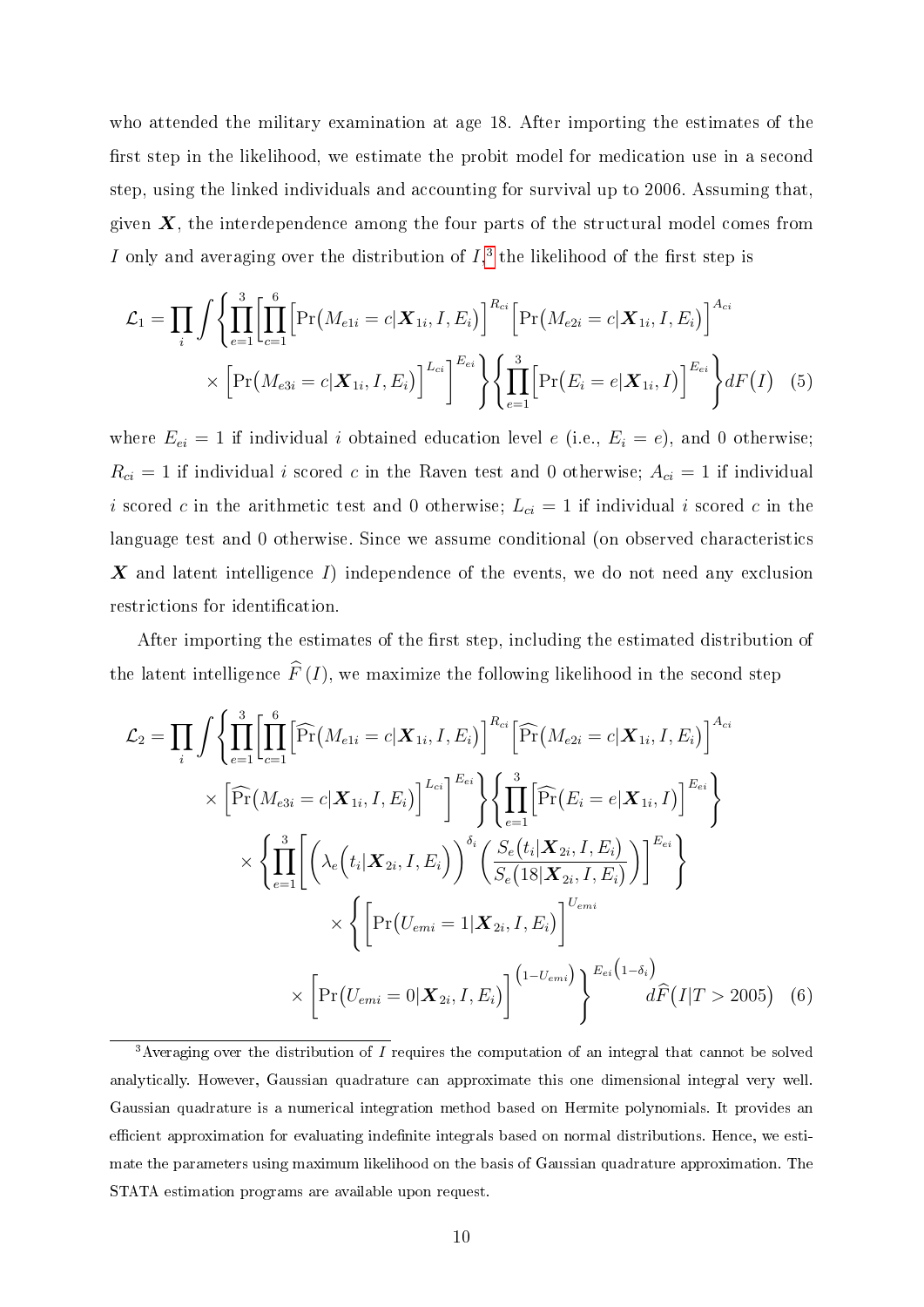who attended the military examination at age 18. After importing the estimates of the first step in the likelihood, we estimate the probit model for medication use in a second step, using the linked individuals and accounting for survival up to 2006. Assuming that, given  $\boldsymbol{X}$ , the interdependence among the four parts of the structural model comes from I only and averaging over the distribution of  $I$ <sup>[3](#page--1-0)</sup>, the likelihood of the first step is

$$
\mathcal{L}_1 = \prod_i \int \left\{ \prod_{e=1}^3 \left[ \prod_{c=1}^6 \left[ \Pr\left(M_{e1i} = c | \mathbf{X}_{1i}, I, E_i\right) \right]^{R_{ci}} \left[ \Pr\left(M_{e2i} = c | \mathbf{X}_{1i}, I, E_i\right) \right]^{A_{ci}} \right\} \times \left[ \Pr\left(M_{e3i} = c | \mathbf{X}_{1i}, I, E_i\right) \right]^{L_{ci}} \right\} \left\{ \prod_{e=1}^3 \left[ \Pr\left(E_i = e | \mathbf{X}_{1i}, I\right) \right]^{E_{ei}} \right\} dF(I) \tag{5}
$$

where  $E_{ei} = 1$  if individual i obtained education level e (i.e.,  $E_i = e$ ), and 0 otherwise;  $R_{ci} = 1$  if individual i scored c in the Raven test and 0 otherwise;  $A_{ci} = 1$  if individual i scored c in the arithmetic test and 0 otherwise;  $L_{ci} = 1$  if individual i scored c in the language test and 0 otherwise. Since we assume conditional (on observed characteristics  $\boldsymbol{X}$  and latent intelligence I) independence of the events, we do not need any exclusion restrictions for identification.

After importing the estimates of the first step, including the estimated distribution of the latent intelligence  $\widehat{F}(I)$ , we maximize the following likelihood in the second step

$$
\mathcal{L}_2 = \prod_i \int \left\{ \prod_{e=1}^3 \left[ \widehat{\Pr}(M_{e1i} = c | \mathbf{X}_{1i}, I, E_i) \right]^{R_{ci}} \left[ \widehat{\Pr}(M_{e2i} = c | \mathbf{X}_{1i}, I, E_i) \right]^{A_{ci}} \right\}
$$

$$
\times \left[ \widehat{\Pr}(M_{e3i} = c | \mathbf{X}_{1i}, I, E_i) \right]^{L_{ci}} \right\}^{E_{ci}} \left\{ \prod_{e=1}^3 \left[ \widehat{\Pr}(E_i = e | \mathbf{X}_{1i}, I) \right]^{E_{ci}} \right\}
$$

$$
\times \left\{ \prod_{e=1}^3 \left[ \left( \lambda_e \left( t_i | \mathbf{X}_{2i}, I, E_i \right) \right)^{\delta_i} \left( \frac{S_e(t_i | \mathbf{X}_{2i}, I, E_i)}{S_e(18 | \mathbf{X}_{2i}, I, E_i)} \right) \right]^{E_{ci}} \right\}
$$

$$
\times \left\{ \left[ \Pr(U_{emi} = 1 | \mathbf{X}_{2i}, I, E_i) \right]^{U_{emi}} \right\}
$$

$$
\times \left[ \Pr(U_{emi} = 0 | \mathbf{X}_{2i}, I, E_i) \right]^{U_{emi}} \right\}^{E_{ci}(1 - \delta_i)}
$$

$$
d\widehat{F}(I | T > 2005) \tag{6}
$$

<sup>&</sup>lt;sup>3</sup> Averaging over the distribution of I requires the computation of an integral that cannot be solved analytically. However, Gaussian quadrature can approximate this one dimensional integral very well. Gaussian quadrature is a numerical integration method based on Hermite polynomials. It provides an efficient approximation for evaluating indefinite integrals based on normal distributions. Hence, we estimate the parameters using maximum likelihood on the basis of Gaussian quadrature approximation. The STATA estimation programs are available upon request.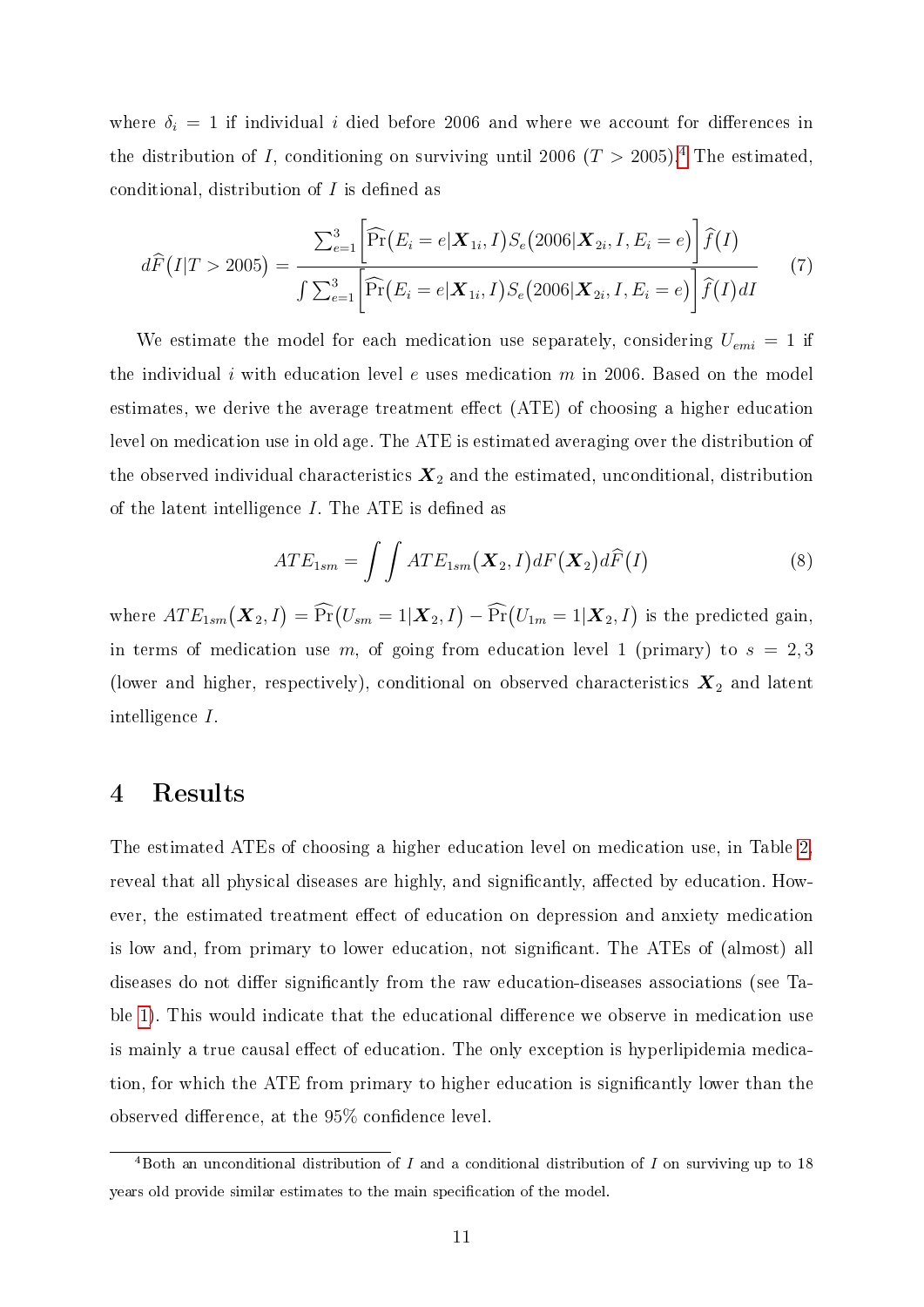where  $\delta_i = 1$  if individual i died before 2006 and where we account for differences in the distribution of I, conditioning on surviving until 2006 ( $T > 2005$ ).<sup>[4](#page--1-0)</sup> The estimated, conditional, distribution of  $I$  is defined as

$$
d\widehat{F}(I|T > 2005) = \frac{\sum_{e=1}^{3} \left[ \widehat{\Pr}(E_i = e | \mathbf{X}_{1i}, I) S_e(2006 | \mathbf{X}_{2i}, I, E_i = e) \right] \widehat{f}(I)}{\int \sum_{e=1}^{3} \left[ \widehat{\Pr}(E_i = e | \mathbf{X}_{1i}, I) S_e(2006 | \mathbf{X}_{2i}, I, E_i = e) \right] \widehat{f}(I) dI}
$$
(7)

We estimate the model for each medication use separately, considering  $U_{emi} = 1$  if the individual i with education level e uses medication  $m$  in 2006. Based on the model estimates, we derive the average treatment effect  $(ATE)$  of choosing a higher education level on medication use in old age. The ATE is estimated averaging over the distribution of the observed individual characteristics  $\mathbf{X}_2$  and the estimated, unconditional, distribution of the latent intelligence  $I$ . The ATE is defined as

$$
ATE_{1sm} = \int \int ATE_{1sm}(\boldsymbol{X}_2, I) dF(\boldsymbol{X}_2) d\widehat{F}(I)
$$
\n(8)

where  $ATE_{1sm}(\boldsymbol{X}_2, I) = \widehat{\Pr}(U_{sm} = 1 | \boldsymbol{X}_2, I) - \widehat{\Pr}(U_{1m} = 1 | \boldsymbol{X}_2, I)$  is the predicted gain, in terms of medication use m, of going from education level 1 (primary) to  $s = 2, 3$ (lower and higher, respectively), conditional on observed characteristics  $\boldsymbol{X}_2$  and latent intelligence I.

#### 4 Results

The estimated ATEs of choosing a higher education level on medication use, in Table [2,](#page-14-0) reveal that all physical diseases are highly, and significantly, affected by education. However, the estimated treatment effect of education on depression and anxiety medication is low and, from primary to lower education, not significant. The ATEs of (almost) all diseases do not differ significantly from the raw education-diseases associations (see Ta-ble [1\)](#page-8-0). This would indicate that the educational difference we observe in medication use is mainly a true causal effect of education. The only exception is hyperlipidemia medication, for which the ATE from primary to higher education is signicantly lower than the observed difference, at the  $95\%$  confidence level.

<sup>&</sup>lt;sup>4</sup>Both an unconditional distribution of I and a conditional distribution of I on surviving up to 18 years old provide similar estimates to the main specification of the model.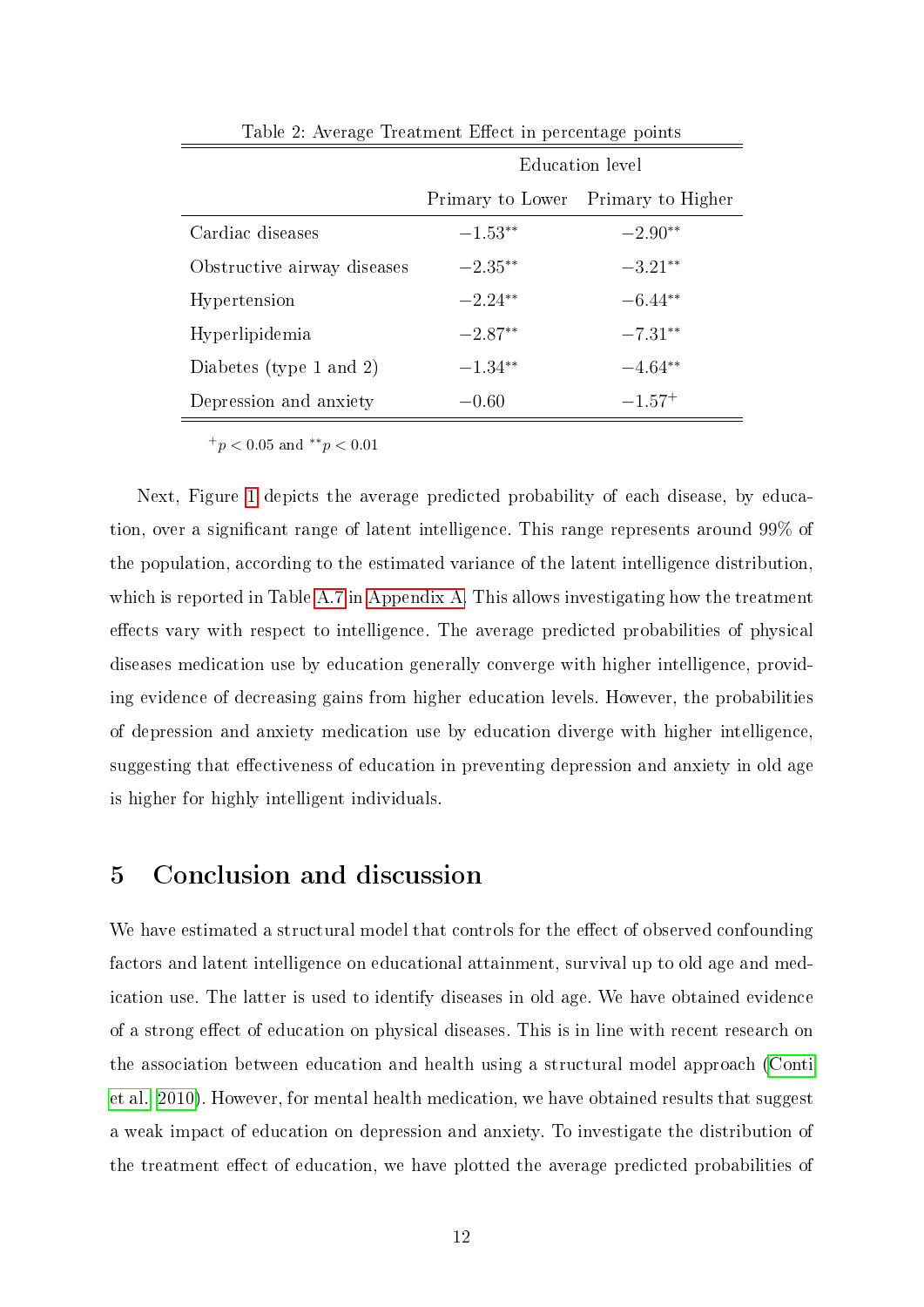|                             | Education level |                                    |  |  |  |
|-----------------------------|-----------------|------------------------------------|--|--|--|
|                             |                 | Primary to Lower Primary to Higher |  |  |  |
| Cardiac diseases            | $-1.53**$       | $-2.90**$                          |  |  |  |
| Obstructive airway diseases | $-2.35**$       | $-3.21**$                          |  |  |  |
| Hypertension                | $-2.24**$       | $-6.44**$                          |  |  |  |
| Hyperlipidemia              | $-2.87**$       | $-7.31**$                          |  |  |  |
| Diabetes (type 1 and 2)     | $-1.34**$       | $-4.64**$                          |  |  |  |
| Depression and anxiety      | $-0.60$         | $-1.57+$                           |  |  |  |
|                             |                 |                                    |  |  |  |

<span id="page-14-0"></span>Table 2: Average Treatment Effect in percentage points

Next, Figure [1](#page-15-0) depicts the average predicted probability of each disease, by education, over a signicant range of latent intelligence. This range represents around 99% of the population, according to the estimated variance of the latent intelligence distribution, which is reported in Table [A.7](#page-26-0) in [Appendix A.](#page-21-0) This allows investigating how the treatment effects vary with respect to intelligence. The average predicted probabilities of physical diseases medication use by education generally converge with higher intelligence, providing evidence of decreasing gains from higher education levels. However, the probabilities of depression and anxiety medication use by education diverge with higher intelligence, suggesting that effectiveness of education in preventing depression and anxiety in old age is higher for highly intelligent individuals.

#### 5 Conclusion and discussion

We have estimated a structural model that controls for the effect of observed confounding factors and latent intelligence on educational attainment, survival up to old age and medication use. The latter is used to identify diseases in old age. We have obtained evidence of a strong effect of education on physical diseases. This is in line with recent research on the association between education and health using a structural model approach [\(Conti](#page-18-5) [et al., 2010\)](#page-18-5). However, for mental health medication, we have obtained results that suggest a weak impact of education on depression and anxiety. To investigate the distribution of the treatment effect of education, we have plotted the average predicted probabilities of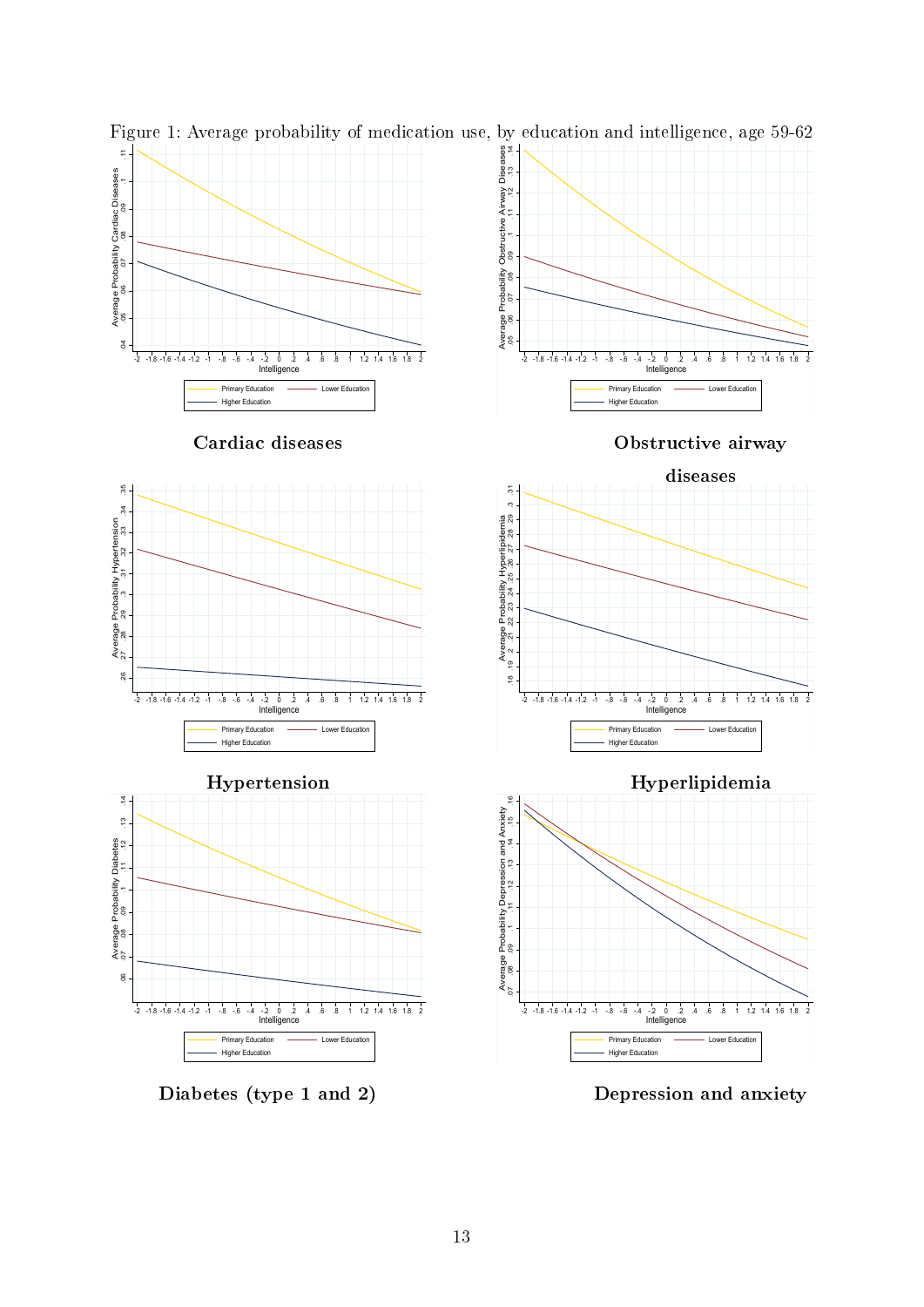

<span id="page-15-0"></span>Figure 1: Average probability of medication use, by education and intelligence, age 59-62

Diabetes (type 1 and 2) Depression and anxiety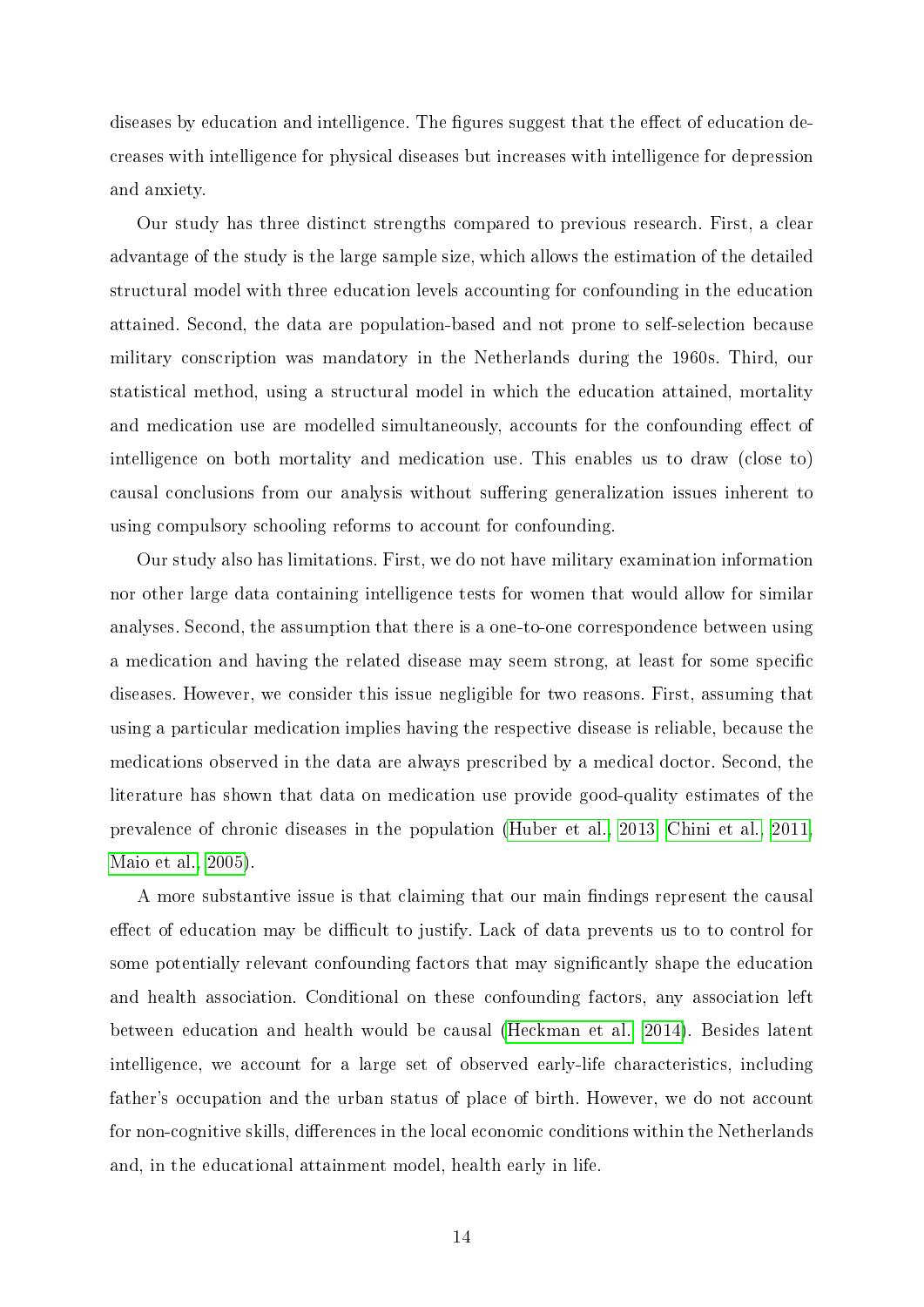diseases by education and intelligence. The figures suggest that the effect of education decreases with intelligence for physical diseases but increases with intelligence for depression and anxiety.

Our study has three distinct strengths compared to previous research. First, a clear advantage of the study is the large sample size, which allows the estimation of the detailed structural model with three education levels accounting for confounding in the education attained. Second, the data are population-based and not prone to self-selection because military conscription was mandatory in the Netherlands during the 1960s. Third, our statistical method, using a structural model in which the education attained, mortality and medication use are modelled simultaneously, accounts for the confounding effect of intelligence on both mortality and medication use. This enables us to draw (close to) causal conclusions from our analysis without suffering generalization issues inherent to using compulsory schooling reforms to account for confounding.

Our study also has limitations. First, we do not have military examination information nor other large data containing intelligence tests for women that would allow for similar analyses. Second, the assumption that there is a one-to-one correspondence between using a medication and having the related disease may seem strong, at least for some specific diseases. However, we consider this issue negligible for two reasons. First, assuming that using a particular medication implies having the respective disease is reliable, because the medications observed in the data are always prescribed by a medical doctor. Second, the literature has shown that data on medication use provide good-quality estimates of the prevalence of chronic diseases in the population [\(Huber et al., 2013,](#page-19-8) [Chini et al., 2011,](#page-18-8) [Maio et al., 2005\)](#page-20-7).

A more substantive issue is that claiming that our main findings represent the causal effect of education may be difficult to justify. Lack of data prevents us to to control for some potentially relevant confounding factors that may signicantly shape the education and health association. Conditional on these confounding factors, any association left between education and health would be causal [\(Heckman et al., 2014\)](#page-19-3). Besides latent intelligence, we account for a large set of observed early-life characteristics, including father's occupation and the urban status of place of birth. However, we do not account for non-cognitive skills, differences in the local economic conditions within the Netherlands and, in the educational attainment model, health early in life.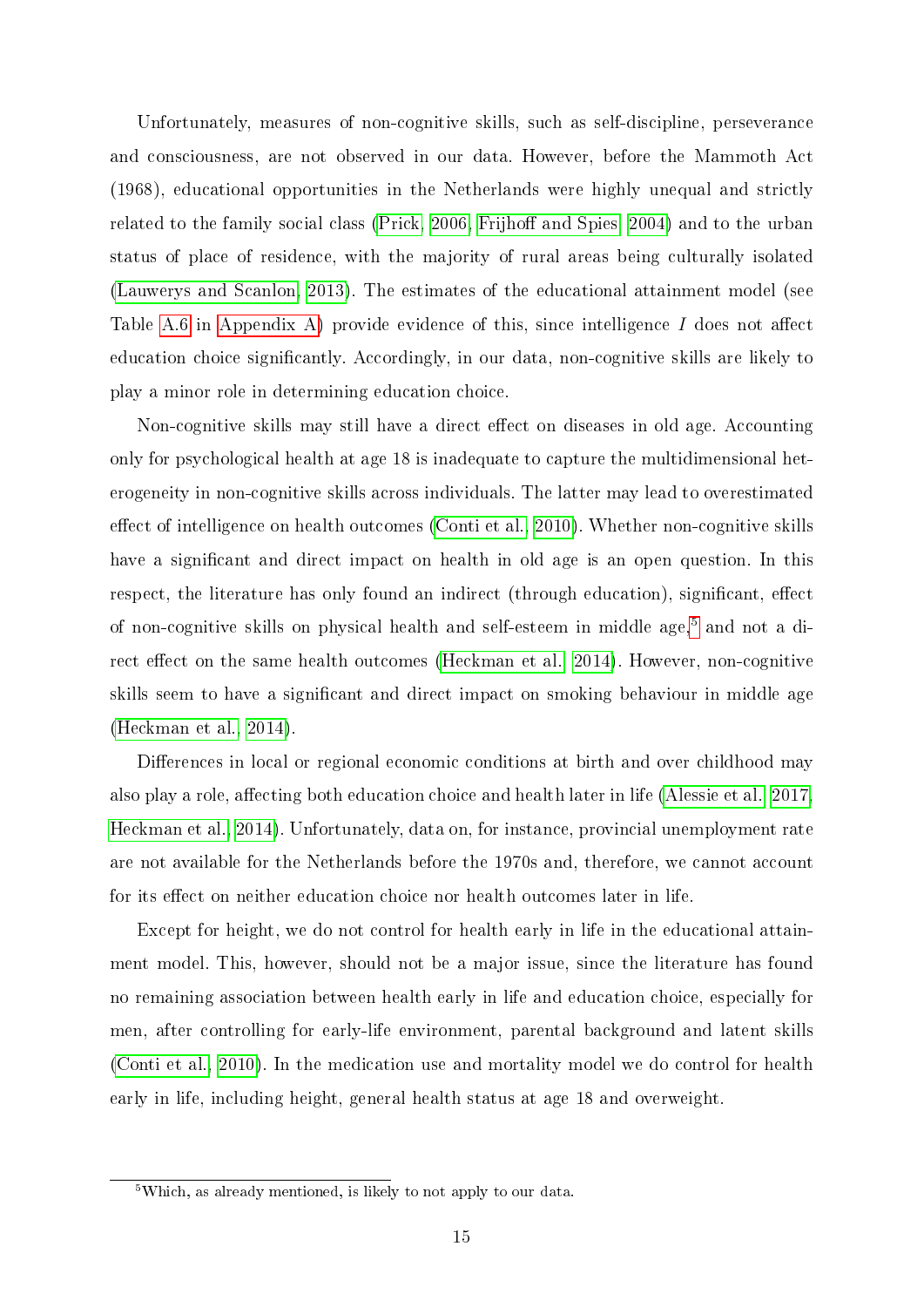Unfortunately, measures of non-cognitive skills, such as self-discipline, perseverance and consciousness, are not observed in our data. However, before the Mammoth Act (1968), educational opportunities in the Netherlands were highly unequal and strictly related to the family social class (Prick,  $2006$ , Frijhoff and Spies,  $2004$ ) and to the urban status of place of residence, with the majority of rural areas being culturally isolated [\(Lauwerys and Scanlon, 2013\)](#page-19-10). The estimates of the educational attainment model (see Table [A.6](#page-25-0) in [Appendix A\)](#page-21-0) provide evidence of this, since intelligence  $I$  does not affect education choice signicantly. Accordingly, in our data, non-cognitive skills are likely to play a minor role in determining education choice.

Non-cognitive skills may still have a direct effect on diseases in old age. Accounting only for psychological health at age 18 is inadequate to capture the multidimensional heterogeneity in non-cognitive skills across individuals. The latter may lead to overestimated effect of intelligence on health outcomes [\(Conti et al., 2010\)](#page-18-5). Whether non-cognitive skills have a significant and direct impact on health in old age is an open question. In this respect, the literature has only found an indirect (through education), significant, effect of non-cognitive skills on physical health and self-esteem in middle age,<sup>[5](#page--1-0)</sup> and not a di-rect effect on the same health outcomes [\(Heckman et al., 2014\)](#page-19-3). However, non-cognitive skills seem to have a signicant and direct impact on smoking behaviour in middle age [\(Heckman et al., 2014\)](#page-19-3).

Differences in local or regional economic conditions at birth and over childhood may also play a role, affecting both education choice and health later in life [\(Alessie et al., 2017,](#page-18-9) [Heckman et al., 2014\)](#page-19-3). Unfortunately, data on, for instance, provincial unemployment rate are not available for the Netherlands before the 1970s and, therefore, we cannot account for its effect on neither education choice nor health outcomes later in life.

Except for height, we do not control for health early in life in the educational attainment model. This, however, should not be a major issue, since the literature has found no remaining association between health early in life and education choice, especially for men, after controlling for early-life environment, parental background and latent skills [\(Conti et al., 2010\)](#page-18-5). In the medication use and mortality model we do control for health early in life, including height, general health status at age 18 and overweight.

<sup>&</sup>lt;sup>5</sup>Which, as already mentioned, is likely to not apply to our data.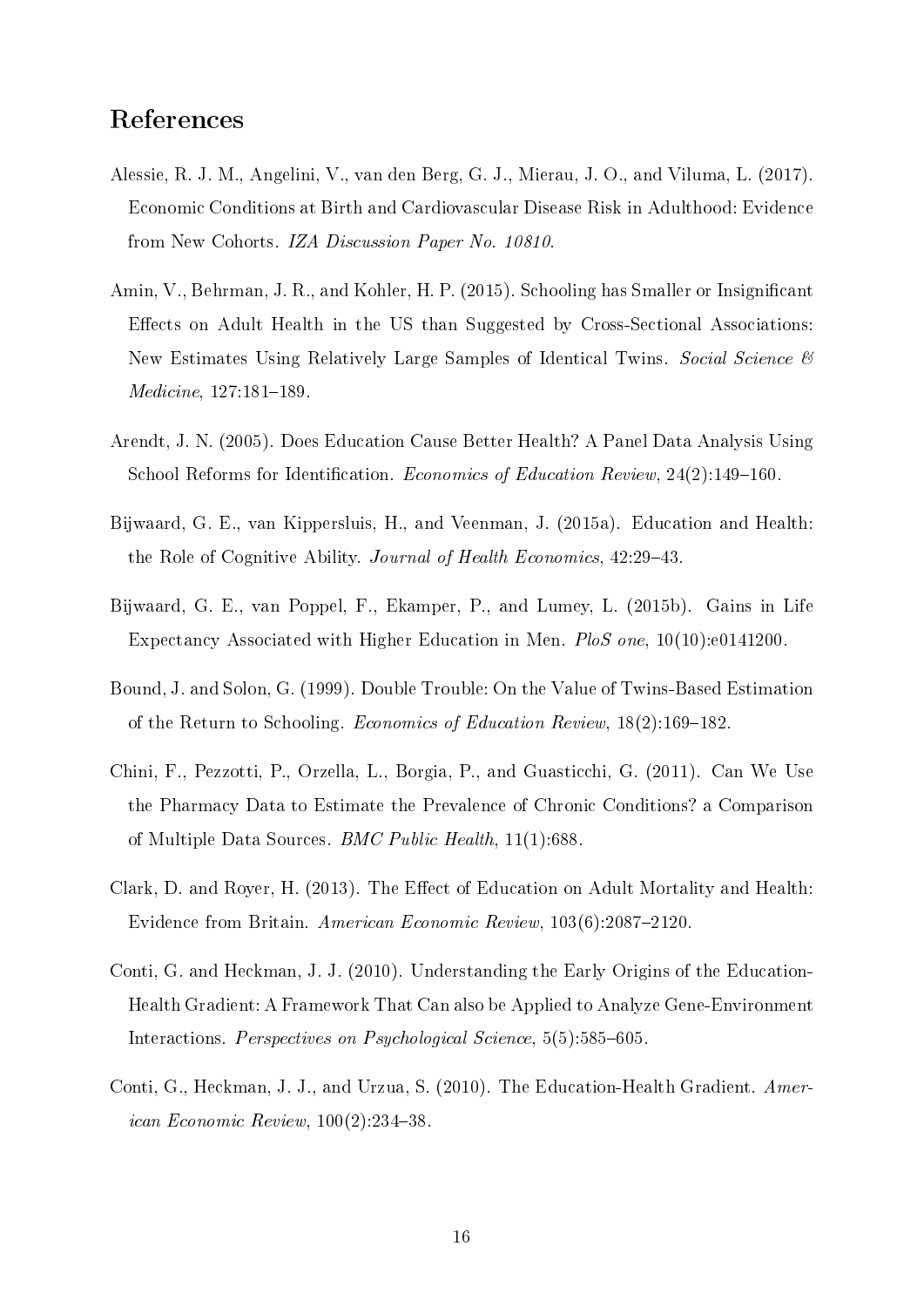### References

- <span id="page-18-9"></span>Alessie, R. J. M., Angelini, V., van den Berg, G. J., Mierau, J. O., and Viluma, L. (2017). Economic Conditions at Birth and Cardiovascular Disease Risk in Adulthood: Evidence from New Cohorts. IZA Discussion Paper No. 10810.
- <span id="page-18-1"></span>Amin, V., Behrman, J. R., and Kohler, H. P. (2015). Schooling has Smaller or Insignicant Effects on Adult Health in the US than Suggested by Cross-Sectional Associations: New Estimates Using Relatively Large Samples of Identical Twins. Social Science &  $Medicine, 127:181-189.$
- <span id="page-18-3"></span>Arendt, J. N. (2005). Does Education Cause Better Health? A Panel Data Analysis Using School Reforms for Identification. *Economics of Education Review*,  $24(2)$ :149-160.
- <span id="page-18-6"></span>Bijwaard, G. E., van Kippersluis, H., and Veenman, J. (2015a). Education and Health: the Role of Cognitive Ability. *Journal of Health Economics*, 42:29–43.
- <span id="page-18-7"></span>Bijwaard, G. E., van Poppel, F., Ekamper, P., and Lumey, L. (2015b). Gains in Life Expectancy Associated with Higher Education in Men. PloS one, 10(10):e0141200.
- <span id="page-18-2"></span>Bound, J. and Solon, G. (1999). Double Trouble: On the Value of Twins-Based Estimation of the Return to Schooling. Economics of Education Review,  $18(2)$ :169-182.
- <span id="page-18-8"></span>Chini, F., Pezzotti, P., Orzella, L., Borgia, P., and Guasticchi, G. (2011). Can We Use the Pharmacy Data to Estimate the Prevalence of Chronic Conditions? a Comparison of Multiple Data Sources. BMC Public Health, 11(1):688.
- <span id="page-18-0"></span>Clark, D. and Royer, H. (2013). The Effect of Education on Adult Mortality and Health: Evidence from Britain. American Economic Review, 103(6):2087-2120.
- <span id="page-18-4"></span>Conti, G. and Heckman, J. J. (2010). Understanding the Early Origins of the Education-Health Gradient: A Framework That Can also be Applied to Analyze Gene-Environment Interactions. Perspectives on Psychological Science, 5(5):585–605.
- <span id="page-18-5"></span>Conti, G., Heckman, J. J., and Urzua, S. (2010). The Education-Health Gradient. American Economic Review,  $100(2):234-38$ .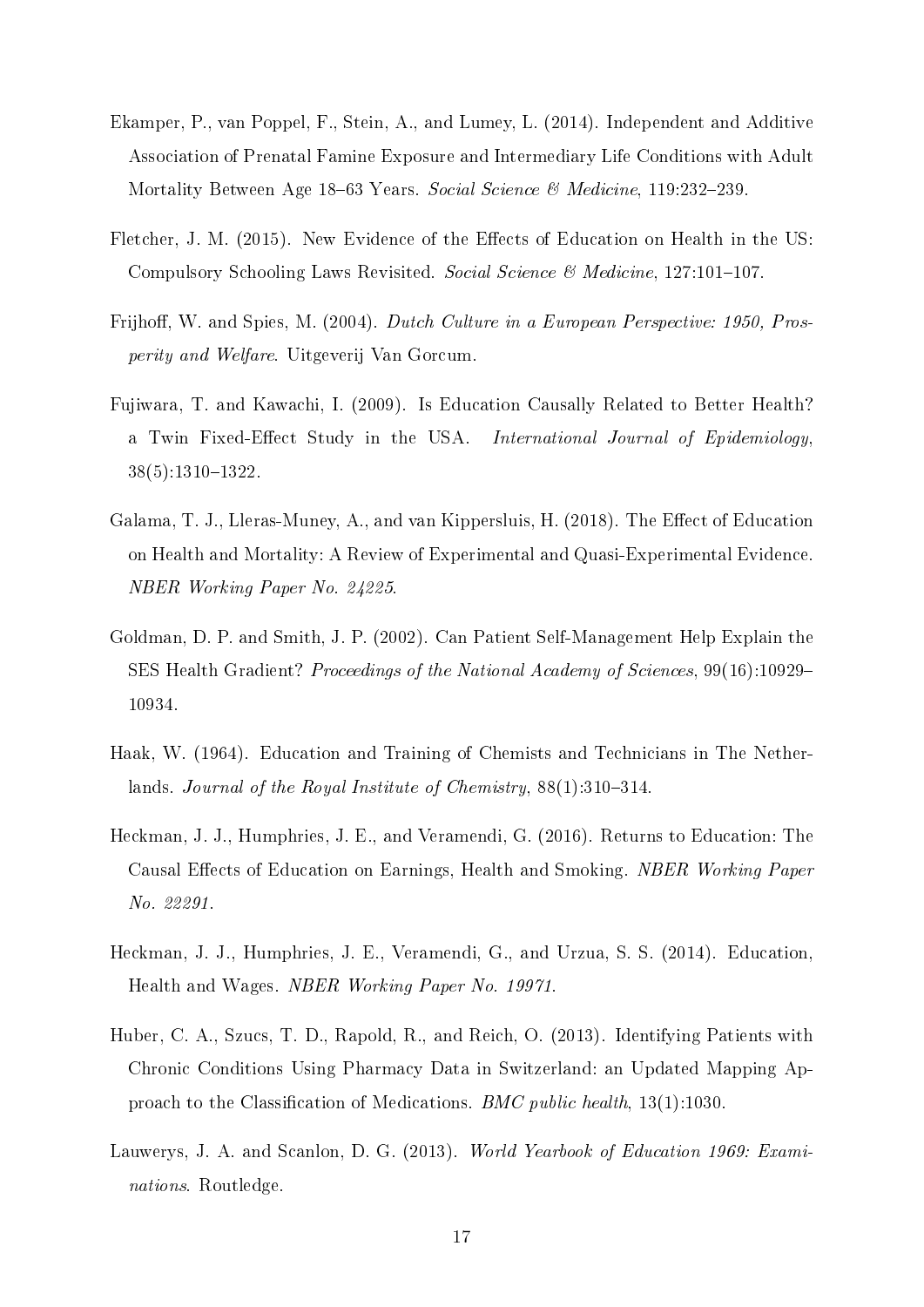- <span id="page-19-7"></span>Ekamper, P., van Poppel, F., Stein, A., and Lumey, L. (2014). Independent and Additive Association of Prenatal Famine Exposure and Intermediary Life Conditions with Adult Mortality Between Age 18–63 Years. Social Science & Medicine, 119:232–239.
- <span id="page-19-1"></span>Fletcher, J. M. (2015). New Evidence of the Effects of Education on Health in the US: Compulsory Schooling Laws Revisited. Social Science & Medicine,  $127:101-107$ .
- <span id="page-19-9"></span>Frijhoff, W. and Spies, M. (2004). Dutch Culture in a European Perspective: 1950, Prosperity and Welfare. Uitgeverij Van Gorcum.
- <span id="page-19-2"></span>Fujiwara, T. and Kawachi, I. (2009). Is Education Causally Related to Better Health? a Twin Fixed-Effect Study in the USA. International Journal of Epidemiology, 38(5):1310-1322.
- <span id="page-19-5"></span>Galama, T. J., Lleras-Muney, A., and van Kippersluis, H. (2018). The Effect of Education on Health and Mortality: A Review of Experimental and Quasi-Experimental Evidence. NBER Working Paper No. 24225.
- <span id="page-19-0"></span>Goldman, D. P. and Smith, J. P. (2002). Can Patient Self-Management Help Explain the SES Health Gradient? Proceedings of the National Academy of Sciences, 99(16):10929 10934.
- <span id="page-19-6"></span>Haak, W. (1964). Education and Training of Chemists and Technicians in The Netherlands. Journal of the Royal Institute of Chemistry,  $88(1):310-314$ .
- <span id="page-19-4"></span>Heckman, J. J., Humphries, J. E., and Veramendi, G. (2016). Returns to Education: The Causal Effects of Education on Earnings, Health and Smoking. NBER Working Paper No. 22291.
- <span id="page-19-3"></span>Heckman, J. J., Humphries, J. E., Veramendi, G., and Urzua, S. S. (2014). Education, Health and Wages. NBER Working Paper No. 19971.
- <span id="page-19-8"></span>Huber, C. A., Szucs, T. D., Rapold, R., and Reich, O. (2013). Identifying Patients with Chronic Conditions Using Pharmacy Data in Switzerland: an Updated Mapping Approach to the Classification of Medications. *BMC public health*,  $13(1):1030$ .
- <span id="page-19-10"></span>Lauwerys, J. A. and Scanlon, D. G. (2013). World Yearbook of Education 1969: Examinations. Routledge.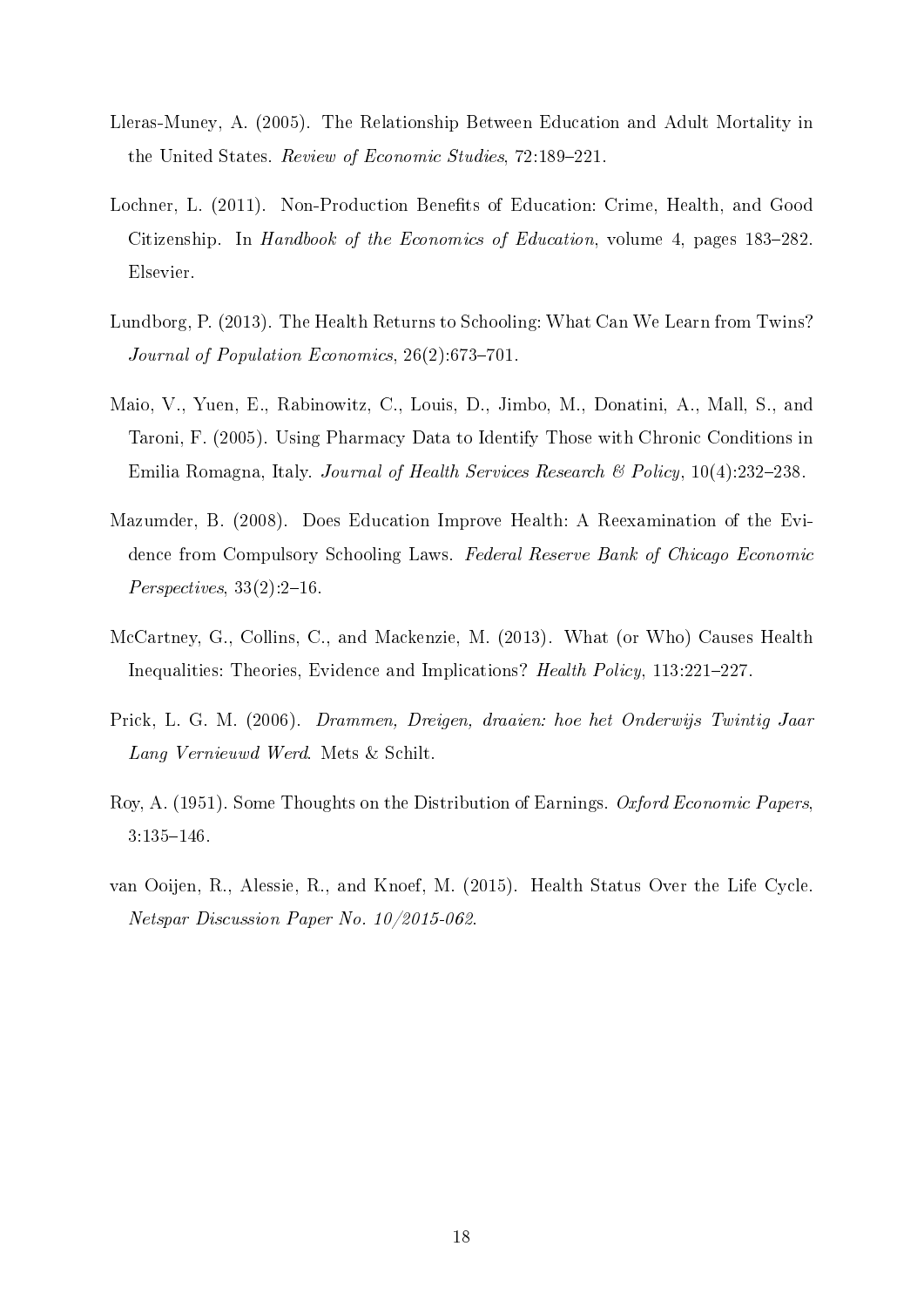- <span id="page-20-4"></span>Lleras-Muney, A. (2005). The Relationship Between Education and Adult Mortality in the United States. Review of Economic Studies, 72:189-221.
- <span id="page-20-0"></span>Lochner, L. (2011). Non-Production Benets of Education: Crime, Health, and Good Citizenship. In *Handbook of the Economics of Education*, volume 4, pages 183–282. Elsevier.
- <span id="page-20-3"></span>Lundborg, P. (2013). The Health Returns to Schooling: What Can We Learn from Twins? Journal of Population Economics,  $26(2):673-701$ .
- <span id="page-20-7"></span>Maio, V., Yuen, E., Rabinowitz, C., Louis, D., Jimbo, M., Donatini, A., Mall, S., and Taroni, F. (2005). Using Pharmacy Data to Identify Those with Chronic Conditions in Emilia Romagna, Italy. Journal of Health Services Research  $\mathcal B$  Policy, 10(4):232–238.
- <span id="page-20-1"></span>Mazumder, B. (2008). Does Education Improve Health: A Reexamination of the Evidence from Compulsory Schooling Laws. Federal Reserve Bank of Chicago Economic  $Perspecies, 33(2):2-16$ .
- <span id="page-20-2"></span>McCartney, G., Collins, C., and Mackenzie, M. (2013). What (or Who) Causes Health Inequalities: Theories, Evidence and Implications? Health Policy, 113:221-227.
- <span id="page-20-8"></span>Prick, L. G. M. (2006). Drammen, Dreigen, draaien: hoe het Onderwijs Twintig Jaar Lang Vernieuwd Werd. Mets & Schilt.
- <span id="page-20-6"></span>Roy, A. (1951). Some Thoughts on the Distribution of Earnings. Oxford Economic Papers,  $3:135-146.$
- <span id="page-20-5"></span>van Ooijen, R., Alessie, R., and Knoef, M. (2015). Health Status Over the Life Cycle. Netspar Discussion Paper No. 10/2015-062.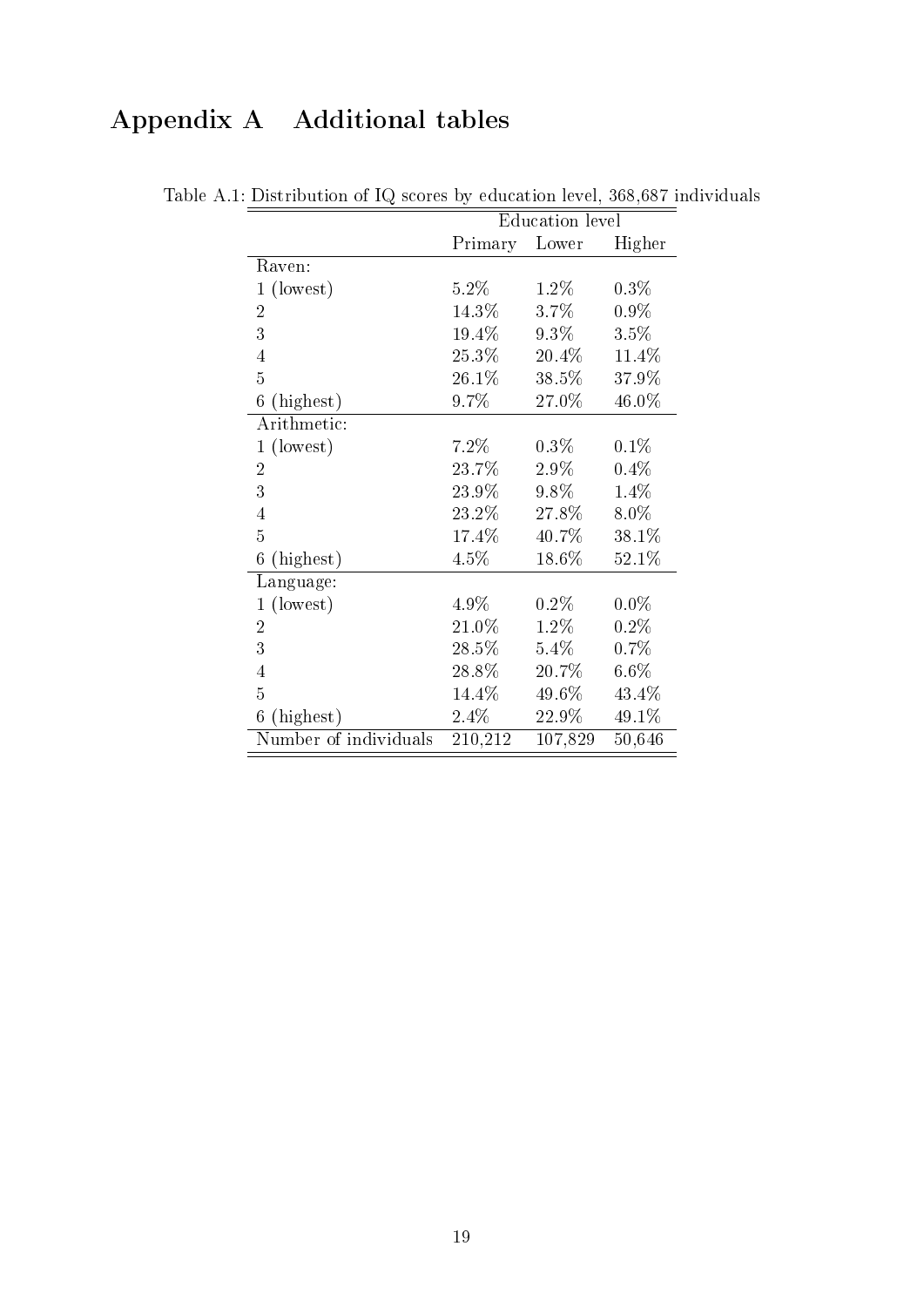### <span id="page-21-0"></span>Appendix A Additional tables

|                       | <b>Education</b> level |          |         |  |  |
|-----------------------|------------------------|----------|---------|--|--|
|                       | Primary                | Lower    | Higher  |  |  |
| Raven:                |                        |          |         |  |  |
| 1 (lowest)            | $5.2\%$                | $1.2\%$  | $0.3\%$ |  |  |
| $\overline{2}$        | 14.3%                  | $3.7\%$  | $0.9\%$ |  |  |
| 3                     | $19.4\%$               | $9.3\%$  | 3.5%    |  |  |
| $\overline{4}$        | $25.3\%$               | $20.4\%$ | 11.4%   |  |  |
| $\overline{5}$        | 26.1%                  | 38.5%    | 37.9%   |  |  |
| 6<br>(highest)        | 9.7%                   | 27.0%    | 46.0%   |  |  |
| Arithmetic:           |                        |          |         |  |  |
| 1 (lowest)            | $7.2\%$                | $0.3\%$  | $0.1\%$ |  |  |
| $\overline{2}$        | 23.7%                  | $2.9\%$  | $0.4\%$ |  |  |
| 3                     | 23.9%                  | $9.8\%$  | 1.4%    |  |  |
| $\overline{4}$        | $23.2\%$               | 27.8%    | 8.0%    |  |  |
| 5                     | 17.4%                  | 40.7%    | 38.1%   |  |  |
| (highest)<br>6        | 4.5%                   | 18.6%    | 52.1%   |  |  |
| Language:             |                        |          |         |  |  |
| $1$ (lowest)          | 4.9%                   | $0.2\%$  | $0.0\%$ |  |  |
| $\overline{2}$        | 21.0%                  | $1.2\%$  | $0.2\%$ |  |  |
| 3                     | $28.5\%$               | $5.4\%$  | $0.7\%$ |  |  |
| $\overline{4}$        | 28.8%                  | $20.7\%$ | $6.6\%$ |  |  |
| 5                     | 14.4\%                 | 49.6%    | 43.4%   |  |  |
| (highest)<br>6        | 2.4%                   | 22.9%    | 49.1%   |  |  |
| Number of individuals | 210,212                | 107,829  | 50,646  |  |  |

Table A.1: Distribution of IQ scores by education level, 368,687 individuals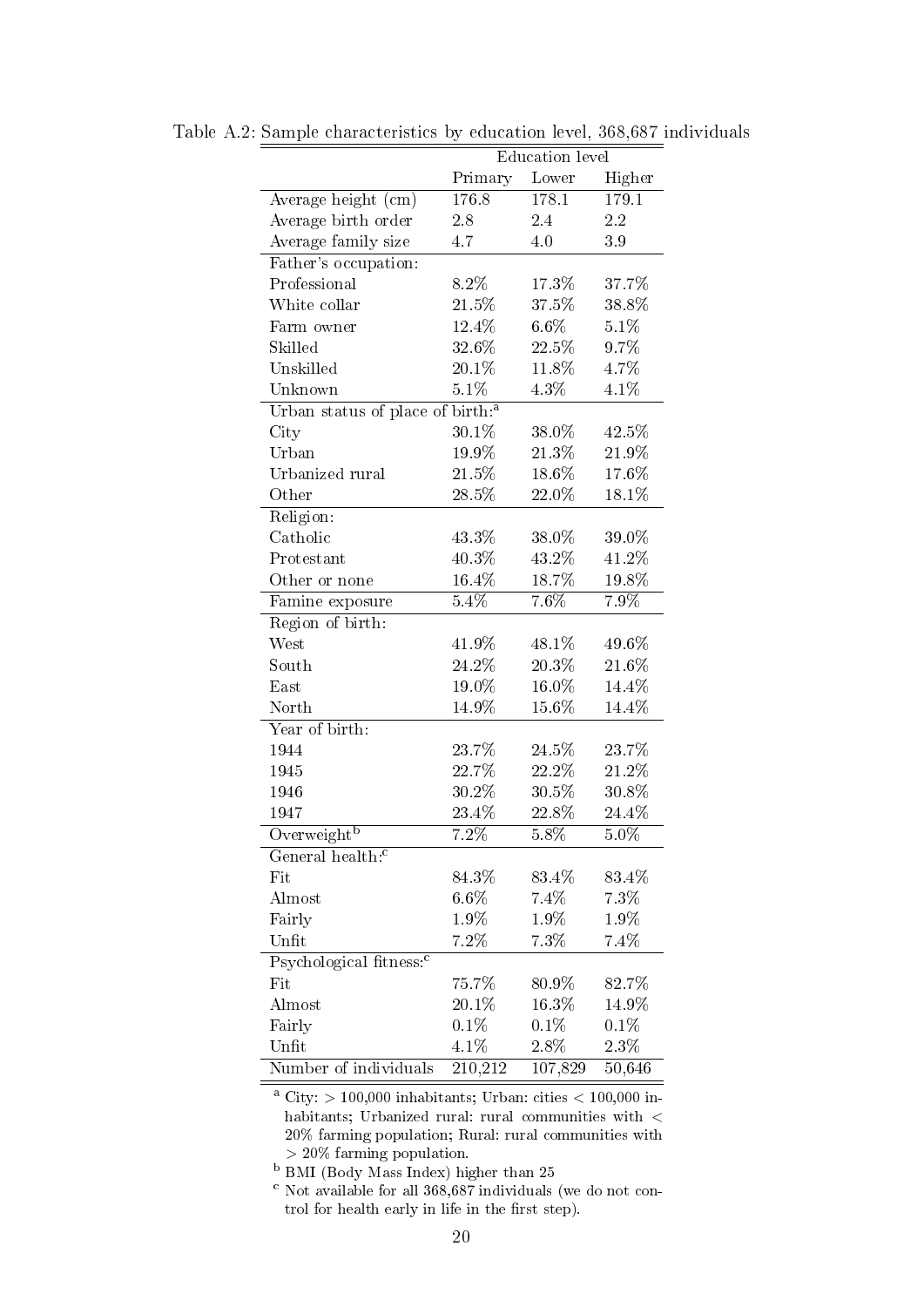|                                              |          | Education level |          |
|----------------------------------------------|----------|-----------------|----------|
|                                              | Primary  | Lower           | Higher   |
| Average height (cm)                          | 176.8    | 178.1           | 179.1    |
| Average birth order                          | 2.8      | 2.4             | 2.2      |
| Average family size                          | 4.7      | 4.0             | $3\,9$   |
| Father's occupation:                         |          |                 |          |
| Professional                                 | 8.2%     | 17.3%           | 37.7%    |
| White collar                                 | 21.5%    | 37.5%           | 38.8%    |
| Farm owner                                   | $12.4\%$ | $6.6\%$         | 5.1%     |
| Skilled                                      | 32.6%    | $22.5\%$        | 9.7%     |
| Unskilled                                    | 20.1%    | 11.8%           | 4.7%     |
| Unknown                                      | 5.1%     | 4.3%            | 4.1%     |
| Urban status of place of birth: <sup>a</sup> |          |                 |          |
| City                                         | 30.1%    | 38.0%           | 42.5%    |
| Urban                                        | 19.9%    | 21.3%           | 21.9%    |
| Urbanized rural                              | 21.5%    | 18.6%           | 17.6%    |
| Other                                        | 28.5%    | 22.0%           | 18.1%    |
| Religion:                                    |          |                 |          |
| Catholic                                     | 43.3%    | 38.0%           | 39.0%    |
| Protestant                                   | 40.3%    | 43.2%           | 41.2%    |
| Other or none                                | 16.4%    | 18.7%           | $19.8\%$ |
| Famine exposure                              | $5.4\%$  | 7.6%            | 7.9%     |
| Region of birth:                             |          |                 |          |
| West                                         | 41.9%    | 48.1%           | 49.6%    |
| South                                        | 24.2%    | 20.3%           | 21.6%    |
| East                                         | 19.0%    | 16.0%           | 14.4%    |
| North                                        | 14.9%    | 15.6%           | 14.4%    |
| Year of birth:                               |          |                 |          |
| 1944                                         | 23.7%    | 24.5%           | 23.7%    |
| 1945                                         | 22.7%    | 22.2%           | 21.2%    |
| 1946                                         | 30.2%    | 30.5%           | 30.8%    |
| 1947                                         | 23.4%    | 22.8%           | 24.4%    |
| Overweight <sup>b</sup>                      | 7.2%     | $5.8\%$         | $5.0\%$  |
| General health: <sup>c</sup>                 |          |                 |          |
| Fit                                          | 84.3%    | 83.4%           | 83.4%    |
| Almost                                       | $6.6\%$  | 7.4%            | 7.3%     |
| Fairly                                       | 1.9%     | $1.9\%$         | 1.9%     |
| Unfit                                        | $7.2\%$  | $7.3\%$         | 7.4%     |
| Psychological fitness: <sup>c</sup>          |          |                 |          |
| Fit                                          | 75.7%    | 80.9%           | 82.7%    |
| Almost                                       | 20.1%    | 16.3%           | 14.9%    |
| Fairly                                       | 0.1%     | 0.1%            | $0.1\%$  |
| Unfit                                        | 4.1%     | $2.8\%$         | $2.3\%$  |
| Number of individuals                        | 210,212  | 107,829         | 50,646   |

Table A.2: Sample characteristics by education level, 368,687 individuals

<sup>a</sup> City: > 100,000 inhabitants; Urban: cities < 100,000 inhabitants; Urbanized rural: rural communities with  $<\,$ 20% farming population; Rural: rural communities with > 20% farming population.

<sup>b</sup> BMI (Body Mass Index) higher than 25

 $c$  Not available for all  $368,687$  individuals (we do not control for health early in life in the first step).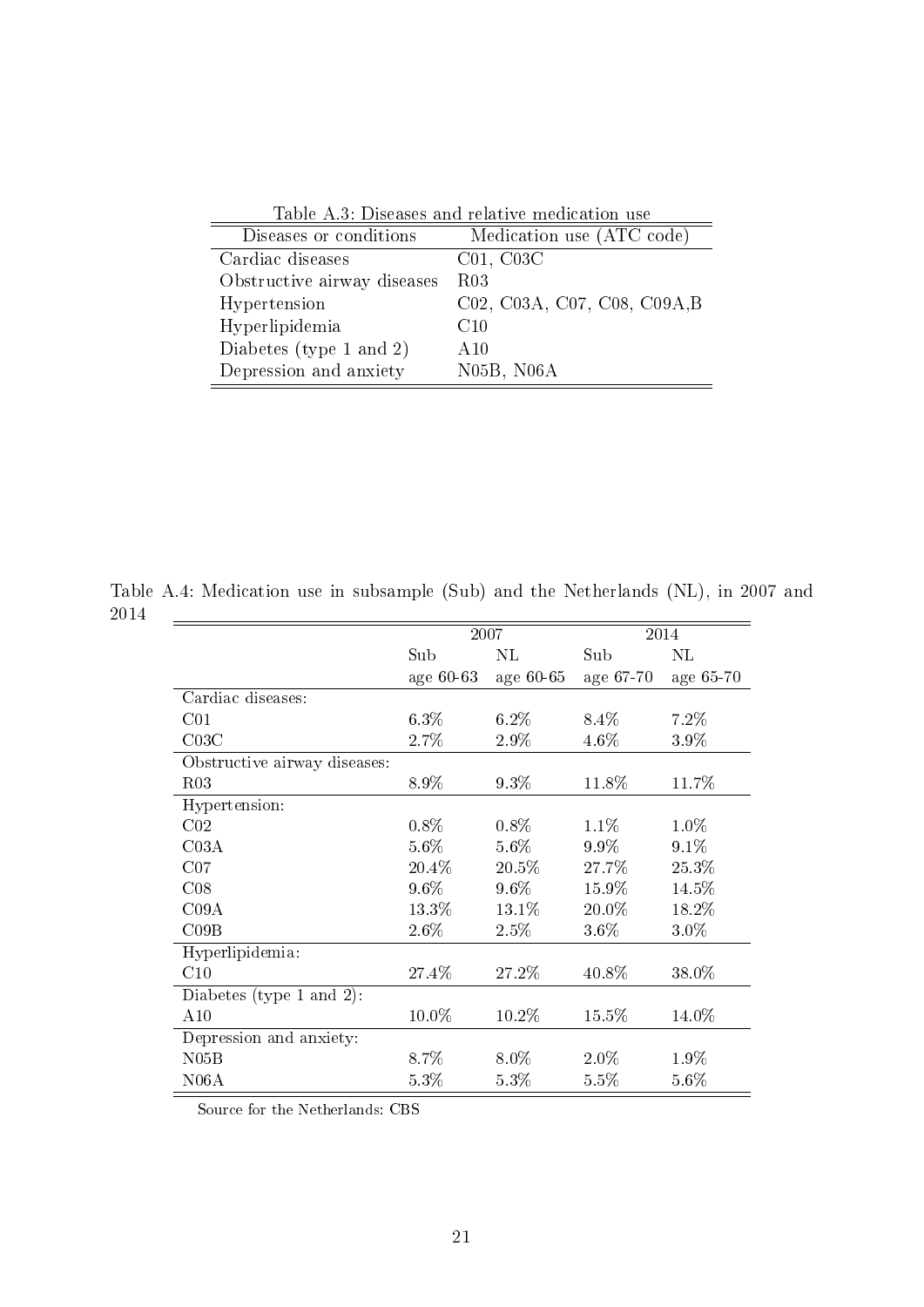| Table A.S. Diseases and relative inequitation use |                                     |  |  |  |
|---------------------------------------------------|-------------------------------------|--|--|--|
| Diseases or conditions                            | Medication use (ATC code)           |  |  |  |
| Cardiac diseases                                  | C <sub>01</sub> , C <sub>03</sub> C |  |  |  |
| Obstructive airway diseases                       | <b>R03</b>                          |  |  |  |
| Hypertension                                      | C02, C03A, C07, C08, C09A, B        |  |  |  |
| Hyperlipidemia                                    | C10                                 |  |  |  |
| Diabetes (type 1 and 2)                           | A10                                 |  |  |  |
| Depression and anxiety                            | N05B, N06A                          |  |  |  |

<span id="page-23-0"></span>Table A.3: Diseases and relative medication use

Table A.4: Medication use in subsample (Sub) and the Netherlands (NL), in 2007 and 2014  $\mathbb{R}^2$ 

<span id="page-23-1"></span>

|                              |           | 2007      |           | 2014      |
|------------------------------|-----------|-----------|-----------|-----------|
|                              | Sub       | $\rm NL$  | Sub       | $\rm NL$  |
|                              | age 60-63 | age 60-65 | age 67-70 | age 65-70 |
| Cardiac diseases:            |           |           |           |           |
| C <sub>01</sub>              | 6.3%      | 6.2%      | 8.4%      | 7.2%      |
| C03C                         | 2.7%      | 2.9%      | 4.6%      | 3.9%      |
| Obstructive airway diseases: |           |           |           |           |
| R03                          | 8.9%      | 9.3%      | 11.8%     | 11.7%     |
| Hypertension:                |           |           |           |           |
| C <sub>02</sub>              | $0.8\%$   | $0.8\%$   | 1.1%      | 1.0%      |
| C <sub>03A</sub>             | 5.6%      | 5.6%      | 9.9%      | 9.1%      |
| CO7                          | 20.4%     | 20.5%     | 27.7%     | 25.3%     |
| CO8                          | $9.6\%$   | 9.6%      | 15.9%     | 14.5%     |
| C09A                         | 13.3%     | 13.1%     | 20.0%     | 18.2%     |
| CO9B                         | 2.6%      | 2.5%      | 3.6%      | 3.0%      |
| Hyperlipidemia:              |           |           |           |           |
| C10                          | 27.4%     | 27.2%     | 40.8%     | 38.0%     |
| Diabetes (type 1 and 2):     |           |           |           |           |
| A10                          | 10.0%     | 10.2%     | 15.5%     | 14.0%     |
| Depression and anxiety:      |           |           |           |           |
| N05B                         | 8.7%      | 8.0%      | $2.0\%$   | 1.9%      |
| N06A                         | 5.3%      | 5.3%      | 5.5%      | $5.6\%$   |

Source for the Netherlands: CBS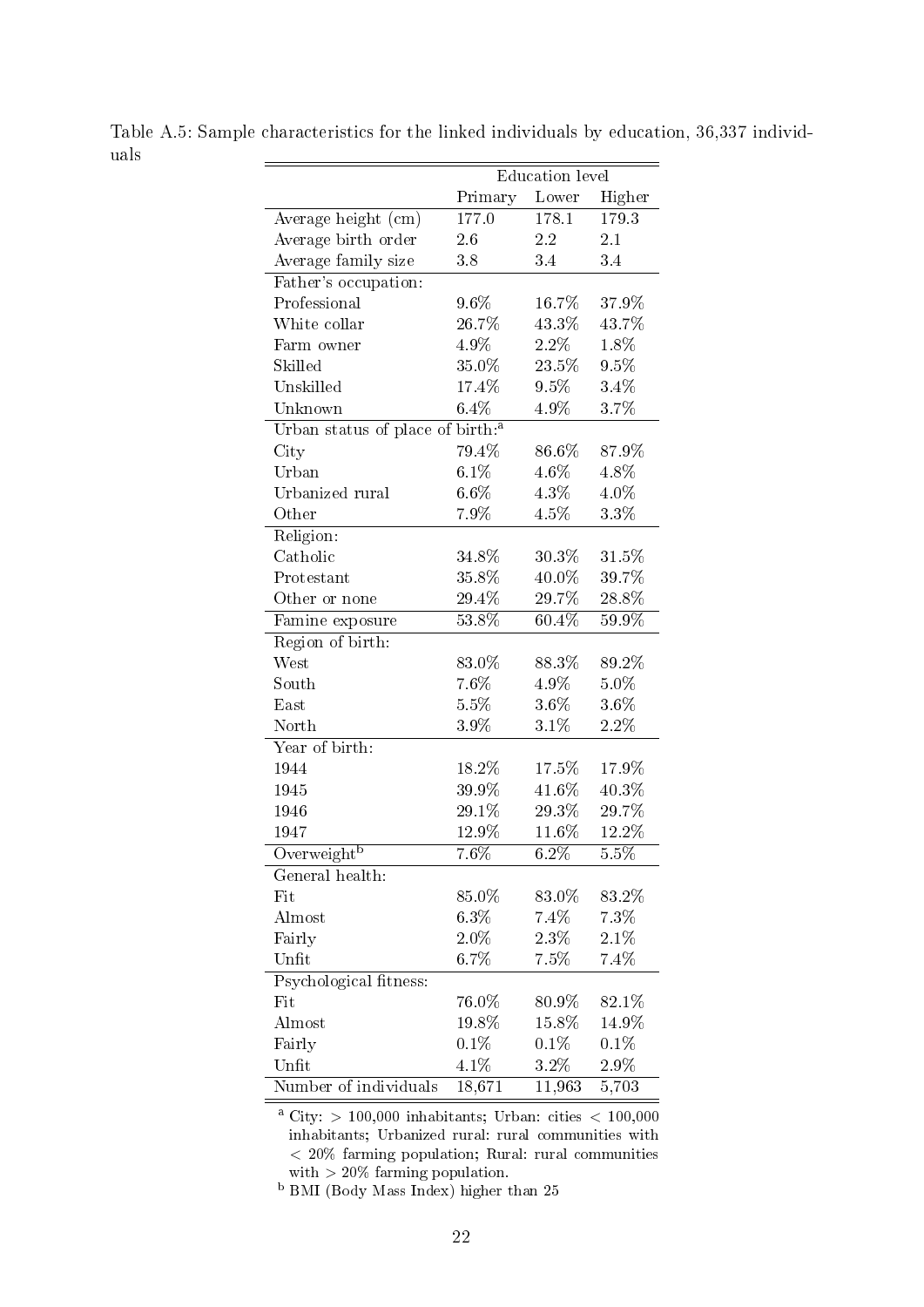<span id="page-24-0"></span>

|                                              |         | Education level |         |
|----------------------------------------------|---------|-----------------|---------|
|                                              | Primary | Lower           | Higher  |
| Average height (cm)                          | 177.0   | 178.1           | 179.3   |
| Average birth order                          | 2.6     | 2.2             | 2.1     |
| Average family size                          | 3.8     | $3.4\,$         | 3.4     |
| Father's occupation:                         |         |                 |         |
| Professional                                 | 9.6%    | $16.7\%$        | 37.9%   |
| White collar                                 | 26.7%   | 43.3%           | 43.7%   |
| Farm owner                                   | 4.9%    | 2.2%            | $1.8\%$ |
| Skilled                                      | 35.0%   | 23.5%           | 9.5%    |
| Unskilled                                    | 17.4%   | 9.5%            | 3.4%    |
| Unknown                                      | 6.4%    | 4.9%            | 3.7%    |
| Urban status of place of birth: <sup>a</sup> |         |                 |         |
| City                                         | 79.4%   | 86.6%           | 87.9%   |
| Urban                                        | 6.1%    | 4.6%            | 4.8%    |
| Urbanized rural                              | $6.6\%$ | 4.3%            | 4.0%    |
| Other                                        | 7.9%    | 4.5%            | 3.3%    |
| Religion:                                    |         |                 |         |
| Catholic                                     | 34.8%   | 30.3%           | 31.5%   |
| Protestant                                   | 35.8%   | 40.0%           | 39.7%   |
| Other or none                                | 29.4%   | 29.7%           | 28.8%   |
| Famine exposure                              | 53.8%   | 60.4%           | 59.9%   |
| Region of birth:                             |         |                 |         |
| West                                         | 83.0%   | 88.3%           | 89.2%   |
| South                                        | 7.6%    | 4.9%            | 5.0%    |
| East                                         | $5.5\%$ | 3.6%            | 3.6%    |
| North                                        | 39%     | 3.1%            | $2.2\%$ |
| Year of birth:                               |         |                 |         |
| 1944                                         | 18.2%   | 17.5%           | 17.9%   |
| 1945                                         | 39.9%   | 41.6%           | 40.3%   |
| 1946                                         | 29.1%   | 29.3%           | 29.7%   |
| 1947                                         | 12.9%   | 11.6%           | 12.2%   |
| $\overline{\text{Overweight}^b}$             | $7.6\%$ | $6.2\%$         | 5.5%    |
| General health:                              |         |                 |         |
| Fit                                          | 85.0%   | 83.0%           | 83.2%   |
| Almost                                       | 6.3%    | 7.4%            | 7.3%    |
| Fairly                                       | $2.0\%$ | 2.3%            | 2.1%    |
| Unfit                                        | 6.7%    | $7.5\%$         | 7.4%    |
| Psychological fitness:                       |         |                 |         |
| Fit                                          | 76.0%   | 80.9%           | 82.1%   |
| Almost                                       | 19.8%   | 15.8%           | 14.9%   |
| Fairly                                       | $0.1\%$ | 0.1%            | $0.1\%$ |
| Unfit                                        | 4.1%    | $3.2\%$         | $2.9\%$ |
| Number of individuals                        | 18,671  | 11,963          | 5,703   |

Table A.5: Sample characteristics for the linked individuals by education, 36,337 individuals

<sup>a</sup> City: > 100,000 inhabitants; Urban: cities < 100,000 inhabitants; Urbanized rural: rural communities with < 20% farming population; Rural: rural communities with  $> 20\%$  farming population.

 $b$  BMI (Body Mass Index) higher than 25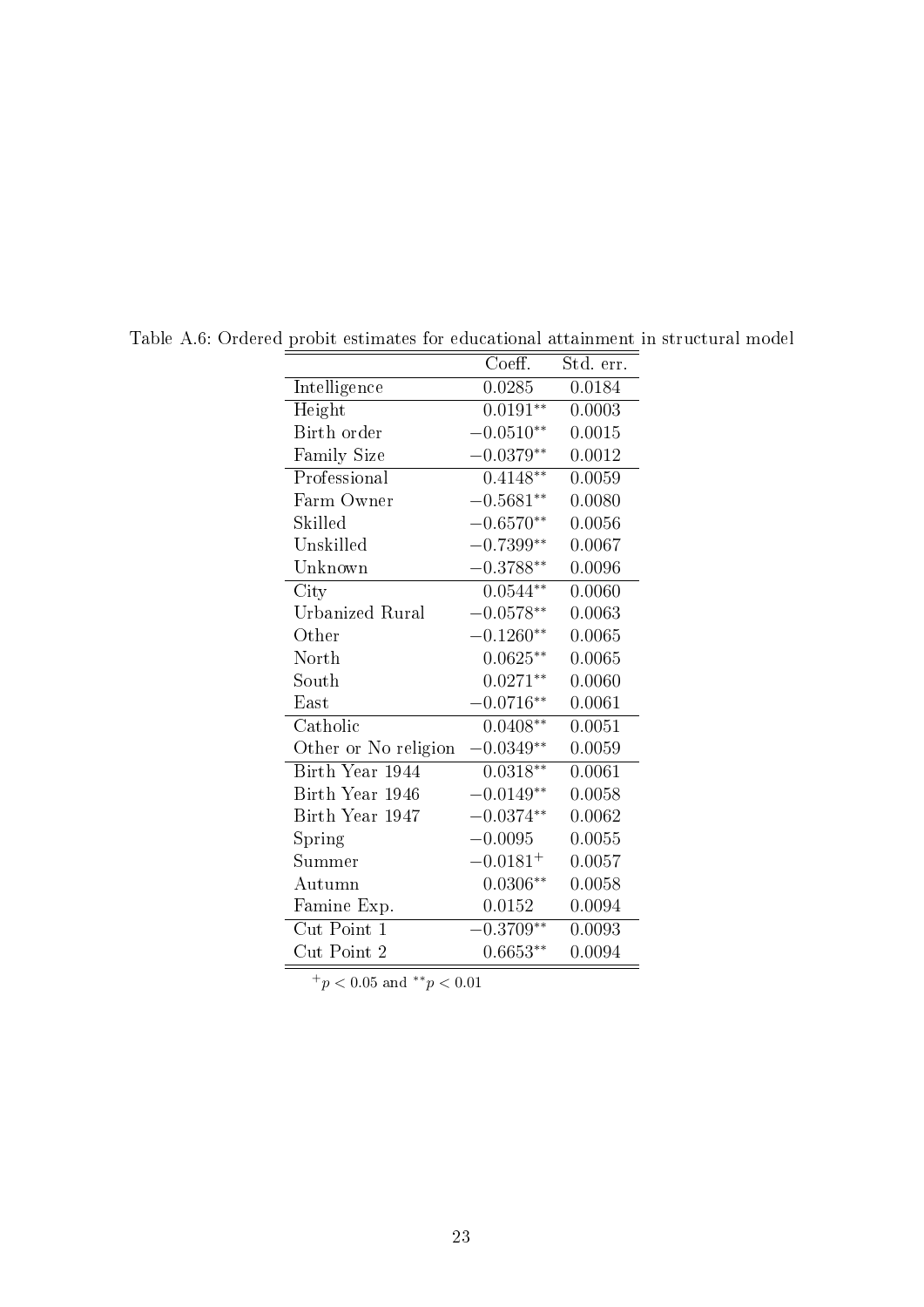<span id="page-25-0"></span>

|                         | Coeff.        | Std. err. |
|-------------------------|---------------|-----------|
| Intelligence            | 0.0285        | 0.0184    |
| Height                  | $0.0191**$    | 0.0003    |
| Birth order             | $-0.0510**$   | 0.0015    |
| Family Size             | $-0.0379**$   | 0.0012    |
| Professional            | $0.4148**$    | 0.0059    |
| Farm Owner              | $-0.5681**$   | 0.0080    |
| Skilled                 | $-0.6570**$   | 0.0056    |
| Unskilled               | $-0.7399**$   | 0.0067    |
| Unknown                 | $-0.3788**$   | 0.0096    |
| City                    | $0.0544**$    | 0.0060    |
| Urbanized Rural         | $-0.0578**$   | 0.0063    |
| Other                   | $-0.1260**$   | 0.0065    |
| North                   | $0.0625**$    | 0.0065    |
| South                   | $0.0271**$    | 0.0060    |
| East                    | $-0.0716**$   | 0.0061    |
| Catholic                | $0.0408**$    | 0.0051    |
| Other or No religion    | $-0.0349**$   | 0.0059    |
| Birth Year 1944         | $0.0318**$    | 0.0061    |
| Birth Year 1946         | $-0.0149**$   | 0.0058    |
| Birth Year 1947         | $-0.0374**$   | 0.0062    |
| Spring                  | $-0.0095$     | 0.0055    |
| $\operatorname{Summer}$ | $-0.0181^{+}$ | 0.0057    |
| Autumn                  | $0.0306**$    | 0.0058    |
| Famine Exp.             | 0.0152        | 0.0094    |
| Cut Point 1             | $-0.3709**$   | 0.0093    |
| Cut Point 2             | $0.6653**$    | 0.0094    |

Table A.6: Ordered probit estimates for educational attainment in structural model

 $\boxed{^+p<0.05}$  and  $^{**}p<0.01$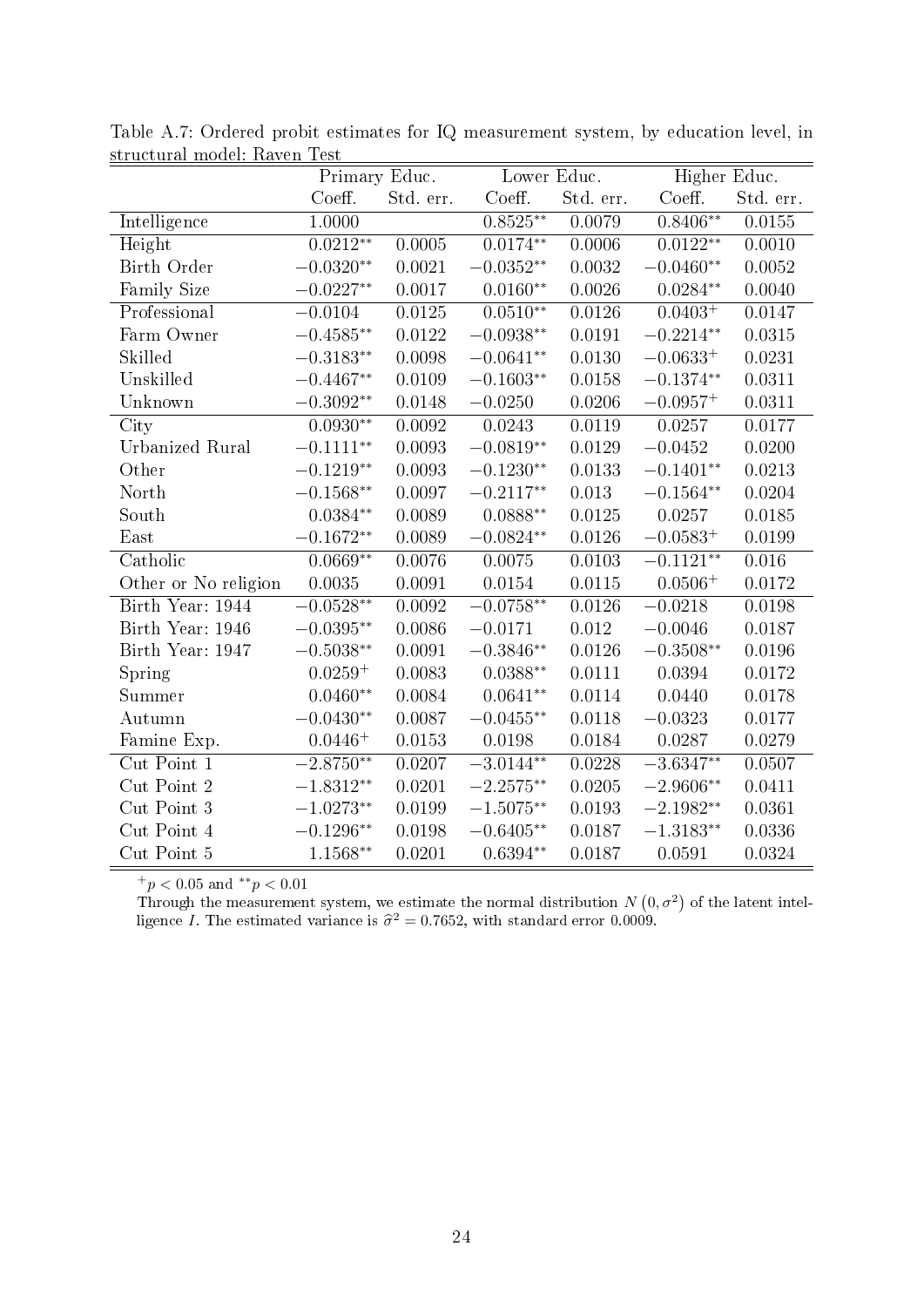| suructurar mouch, reaven rest | Primary Educ.            |           | Lower Educ.              |            | Higher Educ.             |           |
|-------------------------------|--------------------------|-----------|--------------------------|------------|--------------------------|-----------|
|                               | Coeff.                   | Std. err. | Coeff.                   | Std. err.  | Coeff.                   | Std. err. |
| <b>Intelligence</b>           | 1.0000                   |           | $0.8525***$              | 0.0079     | $0.8406**$               | 0.0155    |
| Height                        | $0.02\overline{12^{**}}$ | 0.0005    | $0.01\overline{74^{**}}$ | 0.0006     | $0.01\overline{22^{**}}$ | 0.0010    |
| <b>Birth Order</b>            | $-0.0320**$              | 0.0021    | $-0.0352**$              | 0.0032     | $-0.0460**$              | 0.0052    |
| Family Size                   | $-0.0227**$              | 0.0017    | $0.0160**$               | 0.0026     | $0.0284**$               | 0.0040    |
| Professional                  | $-0.0104$                | 0.0125    | $0.0510**$               | 0.0126     | $0.0403^{+}$             | 0.0147    |
| Farm Owner                    | $-0.4585^{\ast\ast}$     | 0.0122    | $-0.0938**$              | 0.0191     | $-0.2214**$              | 0.0315    |
| Skilled                       | $-0.3183**$              | 0.0098    | $-0.0641**$              | 0.0130     | $-0.0633^{+}$            | 0.0231    |
| Unskilled                     | $-0.4467**$              | 0.0109    | $-0.1603**$              | 0.0158     | $-0.1374**$              | 0.0311    |
| Unknown                       | $-0.3092**$              | 0.0148    | $-0.0250$                | 0.0206     | $-0.0957^{+}$            | 0.0311    |
| City                          | $0.0930**$               | 0.0092    | 0.0243                   | 0.0119     | 0.0257                   | 0.0177    |
| <b>Urbanized Rural</b>        | $-0.1111**$              | 0.0093    | $-0.0819**$              | 0.0129     | $-0.0452$                | 0.0200    |
| Other                         | $-0.1219**$              | 0.0093    | $-0.1230^{\ast\ast}$     | 0.0133     | $-0.1401**$              | 0.0213    |
| North                         | $-0.1568**$              | 0.0097    | $-0.2117**$              | 0.013      | $-0.1564**$              | 0.0204    |
| South                         | $0.0384**$               | 0.0089    | $0.0888**$               | 0.0125     | 0.0257                   | 0.0185    |
| East                          | $-0.1672^{\ast\ast}$     | 0.0089    | $-0.0824**$              | 0.0126     | $-0.0583+$               | 0.0199    |
| Catholic                      | $0.0669**$               | 0.0076    | 0.0075                   | 0.0103     | $-0.1121**$              | 0.016     |
| Other or No religion          | 0.0035                   | 0.0091    | 0.0154                   | $0.0115\,$ | $0.0506+$                | 0.0172    |
| Birth Year: 1944              | $-0.0528**$              | 0.0092    | $-0.0758***$             | 0.0126     | $-0.0218$                | 0.0198    |
| Birth Year: 1946              | $-0.0395**$              | 0.0086    | $-0.0171$                | 0.012      | $-0.0046$                | 0.0187    |
| Birth Year: 1947              | $-0.5038**$              | 0.0091    | $-0.3846**$              | 0.0126     | $-0.3508**$              | 0.0196    |
| Spring                        | $0.0259 +$               | 0.0083    | $0.0388**$               | 0.0111     | 0.0394                   | 0.0172    |
| Summer                        | $0.0460**$               | 0.0084    | $0.0641**$               | 0.0114     | 0.0440                   | 0.0178    |
| Autumn                        | $-0.0430**$              | 0.0087    | $-0.0455**$              | 0.0118     | $-0.0323$                | 0.0177    |
| Famine Exp.                   | $0.0446^{+}$             | 0.0153    | 0.0198                   | 0.0184     | 0.0287                   | 0.0279    |
| Cut Point 1                   | $-2.8750**$              | 0.0207    | $-3.0144^{**}$           | 0.0228     | $-3.6347**$              | 0.0507    |
| Cut Point 2                   | $-1.8312**$              | 0.0201    | $-2.2575**$              | 0.0205     | $-2.9606**$              | 0.0411    |
| Cut Point 3                   | $-1.0273**$              | 0.0199    | $-1.5075**$              | 0.0193     | $-2.1982**$              | 0.0361    |
| Cut Point 4                   | $-0.1296^{\ast\ast}$     | 0.0198    | $-0.6405**$              | 0.0187     | $-1.3183**$              | 0.0336    |
| Cut Point 5                   | $1.1568**$               | 0.0201    | $0.6394**$               | 0.0187     | 0.0591                   | 0.0324    |

<span id="page-26-0"></span>Table A.7: Ordered probit estimates for IQ measurement system, by education level, in structural model: Raven Test

Through the measurement system, we estimate the normal distribution  $N(0, \sigma^2)$  of the latent intelligence *I*. The estimated variance is  $\hat{\sigma}^2 = 0.7652$ , with standard error 0.0009.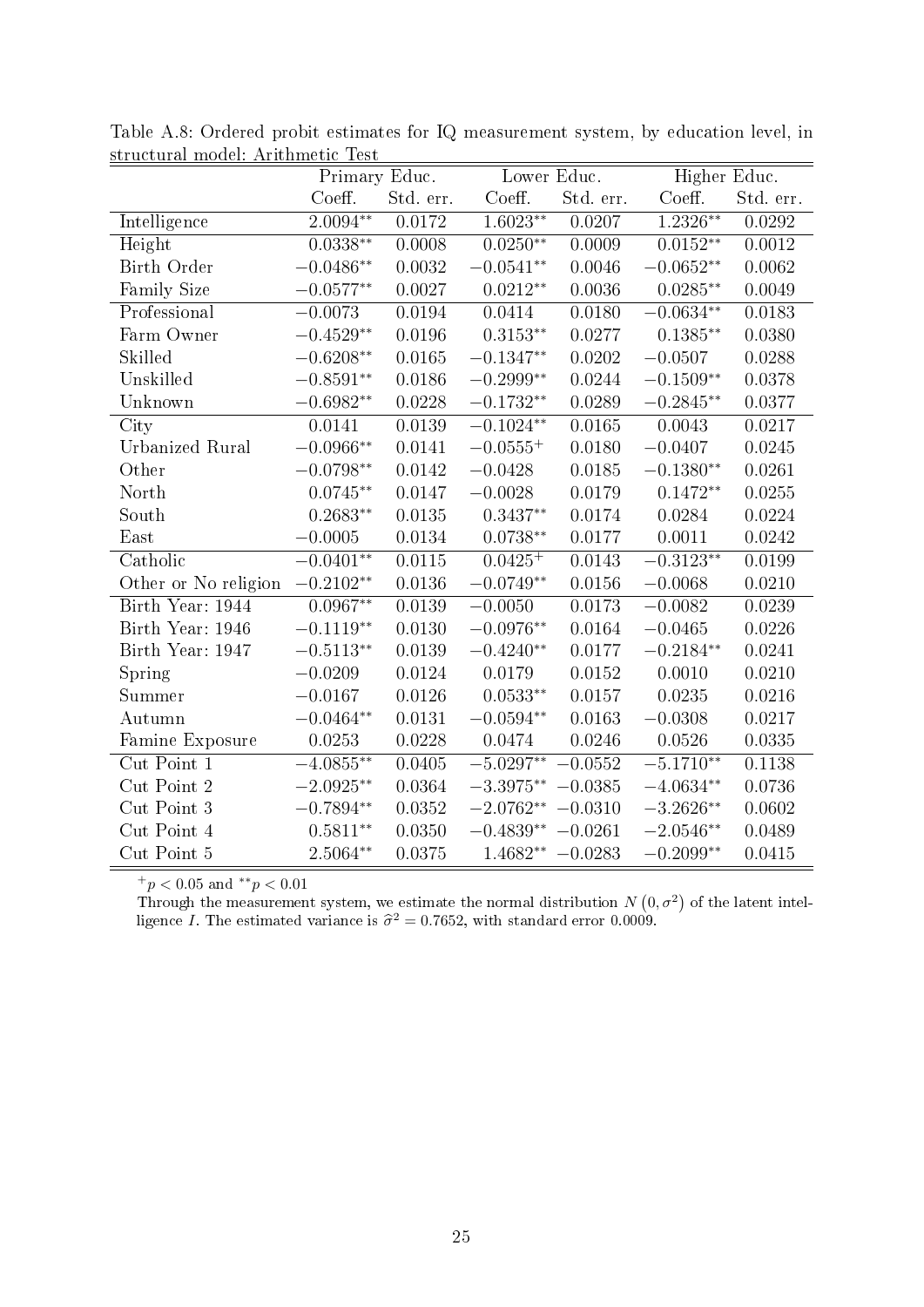| su ucturar mouch, Arrumneut Test | Primary Educ.            |            | Lower Educ.          |           | Higher Educ.             |           |
|----------------------------------|--------------------------|------------|----------------------|-----------|--------------------------|-----------|
|                                  | Coeff.                   | Std. err.  | Coeff.               | Std. err. | Coeff.                   | Std. err. |
| <b>Intelligence</b>              | $2.0094**$               | 0.0172     | $1.6023**$           | 0.0207    | $1.2326**$               | 0.0292    |
| $\overline{H}$ eight             | $0.03\overline{38^{**}}$ | 0.0008     | $0.0250**$           | 0.0009    | $0.0\overline{152^{**}}$ | 0.0012    |
| Birth Order                      | $-0.0486**$              | 0.0032     | $-0.0541**$          | 0.0046    | $-0.0652**$              | 0.0062    |
| Family Size                      | $-0.0577^{\ast\ast}$     | 0.0027     | $0.0212**$           | 0.0036    | $0.0285**$               | 0.0049    |
| Professional                     | $-0.0073$                | 0.0194     | 0.0414               | 0.0180    | $-0.0634**$              | 0.0183    |
| Farm Owner                       | $-0.4529**$              | 0.0196     | $0.3153**$           | 0.0277    | $0.1385**$               | 0.0380    |
| Skilled                          | $-0.6208^{\ast\ast}$     | 0.0165     | $-0.1347**$          | 0.0202    | $-0.0507$                | 0.0288    |
| Unskilled                        | $-0.8591**$              | 0.0186     | $-0.2999**$          | 0.0244    | $-0.1509**$              | 0.0378    |
| Unknown                          | $-0.6982**$              | 0.0228     | $-0.1732**$          | 0.0289    | $-0.2845**$              | 0.0377    |
| City                             | 0.0141                   | 0.0139     | $-0.1024**$          | 0.0165    | 0.0043                   | 0.0217    |
| Urbanized Rural                  | $-0.0966**$              | 0.0141     | $-0.0555^{+}$        | 0.0180    | $-0.0407$                | 0.0245    |
| Other                            | $-0.0798**$              | 0.0142     | $-0.0428$            | 0.0185    | $-0.1380**$              | 0.0261    |
| North                            | $0.0745**$               | 0.0147     | $-0.0028$            | 0.0179    | $0.1472**$               | 0.0255    |
| South                            | $0.2683**$               | 0.0135     | $0.3437**$           | 0.0174    | 0.0284                   | 0.0224    |
| East                             | $-0.0005$                | 0.0134     | $0.0738**$           | 0.0177    | 0.0011                   | 0.0242    |
| Catholic                         | $-0.0401**$              | 0.0115     | $0.0425^{+}$         | 0.0143    | $-0.3123**$              | 0.0199    |
| Other or No religion             | $-0.2102**$              | 0.0136     | $-0.0749**$          | 0.0156    | $-0.0068$                | 0.0210    |
| Birth Year: 1944                 | $0.0967**$               | 0.0139     | $-0.0050$            | 0.0173    | $-0.0082$                | 0.0239    |
| Birth Year: 1946                 | $-0.1119**$              | 0.0130     | $-0.0976**$          | 0.0164    | $-0.0465$                | 0.0226    |
| Birth Year: 1947                 | $-0.5113**$              | 0.0139     | $-0.4240**$          | 0.0177    | $-0.2184**$              | 0.0241    |
| Spring                           | $-0.0209$                | 0.0124     | 0.0179               | 0.0152    | 0.0010                   | 0.0210    |
| Summer                           | $-0.0167$                | 0.0126     | $0.0533^{**}$        | 0.0157    | $0.0235\,$               | 0.0216    |
| Autumn                           | $-0.0464**$              | $0.0131\,$ | $-0.0594**$          | 0.0163    | $-0.0308$                | 0.0217    |
| Famine Exposure                  | 0.0253                   | 0.0228     | 0.0474               | 0.0246    | 0.0526                   | 0.0335    |
| Cut Point 1                      | $-4.0855***$             | 0.0405     | $-5.0297**$          | $-0.0552$ | $-5.1710**$              | 0.1138    |
| Cut Point 2                      | $-2.0925^{\ast\ast}$     | 0.0364     | $-3.3975**$          | $-0.0385$ | $-4.0634**$              | 0.0736    |
| Cut Point 3                      | $-0.7894^{\ast\ast}$     | 0.0352     | $-2.0762**$          | $-0.0310$ | $-3.2626**$              | 0.0602    |
| Cut Point 4                      | $0.5811**$               | 0.0350     | $-0.4839^{\ast\ast}$ | $-0.0261$ | $-2.0546**$              | 0.0489    |
| Cut Point 5                      | $2.5064**$               | 0.0375     | $1.4682** -0.0283$   |           | $-0.2099**$              | 0.0415    |

Table A.8: Ordered probit estimates for IQ measurement system, by education level, in structural model: Arithmetic Test

Through the measurement system, we estimate the normal distribution  $N(0, \sigma^2)$  of the latent intelligence *I*. The estimated variance is  $\hat{\sigma}^2 = 0.7652$ , with standard error 0.0009.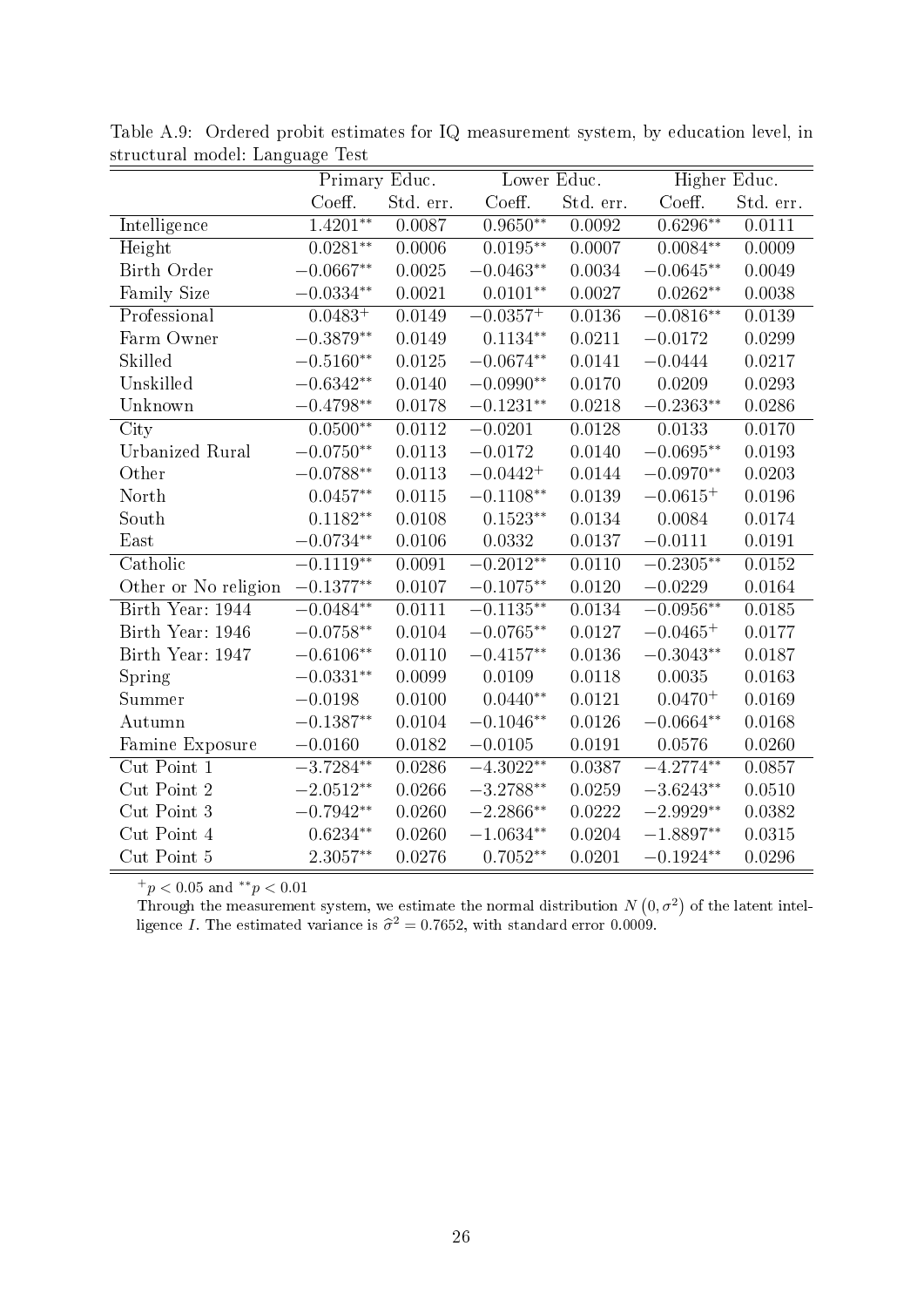|                        | Primary Educ.          |           | Lower Educ.          |           |                      | Higher Educ. |  |
|------------------------|------------------------|-----------|----------------------|-----------|----------------------|--------------|--|
|                        | Coeff.                 | Std. err. | Coeff.               | Std. err. | Coeff.               | Std. err.    |  |
| <b>Intelligence</b>    | $1.\overline{4201***}$ | 0.0087    | $0.9650**$           | 0.0092    | $0.6296**$           | 0.0111       |  |
| Height                 | $0.0281**$             | 0.0006    | $0.0195**$           | 0.0007    | $0.0084**$           | 0.0009       |  |
| Birth Order            | $-0.0667**$            | 0.0025    | $-0.0463**$          | 0.0034    | $-0.0645**$          | 0.0049       |  |
| Family Size            | $-0.0334**$            | 0.0021    | $0.0101^{**}$        | 0.0027    | $0.0262**$           | 0.0038       |  |
| Professional           | $0.0483^{+}$           | 0.0149    | $-0.0357^{+}$        | 0.0136    | $-0.0816**$          | 0.0139       |  |
| Farm Owner             | $-0.3879^{\ast\ast}$   | 0.0149    | $0.1134**$           | 0.0211    | $-0.0172$            | 0.0299       |  |
| Skilled                | $-0.5160^{\ast\ast}$   | 0.0125    | $-0.0674**$          | 0.0141    | $-0.0444$            | 0.0217       |  |
| Unskilled              | $-0.6342**$            | 0.0140    | $-0.0990**$          | 0.0170    | 0.0209               | 0.0293       |  |
| Unknown                | $-0.4798^{\ast\ast}$   | 0.0178    | $-0.1231^{\ast\ast}$ | 0.0218    | $-0.2363**$          | 0.0286       |  |
| City                   | $0.0500**$             | 0.0112    | $-0.0201$            | 0.0128    | 0.0133               | 0.0170       |  |
| <b>Urbanized Rural</b> | $-0.0750**$            | 0.0113    | $-0.0172$            | 0.0140    | $-0.0695**$          | 0.0193       |  |
| Other                  | $-0.0788^{\ast\ast}$   | 0.0113    | $-0.0442 +$          | 0.0144    | $-0.0970**$          | 0.0203       |  |
| North                  | $0.0457**$             | 0.0115    | $-0.1108^{\ast\ast}$ | 0.0139    | $-0.0615+$           | 0.0196       |  |
| South                  | $0.1182**$             | 0.0108    | $0.1523**$           | 0.0134    | 0.0084               | 0.0174       |  |
| East                   | $-0.0734**$            | 0.0106    | 0.0332               | 0.0137    | $-0.0111$            | 0.0191       |  |
| Catholic               | $-0.1119**$            | 0.0091    | $-0.2012**$          | 0.0110    | $-0.2305**$          | 0.0152       |  |
| Other or No religion   | $-0.1377**$            | 0.0107    | $-0.1075^{\ast\ast}$ | 0.0120    | $-0.0229$            | 0.0164       |  |
| Birth Year: 1944       | $-0.0484**$            | 0.0111    | $-0.1135**$          | 0.0134    | $-0.0956**$          | 0.0185       |  |
| Birth Year: 1946       | $-0.0758**$            | 0.0104    | $-0.0765**$          | 0.0127    | $-0.0465^{+}$        | 0.0177       |  |
| Birth Year: 1947       | $-0.6106**$            | 0.0110    | $-0.4157**$          | 0.0136    | $-0.3043**$          | 0.0187       |  |
| Spring                 | $-0.0331**$            | 0.0099    | 0.0109               | 0.0118    | 0.0035               | 0.0163       |  |
| Summer                 | $-0.0198$              | 0.0100    | $0.0440**$           | 0.0121    | $0.0470 +$           | 0.0169       |  |
| Autumn                 | $-0.1387**$            | 0.0104    | $-0.1046**$          | 0.0126    | $-0.0664**$          | 0.0168       |  |
| Famine Exposure        | $-0.0160$              | 0.0182    | $-0.0105$            | 0.0191    | 0.0576               | 0.0260       |  |
| Cut Point 1            | $-3.7284**$            | 0.0286    | $-4.3022**$          | 0.0387    | $-4.2774**$          | 0.0857       |  |
| Cut Point 2            | $-2.0512**$            | 0.0266    | $-3.2788**$          | 0.0259    | $-3.6243**$          | 0.0510       |  |
| Cut Point 3            | $-0.7942**$            | 0.0260    | $-2.2866**$          | 0.0222    | $-2.9929^{\ast\ast}$ | 0.0382       |  |
| Cut Point 4            | $0.6234**$             | 0.0260    | $-1.0634**$          | 0.0204    | $-1.8897**$          | 0.0315       |  |
| Cut Point 5            | 2.3057**               | 0.0276    | $0.7052**$           | 0.0201    | $-0.1924**$          | 0.0296       |  |

Table A.9: Ordered probit estimates for IQ measurement system, by education level, in structural model: Language Test

Through the measurement system, we estimate the normal distribution  $N(0, \sigma^2)$  of the latent intelligence *I*. The estimated variance is  $\hat{\sigma}^2 = 0.7652$ , with standard error 0.0009.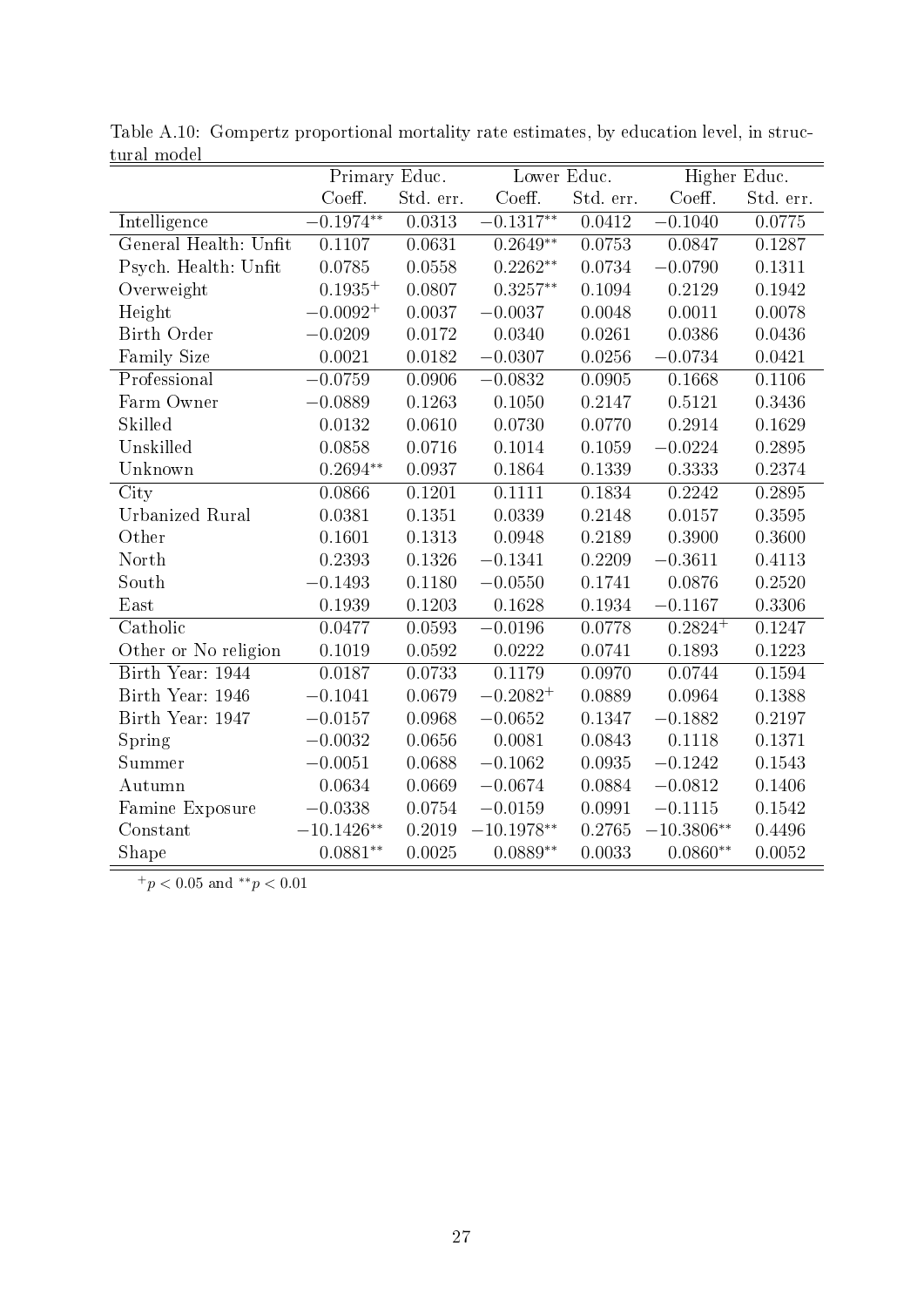| vara, moaci            | Primary Educ.       |           | Lower Educ.            |           | Higher Educ. |           |
|------------------------|---------------------|-----------|------------------------|-----------|--------------|-----------|
|                        | Coeff.              | Std. err. | Coeff.                 | Std. err. | Coeff.       | Std. err. |
| Intelligence           | $0.1974**$          | 0.0313    | $-\overline{0.1317**}$ | 0.0412    | $-0.1040$    | 0.0775    |
| General Health: Unfit  | 0.1107              | 0.0631    | $0.2649**$             | 0.0753    | 0.0847       | 0.1287    |
| Psych. Health: Unfit   | 0.0785              | 0.0558    | $0.2262**$             | 0.0734    | $-0.0790$    | 0.1311    |
| Overweight             | $0.1935^{+}$        | 0.0807    | $0.3257**$             | 0.1094    | 0.2129       | 0.1942    |
| Height                 | $-0.0092^{+}$       | 0.0037    | $-0.0037$              | 0.0048    | 0.0011       | 0.0078    |
| Birth Order            | $-0.0209$           | 0.0172    | 0.0340                 | 0.0261    | 0.0386       | 0.0436    |
| Family Size            | 0.0021              | 0.0182    | $-0.0307$              | 0.0256    | $-0.0734$    | 0.0421    |
| Professional           | $-0.0759$           | 0.0906    | $-0.0832$              | 0.0905    | 0.1668       | 0.1106    |
| Farm Owner             | $-0.0889$           | 0.1263    | 0.1050                 | 0.2147    | 0.5121       | 0.3436    |
| Skilled                | 0.0132              | 0.0610    | 0.0730                 | 0.0770    | 0.2914       | 0.1629    |
| Unskilled              | 0.0858              | 0.0716    | 0.1014                 | 0.1059    | $-0.0224$    | 0.2895    |
| Unknown                | $0.2694^{\ast\ast}$ | 0.0937    | 0.1864                 | 0.1339    | 0.3333       | 0.2374    |
| City                   | 0.0866              | 0.1201    | 0.1111                 | 0.1834    | 0.2242       | 0.2895    |
| <b>Urbanized Rural</b> | 0.0381              | 0.1351    | 0.0339                 | 0.2148    | 0.0157       | 0.3595    |
| Other                  | 0.1601              | 0.1313    | 0.0948                 | 0.2189    | 0.3900       | 0.3600    |
| North                  | 0.2393              | 0.1326    | $-0.1341$              | 0.2209    | $-0.3611$    | 0.4113    |
| South                  | $-0.1493$           | 0.1180    | $-0.0550$              | 0.1741    | 0.0876       | 0.2520    |
| East                   | 0.1939              | 0.1203    | 0.1628                 | 0.1934    | $-0.1167$    | 0.3306    |
| Catholic               | 0.0477              | 0.0593    | $-0.0196$              | 0.0778    | $0.2824^{+}$ | 0.1247    |
| Other or No religion   | 0.1019              | 0.0592    | 0.0222                 | 0.0741    | 0.1893       | 0.1223    |
| Birth Year: 1944       | 0.0187              | 0.0733    | 0.1179                 | 0.0970    | 0.0744       | 0.1594    |
| Birth Year: 1946       | $-0.1041$           | 0.0679    | $-0.2082^{+}$          | 0.0889    | 0.0964       | 0.1388    |
| Birth Year: 1947       | $-0.0157$           | 0.0968    | $-0.0652$              | 0.1347    | $-0.1882$    | 0.2197    |
| Spring                 | $-0.0032$           | 0.0656    | 0.0081                 | 0.0843    | 0.1118       | 0.1371    |
| Summer                 | $-0.0051$           | 0.0688    | $-0.1062$              | 0.0935    | $-0.1242$    | 0.1543    |
| Autumn                 | 0.0634              | 0.0669    | $-0.0674$              | 0.0884    | $-0.0812$    | 0.1406    |
| Famine Exposure        | $-0.0338$           | 0.0754    | $-0.0159$              | 0.0991    | $-0.1115$    | 0.1542    |
| Constant               | $-10.1426**$        | 0.2019    | $-10.1978**$           | 0.2765    | $-10.3806**$ | 0.4496    |
| Shape                  | $0.0881**$          | 0.0025    | $0.0889**$             | 0.0033    | $0.0860**$   | 0.0052    |

Table A.10: Gompertz proportional mortality rate estimates, by education level, in structural model

 $^{+}p<0.05$  and  $^{**}p<0.01$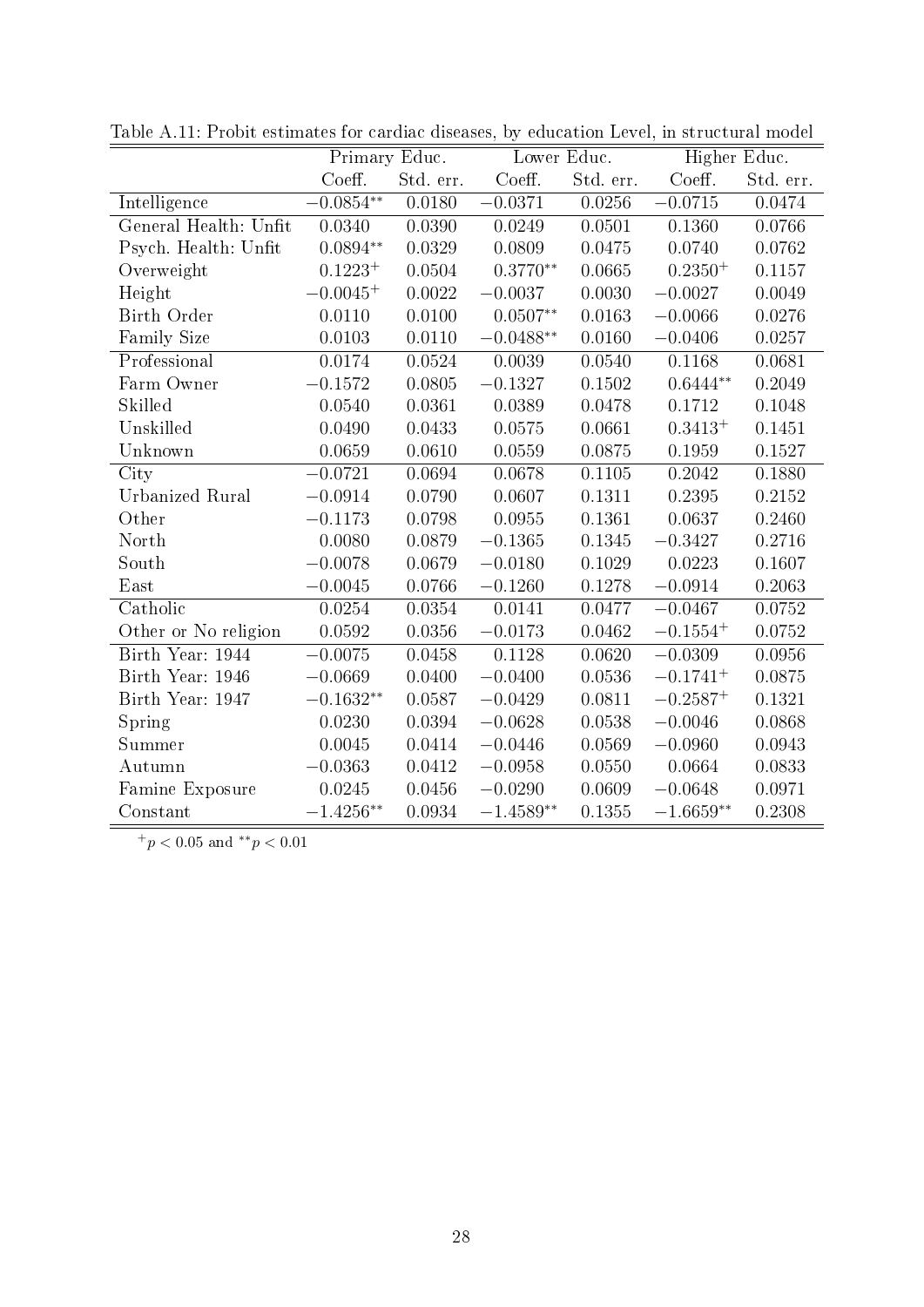|                        |              | Primary Educ. |             | Lower Educ. |               | Higher Educ. |
|------------------------|--------------|---------------|-------------|-------------|---------------|--------------|
|                        | Coeff.       | Std. err.     | Coeff.      | Std. err.   | Coeff.        | Std. err.    |
| Intelligence           | $-0.0854**$  | 0.0180        | $-0.0371$   | 0.0256      | $-0.0715$     | 0.0474       |
| General Health: Unfit  | 0.0340       | 0.0390        | 0.0249      | 0.0501      | 0.1360        | 0.0766       |
| Psych. Health: Unfit   | $0.0894**$   | 0.0329        | 0.0809      | 0.0475      | 0.0740        | 0.0762       |
| Overweight             | $0.1223^{+}$ | 0.0504        | $0.3770**$  | 0.0665      | $0.2350^{+}$  | 0.1157       |
| Height                 | $-0.0045+$   | 0.0022        | $-0.0037$   | 0.0030      | $-0.0027$     | 0.0049       |
| Birth Order            | 0.0110       | 0.0100        | $0.0507**$  | 0.0163      | $-0.0066$     | 0.0276       |
| <b>Family Size</b>     | 0.0103       | 0.0110        | $-0.0488**$ | 0.0160      | $-0.0406$     | 0.0257       |
| Professional           | 0.0174       | 0.0524        | 0.0039      | 0.0540      | 0.1168        | 0.0681       |
| Farm Owner             | $-0.1572$    | 0.0805        | $-0.1327$   | 0.1502      | $0.6444**$    | 0.2049       |
| Skilled                | 0.0540       | 0.0361        | 0.0389      | 0.0478      | 0.1712        | 0.1048       |
| Unskilled              | 0.0490       | 0.0433        | 0.0575      | 0.0661      | $0.3413^{+}$  | 0.1451       |
| Unknown                | 0.0659       | 0.0610        | 0.0559      | 0.0875      | 0.1959        | 0.1527       |
| City                   | $-0.0721$    | 0.0694        | 0.0678      | 0.1105      | 0.2042        | 0.1880       |
| <b>Urbanized Rural</b> | $-0.0914$    | 0.0790        | 0.0607      | 0.1311      | 0.2395        | 0.2152       |
| Other                  | $-0.1173$    | 0.0798        | 0.0955      | 0.1361      | 0.0637        | 0.2460       |
| North                  | 0.0080       | 0.0879        | $-0.1365$   | 0.1345      | $-0.3427$     | 0.2716       |
| South                  | $-0.0078$    | 0.0679        | $-0.0180$   | 0.1029      | 0.0223        | 0.1607       |
| East                   | $-0.0045$    | 0.0766        | $-0.1260$   | 0.1278      | $-0.0914$     | 0.2063       |
| Catholic               | 0.0254       | 0.0354        | 0.0141      | 0.0477      | $-0.0467$     | 0.0752       |
| Other or No religion   | 0.0592       | 0.0356        | $-0.0173$   | 0.0462      | $-0.1554+$    | 0.0752       |
| Birth Year: 1944       | $-0.0075$    | 0.0458        | 0.1128      | 0.0620      | $-0.0309$     | 0.0956       |
| Birth Year: 1946       | $-0.0669$    | 0.0400        | $-0.0400$   | 0.0536      | $-0.1741^{+}$ | 0.0875       |
| Birth Year: 1947       | $-0.1632**$  | 0.0587        | $-0.0429$   | 0.0811      | $-0.2587+$    | 0.1321       |
| Spring                 | 0.0230       | 0.0394        | $-0.0628$   | 0.0538      | $-0.0046$     | 0.0868       |
| Summer                 | 0.0045       | 0.0414        | $-0.0446$   | 0.0569      | $-0.0960$     | 0.0943       |
| Autumn                 | $-0.0363$    | 0.0412        | $-0.0958$   | 0.0550      | 0.0664        | 0.0833       |
| Famine Exposure        | 0.0245       | 0.0456        | $-0.0290$   | 0.0609      | $-0.0648$     | 0.0971       |
| Constant               | $-1.4256**$  | 0.0934        | $-1.4589**$ | 0.1355      | $-1.6659**$   | 0.2308       |

Table A.11: Probit estimates for cardiac diseases, by education Level, in structural model

 $^{+}p<0.05$  and  $^{**}p<0.01$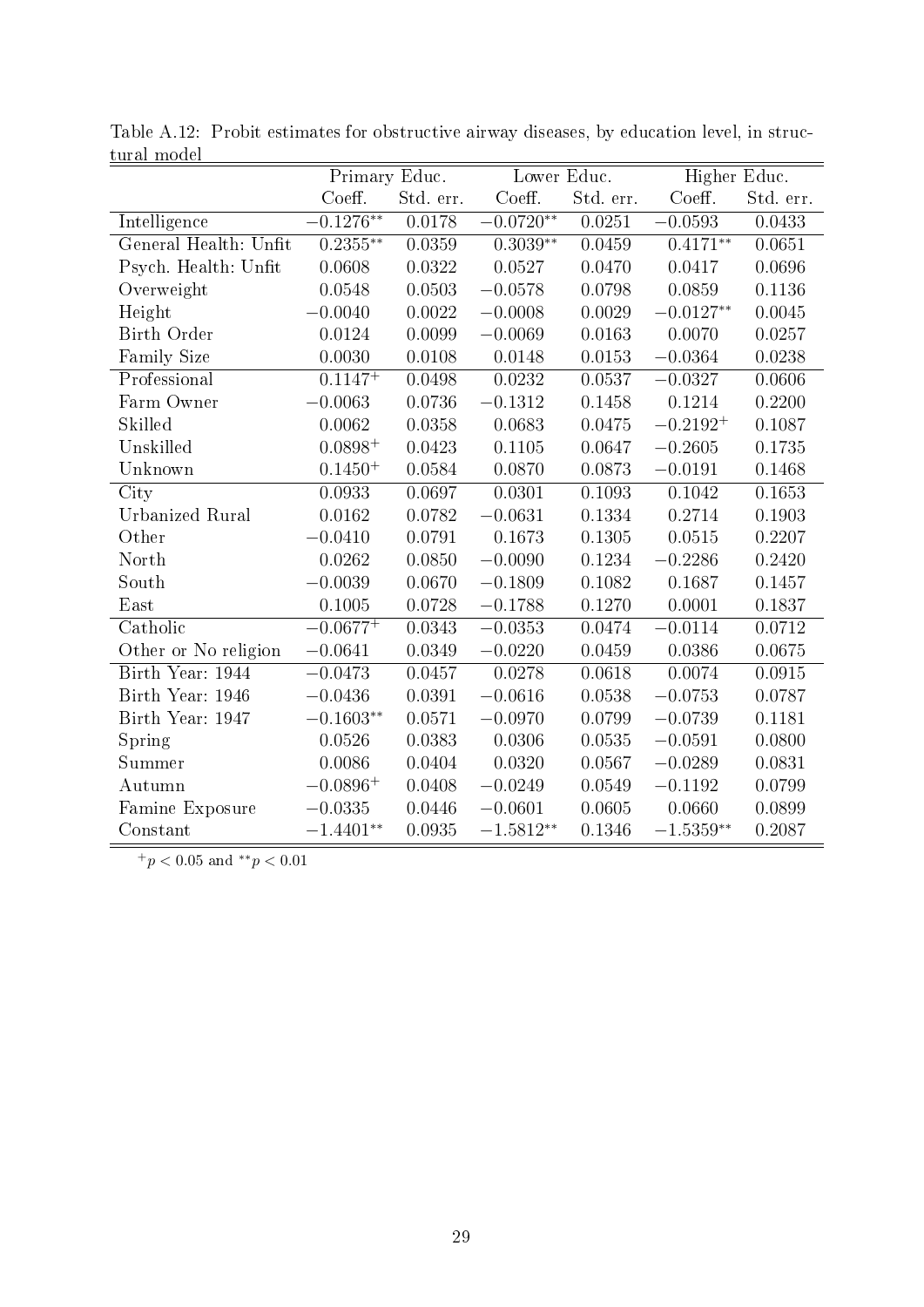| , and mode            | Primary Educ. |           | Lower Educ. |           | Higher Educ.  |           |
|-----------------------|---------------|-----------|-------------|-----------|---------------|-----------|
|                       | Coeff.        | Std. err. | Coeff.      | Std. err. | Coeff.        | Std. err. |
| <b>Intelligence</b>   | $-0.1276**$   | 0.0178    | $-0.0720**$ | 0.0251    | $-0.0593$     | 0.0433    |
| General Health: Unfit | $0.2355***$   | 0.0359    | $0.3039**$  | 0.0459    | $0.4171***$   | 0.0651    |
| Psych. Health: Unfit  | 0.0608        | 0.0322    | 0.0527      | 0.0470    | 0.0417        | 0.0696    |
| Overweight            | 0.0548        | 0.0503    | $-0.0578$   | 0.0798    | 0.0859        | 0.1136    |
| Height                | $-0.0040$     | 0.0022    | $-0.0008$   | 0.0029    | $-0.0127**$   | 0.0045    |
| Birth Order           | 0.0124        | 0.0099    | $-0.0069$   | 0.0163    | 0.0070        | 0.0257    |
| Family Size           | 0.0030        | 0.0108    | 0.0148      | 0.0153    | $-0.0364$     | 0.0238    |
| Professional          | $0.1147^{+}$  | 0.0498    | 0.0232      | 0.0537    | $-0.0327$     | 0.0606    |
| Farm Owner            | $-0.0063$     | 0.0736    | $-0.1312$   | 0.1458    | 0.1214        | 0.2200    |
| Skilled               | 0.0062        | 0.0358    | 0.0683      | 0.0475    | $-0.2192^{+}$ | 0.1087    |
| Unskilled             | $0.0898^{+}$  | 0.0423    | 0.1105      | 0.0647    | $-0.2605$     | 0.1735    |
| Unknown               | $0.1450^{+}$  | 0.0584    | 0.0870      | 0.0873    | $-0.0191$     | 0.1468    |
| City                  | 0.0933        | 0.0697    | 0.0301      | 0.1093    | 0.1042        | 0.1653    |
| Urbanized Rural       | 0.0162        | 0.0782    | $-0.0631$   | 0.1334    | 0.2714        | 0.1903    |
| Other                 | $-0.0410$     | 0.0791    | 0.1673      | 0.1305    | 0.0515        | 0.2207    |
| North                 | 0.0262        | 0.0850    | $-0.0090$   | 0.1234    | $-0.2286$     | 0.2420    |
| South                 | $-0.0039$     | 0.0670    | $-0.1809$   | 0.1082    | 0.1687        | 0.1457    |
| East                  | 0.1005        | 0.0728    | $-0.1788$   | 0.1270    | 0.0001        | 0.1837    |
| Catholic              | $-0.0677^{+}$ | 0.0343    | $-0.0353$   | 0.0474    | $-0.0114$     | 0.0712    |
| Other or No religion  | $-0.0641$     | 0.0349    | $-0.0220$   | 0.0459    | 0.0386        | 0.0675    |
| Birth Year: 1944      | $-0.0473$     | 0.0457    | 0.0278      | 0.0618    | 0.0074        | 0.0915    |
| Birth Year: 1946      | $-0.0436$     | 0.0391    | $-0.0616$   | 0.0538    | $-0.0753$     | 0.0787    |
| Birth Year: 1947      | $-0.1603**$   | 0.0571    | $-0.0970$   | 0.0799    | $-0.0739$     | 0.1181    |
| Spring                | 0.0526        | 0.0383    | 0.0306      | 0.0535    | $-0.0591$     | 0.0800    |
| Summer                | 0.0086        | 0.0404    | 0.0320      | 0.0567    | $-0.0289$     | 0.0831    |
| Autumn                | $-0.0896+$    | 0.0408    | $-0.0249$   | 0.0549    | $-0.1192$     | 0.0799    |
| Famine Exposure       | $-0.0335$     | 0.0446    | $-0.0601$   | 0.0605    | 0.0660        | 0.0899    |
| Constant              | $-1.4401**$   | 0.0935    | $-1.5812**$ | 0.1346    | $-1.5359**$   | 0.2087    |

Table A.12: Probit estimates for obstructive airway diseases, by education level, in structural model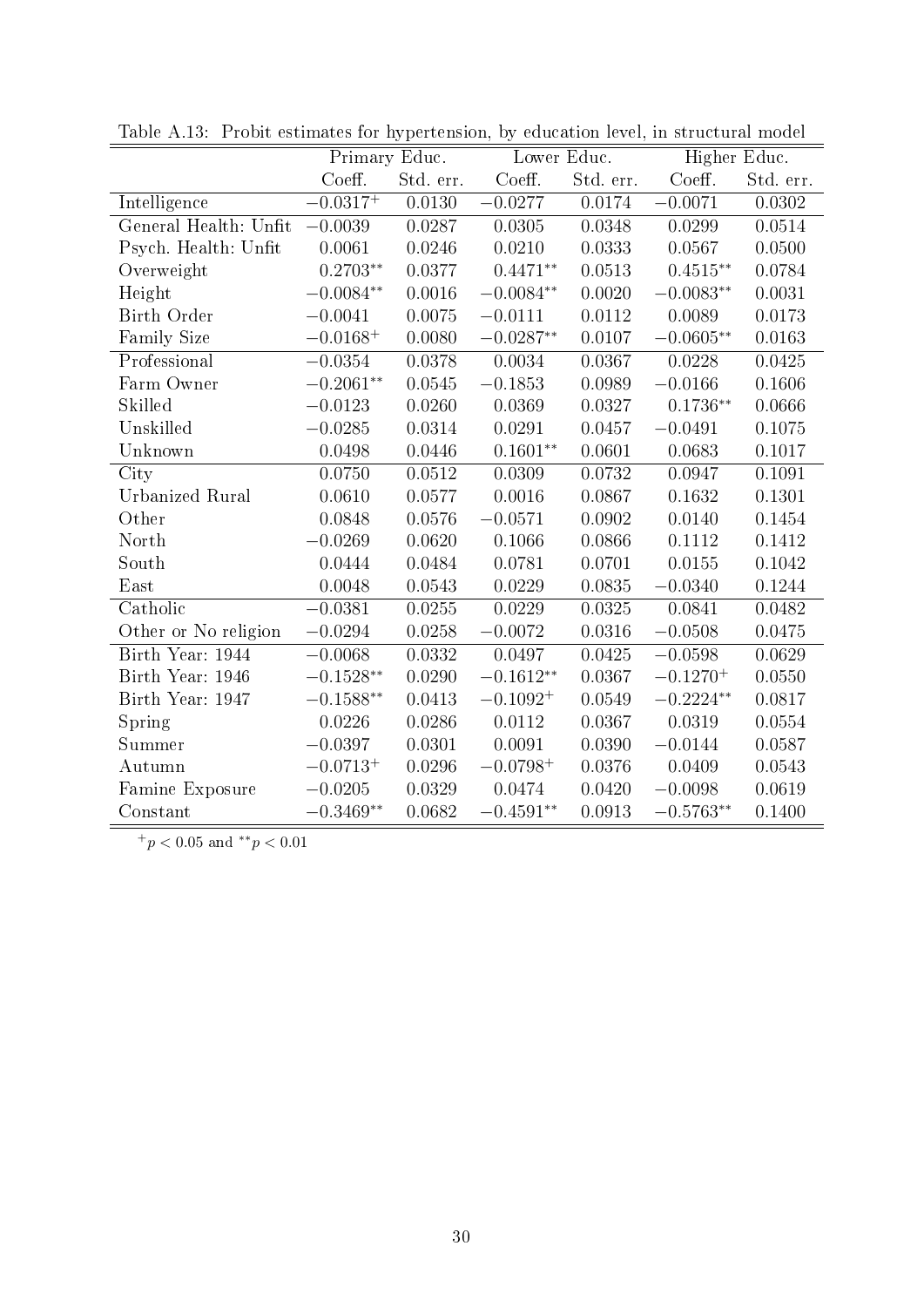|                        | Primary Educ. |           | Lower Educ.   |           | Higher Educ.  |           |
|------------------------|---------------|-----------|---------------|-----------|---------------|-----------|
|                        | Coeff.        | Std. err. | Coeff.        | Std. err. | Coeff.        | Std. err. |
| Intelligence           | $-0.0317^{+}$ | 0.0130    | $-0.0277$     | 0.0174    | $-0.0071$     | 0.0302    |
| General Health: Unfit  | $-0.0039$     | 0.0287    | 0.0305        | 0.0348    | 0.0299        | 0.0514    |
| Psych. Health: Unfit   | 0.0061        | 0.0246    | 0.0210        | 0.0333    | 0.0567        | 0.0500    |
| Overweight             | $0.2703**$    | 0.0377    | $0.4471**$    | 0.0513    | $0.4515**$    | 0.0784    |
| Height                 | $-0.0084**$   | 0.0016    | $-0.0084**$   | 0.0020    | $-0.0083**$   | 0.0031    |
| Birth Order            | $-0.0041$     | 0.0075    | $-0.0111$     | 0.0112    | 0.0089        | 0.0173    |
| Family Size            | $-0.0168+$    | 0.0080    | $-0.0287**$   | 0.0107    | $-0.0605**$   | 0.0163    |
| Professional           | $-0.0354$     | 0.0378    | 0.0034        | 0.0367    | 0.0228        | 0.0425    |
| Farm Owner             | $-0.2061**$   | 0.0545    | $-0.1853$     | 0.0989    | $-0.0166$     | 0.1606    |
| Skilled                | $-0.0123$     | 0.0260    | 0.0369        | 0.0327    | $0.1736**$    | 0.0666    |
| Unskilled              | $-0.0285$     | 0.0314    | 0.0291        | 0.0457    | $-0.0491$     | 0.1075    |
| Unknown                | 0.0498        | 0.0446    | $0.1601^{**}$ | 0.0601    | 0.0683        | 0.1017    |
| City                   | 0.0750        | 0.0512    | 0.0309        | 0.0732    | 0.0947        | 0.1091    |
| <b>Urbanized Rural</b> | 0.0610        | 0.0577    | $0.0016\,$    | 0.0867    | 0.1632        | 0.1301    |
| Other                  | 0.0848        | 0.0576    | $-0.0571$     | 0.0902    | 0.0140        | 0.1454    |
| North                  | $-0.0269$     | 0.0620    | 0.1066        | 0.0866    | 0.1112        | 0.1412    |
| South                  | 0.0444        | 0.0484    | 0.0781        | 0.0701    | 0.0155        | 0.1042    |
| East                   | 0.0048        | 0.0543    | 0.0229        | 0.0835    | $-0.0340$     | 0.1244    |
| Catholic               | $-0.0381$     | 0.0255    | 0.0229        | 0.0325    | 0.0841        | 0.0482    |
| Other or No religion   | $-0.0294$     | 0.0258    | $-0.0072$     | 0.0316    | $-0.0508$     | 0.0475    |
| Birth Year: 1944       | $-0.0068$     | 0.0332    | 0.0497        | 0.0425    | $-0.0598$     | 0.0629    |
| Birth Year: 1946       | $-0.1528**$   | 0.0290    | $-0.1612**$   | 0.0367    | $-0.1270^{+}$ | 0.0550    |
| Birth Year: 1947       | $-0.1588**$   | 0.0413    | $-0.1092^{+}$ | 0.0549    | $-0.2224**$   | 0.0817    |
| Spring                 | 0.0226        | 0.0286    | 0.0112        | 0.0367    | 0.0319        | 0.0554    |
| Summer                 | $-0.0397$     | 0.0301    | 0.0091        | 0.0390    | $-0.0144$     | 0.0587    |
| Autumn                 | $-0.0713^{+}$ | 0.0296    | $-0.0798^{+}$ | 0.0376    | 0.0409        | 0.0543    |
| Famine Exposure        | $-0.0205$     | 0.0329    | 0.0474        | 0.0420    | $-0.0098$     | 0.0619    |
| Constant               | $-0.3469**$   | 0.0682    | $-0.4591**$   | 0.0913    | $-0.5763**$   | 0.1400    |

Table A.13: Probit estimates for hypertension, by education level, in structural model

 $\boxed{^+p<0.05}$  and  $^{**}p<0.01$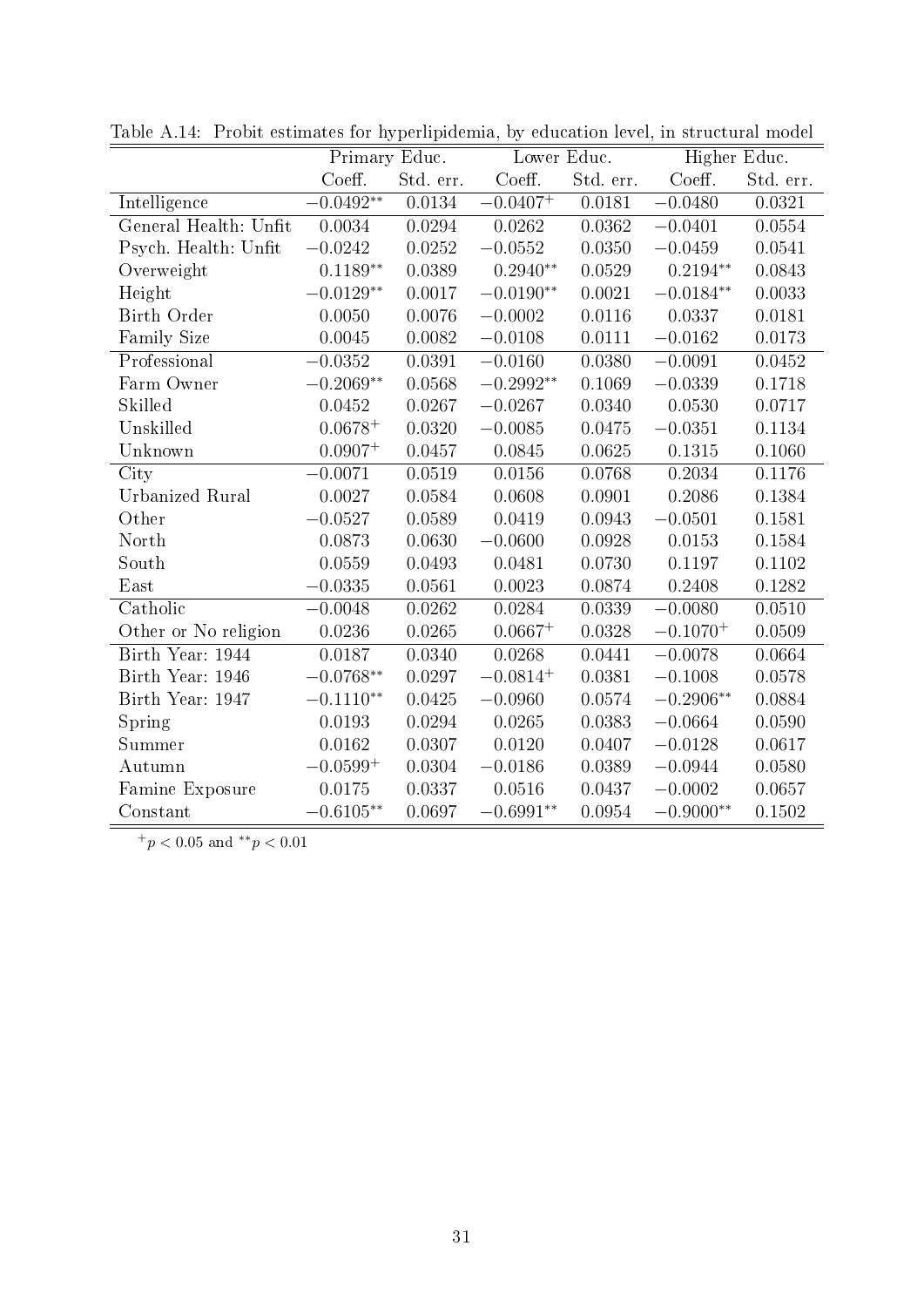|                        | Primary Educ. |           | Lower Educ.   |           | Higher Educ.         |           |
|------------------------|---------------|-----------|---------------|-----------|----------------------|-----------|
|                        | Coeff.        | Std. err. | Coeff.        | Std. err. | Coeff.               | Std. err. |
| Intelligence           | $-0.0492**$   | 0.0134    | $-0.0407^{+}$ | 0.0181    | $-0.0480$            | 0.0321    |
| General Health: Unfit  | 0.0034        | 0.0294    | 0.0262        | 0.0362    | $-0.0401$            | 0.0554    |
| Psych. Health: Unfit   | $-0.0242$     | 0.0252    | $-0.0552$     | 0.0350    | $-0.0459$            | 0.0541    |
| Overweight             | $0.1189**$    | 0.0389    | $0.2940**$    | 0.0529    | $0.2194**$           | 0.0843    |
| Height                 | $-0.0129**$   | 0.0017    | $-0.0190**$   | 0.0021    | $-0.0184**$          | 0.0033    |
| <b>Birth Order</b>     | 0.0050        | 0.0076    | $-0.0002$     | 0.0116    | 0.0337               | 0.0181    |
| Family Size            | 0.0045        | 0.0082    | $-0.0108$     | 0.0111    | $-0.0162$            | 0.0173    |
| Professional           | $-0.0352$     | 0.0391    | $-0.0160$     | 0.0380    | $-0.0091$            | 0.0452    |
| Farm Owner             | $-0.2069**$   | 0.0568    | $-0.2992**$   | 0.1069    | $-0.0339$            | 0.1718    |
| Skilled                | 0.0452        | 0.0267    | $-0.0267$     | 0.0340    | 0.0530               | 0.0717    |
| Unskilled              | $0.0678^{+}$  | 0.0320    | $-0.0085$     | 0.0475    | $-0.0351$            | 0.1134    |
| Unknown                | $0.0907^{+}$  | 0.0457    | 0.0845        | 0.0625    | 0.1315               | 0.1060    |
| City                   | $-0.0071$     | 0.0519    | 0.0156        | 0.0768    | 0.2034               | 0.1176    |
| <b>Urbanized Rural</b> | 0.0027        | 0.0584    | 0.0608        | 0.0901    | 0.2086               | 0.1384    |
| Other                  | $-0.0527$     | 0.0589    | 0.0419        | 0.0943    | $-0.0501$            | 0.1581    |
| North                  | 0.0873        | 0.0630    | $-0.0600$     | 0.0928    | 0.0153               | 0.1584    |
| South                  | 0.0559        | 0.0493    | 0.0481        | 0.0730    | 0.1197               | 0.1102    |
| East                   | $-0.0335$     | 0.0561    | 0.0023        | 0.0874    | 0.2408               | 0.1282    |
| Catholic               | $-0.0048$     | 0.0262    | 0.0284        | 0.0339    | $-0.0080$            | 0.0510    |
| Other or No religion   | 0.0236        | 0.0265    | $0.0667^{+}$  | 0.0328    | $-0.1070^{+}$        | 0.0509    |
| Birth Year: 1944       | 0.0187        | 0.0340    | 0.0268        | 0.0441    | $-0.0078$            | 0.0664    |
| Birth Year: 1946       | $-0.0768**$   | 0.0297    | $-0.0814^{+}$ | 0.0381    | $-0.1008$            | 0.0578    |
| Birth Year: 1947       | $-0.1110**$   | 0.0425    | $-0.0960$     | 0.0574    | $-0.2906^{\ast\ast}$ | 0.0884    |
| Spring                 | 0.0193        | 0.0294    | 0.0265        | 0.0383    | $-0.0664$            | 0.0590    |
| Summer                 | 0.0162        | 0.0307    | 0.0120        | 0.0407    | $-0.0128$            | 0.0617    |
| Autumn                 | $-0.0599^{+}$ | 0.0304    | $-0.0186$     | 0.0389    | $-0.0944$            | 0.0580    |
| Famine Exposure        | 0.0175        | 0.0337    | 0.0516        | 0.0437    | $-0.0002$            | 0.0657    |
| Constant               | $-0.6105**$   | 0.0697    | $-0.6991**$   | 0.0954    | $-0.9000**$          | 0.1502    |

Table A.14: Probit estimates for hyperlipidemia, by education level, in structural model

 $^{+}p<0.05$  and  $^{**}p<0.01$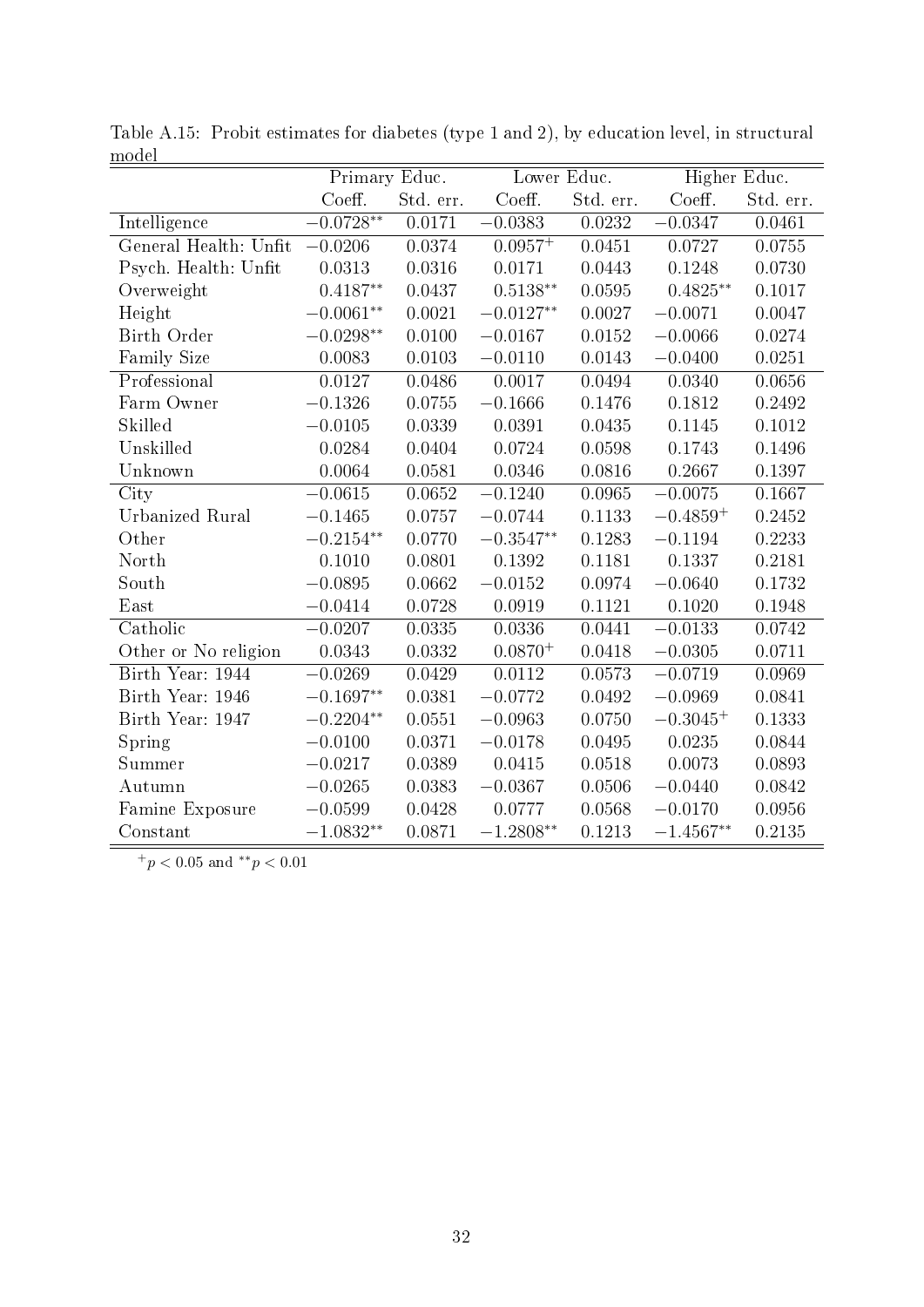| .                      | Primary Educ.               |           | Lower Educ.  |           | Higher Educ. |           |
|------------------------|-----------------------------|-----------|--------------|-----------|--------------|-----------|
|                        | Coeff.                      | Std. err. | Coeff.       | Std. err. | Coeff.       | Std. err. |
| Intelligence           | $-0.0728**$                 | 0.0171    | $-0.0383$    | 0.0232    | $-0.0347$    | 0.0461    |
| General Health: Unfit  | $-0.0206$                   | 0.0374    | $0.0957^{+}$ | 0.0451    | 0.0727       | 0.0755    |
| Psych. Health: Unfit   | 0.0313                      | 0.0316    | 0.0171       | 0.0443    | 0.1248       | 0.0730    |
| Overweight             | $0.4187**$                  | 0.0437    | $0.5138**$   | 0.0595    | $0.4825**$   | 0.1017    |
| Height                 | $-0.0061**$                 | 0.0021    | $-0.0127**$  | 0.0027    | $-0.0071$    | 0.0047    |
| Birth Order            | $-0.0298**$                 | 0.0100    | $-0.0167$    | 0.0152    | $-0.0066$    | 0.0274    |
| Family Size            | 0.0083                      | 0.0103    | $-0.0110$    | 0.0143    | $-0.0400$    | 0.0251    |
| Professional           | 0.0127                      | 0.0486    | 0.0017       | 0.0494    | 0.0340       | 0.0656    |
| Farm Owner             | $-0.1326$                   | 0.0755    | $-0.1666$    | 0.1476    | 0.1812       | 0.2492    |
| Skilled                | $-0.0105$                   | 0.0339    | 0.0391       | 0.0435    | 0.1145       | 0.1012    |
| Unskilled              | 0.0284                      | 0.0404    | 0.0724       | 0.0598    | 0.1743       | 0.1496    |
| Unknown                | 0.0064                      | 0.0581    | 0.0346       | 0.0816    | 0.2667       | 0.1397    |
| City                   | $-0.0615$                   | 0.0652    | $-0.1240$    | 0.0965    | $-0.0075$    | 0.1667    |
| <b>Urbanized Rural</b> | $-0.1465$                   | 0.0757    | $-0.0744$    | 0.1133    | $-0.4859+$   | 0.2452    |
| Other                  | $-0.2154**$                 | 0.0770    | $-0.3547**$  | 0.1283    | $-0.1194$    | 0.2233    |
| North                  | 0.1010                      | 0.0801    | 0.1392       | 0.1181    | 0.1337       | 0.2181    |
| South                  | $-0.0895$                   | 0.0662    | $-0.0152$    | 0.0974    | $-0.0640$    | 0.1732    |
| East                   | $-0.0414$                   | 0.0728    | 0.0919       | 0.1121    | 0.1020       | 0.1948    |
| Catholic               | $-0.0207$                   | 0.0335    | 0.0336       | 0.0441    | $-0.0133$    | 0.0742    |
| Other or No religion   | 0.0343                      | 0.0332    | $0.0870^{+}$ | 0.0418    | $-0.0305$    | 0.0711    |
| Birth Year: 1944       | $-0.0269$                   | 0.0429    | 0.0112       | 0.0573    | $-0.0719$    | 0.0969    |
| Birth Year: 1946       | $-0.1697**$                 | 0.0381    | $-0.0772$    | 0.0492    | $-0.0969$    | 0.0841    |
| Birth Year: 1947       | $-0.2204**$                 | 0.0551    | $-0.0963$    | 0.0750    | $-0.3045+$   | 0.1333    |
| Spring                 | $-0.0100$                   | 0.0371    | $-0.0178$    | 0.0495    | 0.0235       | 0.0844    |
| Summer                 | $-0.0217$                   | 0.0389    | 0.0415       | 0.0518    | 0.0073       | 0.0893    |
| Autumn                 | $-0.0265$                   | 0.0383    | $-0.0367$    | 0.0506    | $-0.0440$    | 0.0842    |
| Famine Exposure        | $-0.0599$                   | 0.0428    | 0.0777       | 0.0568    | $-0.0170$    | 0.0956    |
| Constant               | $-1.0832\ensuremath{^{**}}$ | 0.0871    | $-1.2808**$  | 0.1213    | $-1.4567**$  | 0.2135    |

Table A.15: Probit estimates for diabetes (type 1 and 2), by education level, in structural model